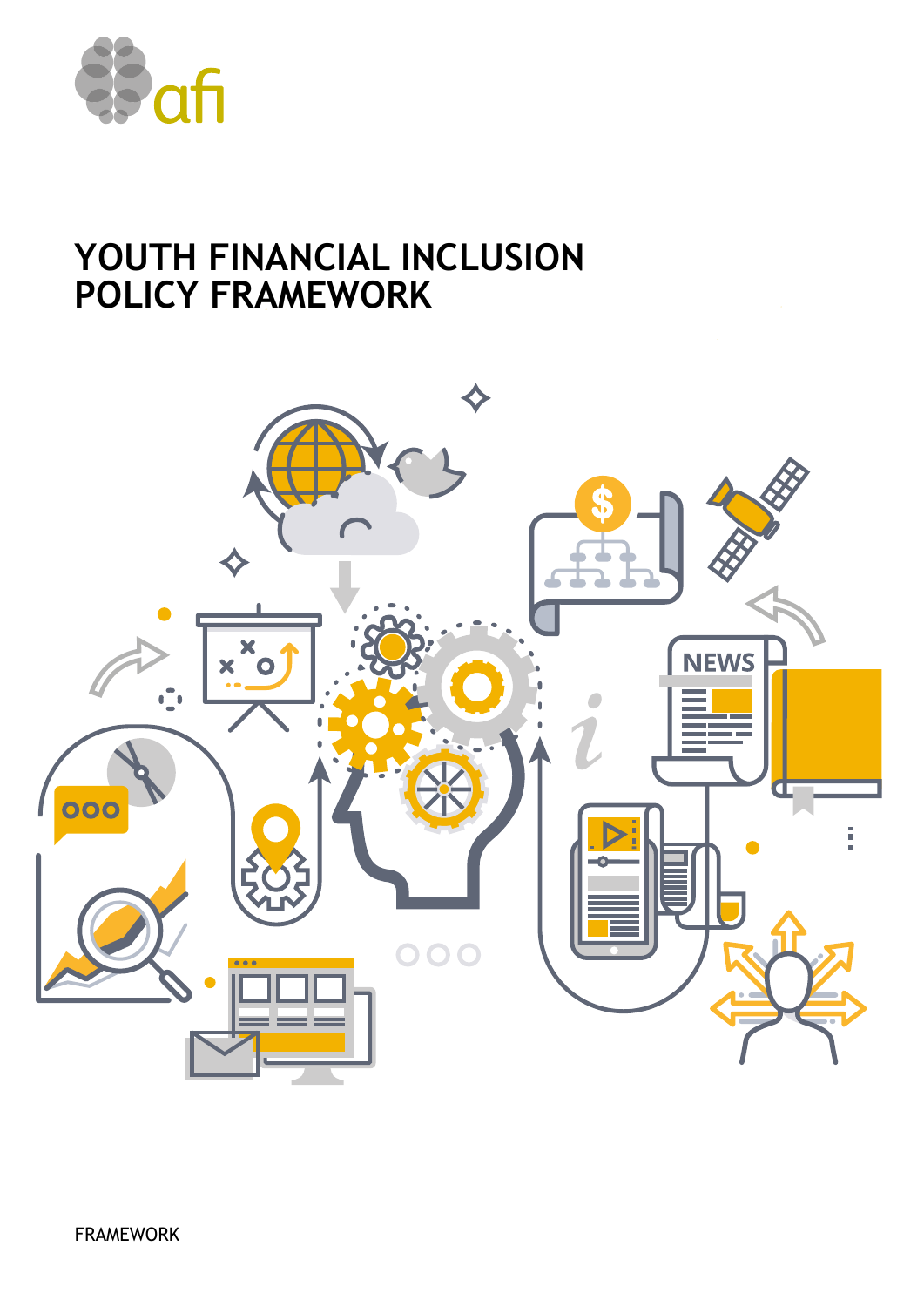

# **YOUTH FINANCIAL INCLUSION POLICY FRAMEWORK**

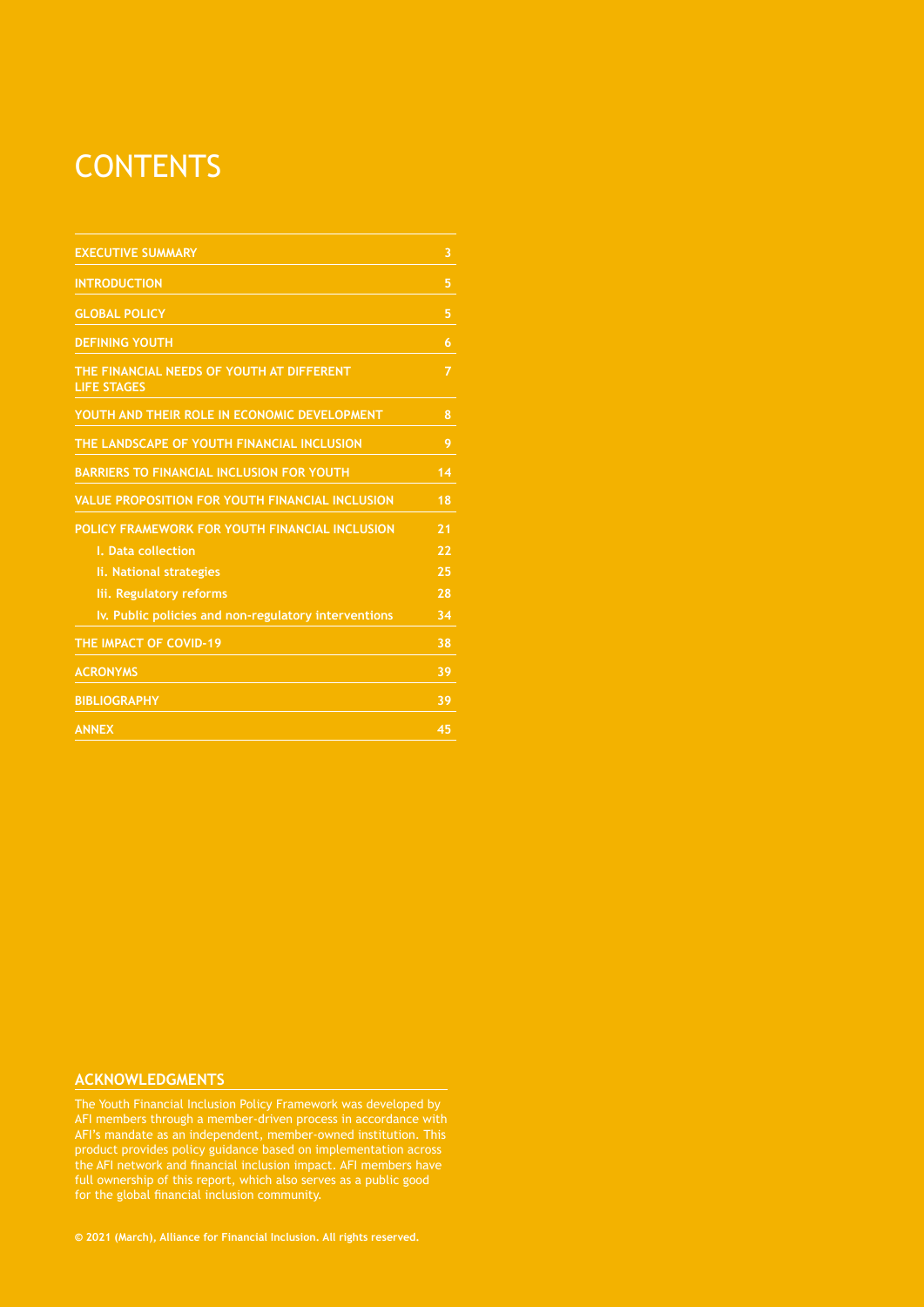# **CONTENTS**

| <b>EXECUTIVE SUMMARY</b>                                        | 3               |
|-----------------------------------------------------------------|-----------------|
| <b>INTRODUCTION</b>                                             | 5               |
| <b>GLOBAL POLICY</b>                                            | 5               |
| <b>DEFINING YOUTH</b>                                           | 6               |
| THE FINANCIAL NEEDS OF YOUTH AT DIFFERENT<br><b>LIFE STAGES</b> | 7               |
| YOUTH AND THEIR ROLE IN ECONOMIC DEVELOPMENT                    | 8               |
| THE LANDSCAPE OF YOUTH FINANCIAL INCLUSION                      | 9               |
| <b>BARRIERS TO FINANCIAL INCLUSION FOR YOUTH</b>                | 14              |
| <b>VALUE PROPOSITION FOR YOUTH FINANCIAL INCLUSION</b>          | $\overline{18}$ |
| POLICY FRAMEWORK FOR YOUTH FINANCIAL INCLUSION                  | 21              |
| I. Data collection                                              | 22              |
| li. National strategies                                         | 25              |
| lii. Regulatory reforms                                         | 28              |
| Iv. Public policies and non-regulatory interventions            | 34              |
| THE IMPACT OF COVID-19                                          | 38              |
| <b>ACRONYMS</b>                                                 | 39              |
| <b>BIBLIOGRAPHY</b>                                             | 39              |
| <b>ANNEX</b>                                                    | 45              |

#### **ACKNOWLEDGMENTS**

AFI members through a member-driven process in accordance with AFI's mandate as an independent, member-owned institution. This product provides policy guidance based on implementation across full ownership of this report, which also serves as a public good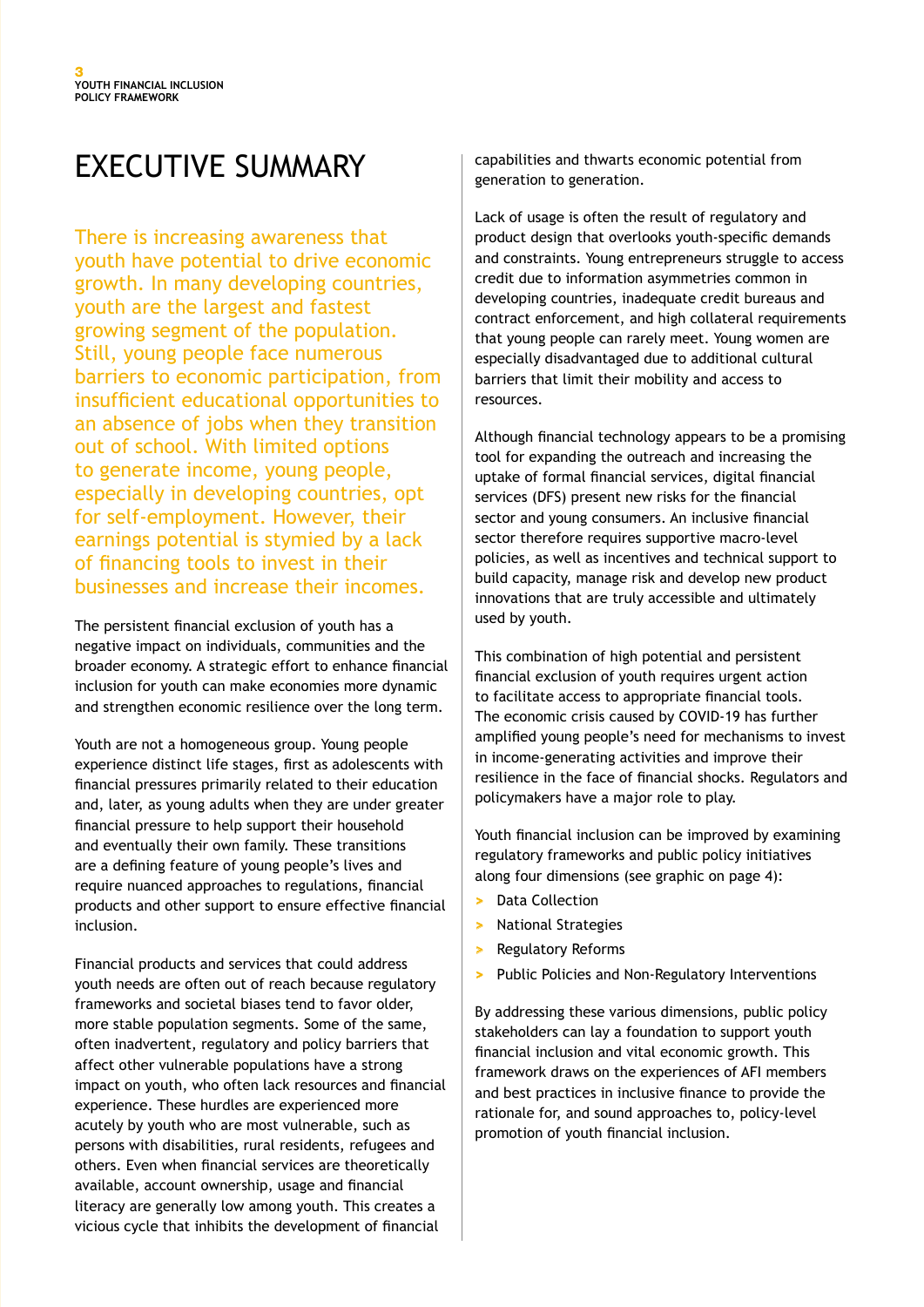# EXECUTIVE SUMMARY

There is increasing awareness that youth have potential to drive economic growth. In many developing countries, youth are the largest and fastest growing segment of the population. Still, young people face numerous barriers to economic participation, from insufficient educational opportunities to an absence of jobs when they transition out of school. With limited options to generate income, young people, especially in developing countries, opt for self-employment. However, their earnings potential is stymied by a lack of financing tools to invest in their businesses and increase their incomes.

The persistent financial exclusion of youth has a negative impact on individuals, communities and the broader economy. A strategic effort to enhance financial inclusion for youth can make economies more dynamic and strengthen economic resilience over the long term.

Youth are not a homogeneous group. Young people experience distinct life stages, first as adolescents with financial pressures primarily related to their education and, later, as young adults when they are under greater financial pressure to help support their household and eventually their own family. These transitions are a defining feature of young people's lives and require nuanced approaches to regulations, financial products and other support to ensure effective financial inclusion.

Financial products and services that could address youth needs are often out of reach because regulatory frameworks and societal biases tend to favor older, more stable population segments. Some of the same, often inadvertent, regulatory and policy barriers that affect other vulnerable populations have a strong impact on youth, who often lack resources and financial experience. These hurdles are experienced more acutely by youth who are most vulnerable, such as persons with disabilities, rural residents, refugees and others. Even when financial services are theoretically available, account ownership, usage and financial literacy are generally low among youth. This creates a vicious cycle that inhibits the development of financial

capabilities and thwarts economic potential from generation to generation.

Lack of usage is often the result of regulatory and product design that overlooks youth-specific demands and constraints. Young entrepreneurs struggle to access credit due to information asymmetries common in developing countries, inadequate credit bureaus and contract enforcement, and high collateral requirements that young people can rarely meet. Young women are especially disadvantaged due to additional cultural barriers that limit their mobility and access to resources.

Although financial technology appears to be a promising tool for expanding the outreach and increasing the uptake of formal financial services, digital financial services (DFS) present new risks for the financial sector and young consumers. An inclusive financial sector therefore requires supportive macro-level policies, as well as incentives and technical support to build capacity, manage risk and develop new product innovations that are truly accessible and ultimately used by youth.

This combination of high potential and persistent financial exclusion of youth requires urgent action to facilitate access to appropriate financial tools. The economic crisis caused by COVID-19 has further amplified young people's need for mechanisms to invest in income-generating activities and improve their resilience in the face of financial shocks. Regulators and policymakers have a major role to play.

Youth financial inclusion can be improved by examining regulatory frameworks and public policy initiatives along four dimensions (see graphic on page 4):

- **>** Data Collection
- **>** National Strategies
- **>** Regulatory Reforms
- **>** Public Policies and Non-Regulatory Interventions

By addressing these various dimensions, public policy stakeholders can lay a foundation to support youth financial inclusion and vital economic growth. This framework draws on the experiences of AFI members and best practices in inclusive finance to provide the rationale for, and sound approaches to, policy-level promotion of youth financial inclusion.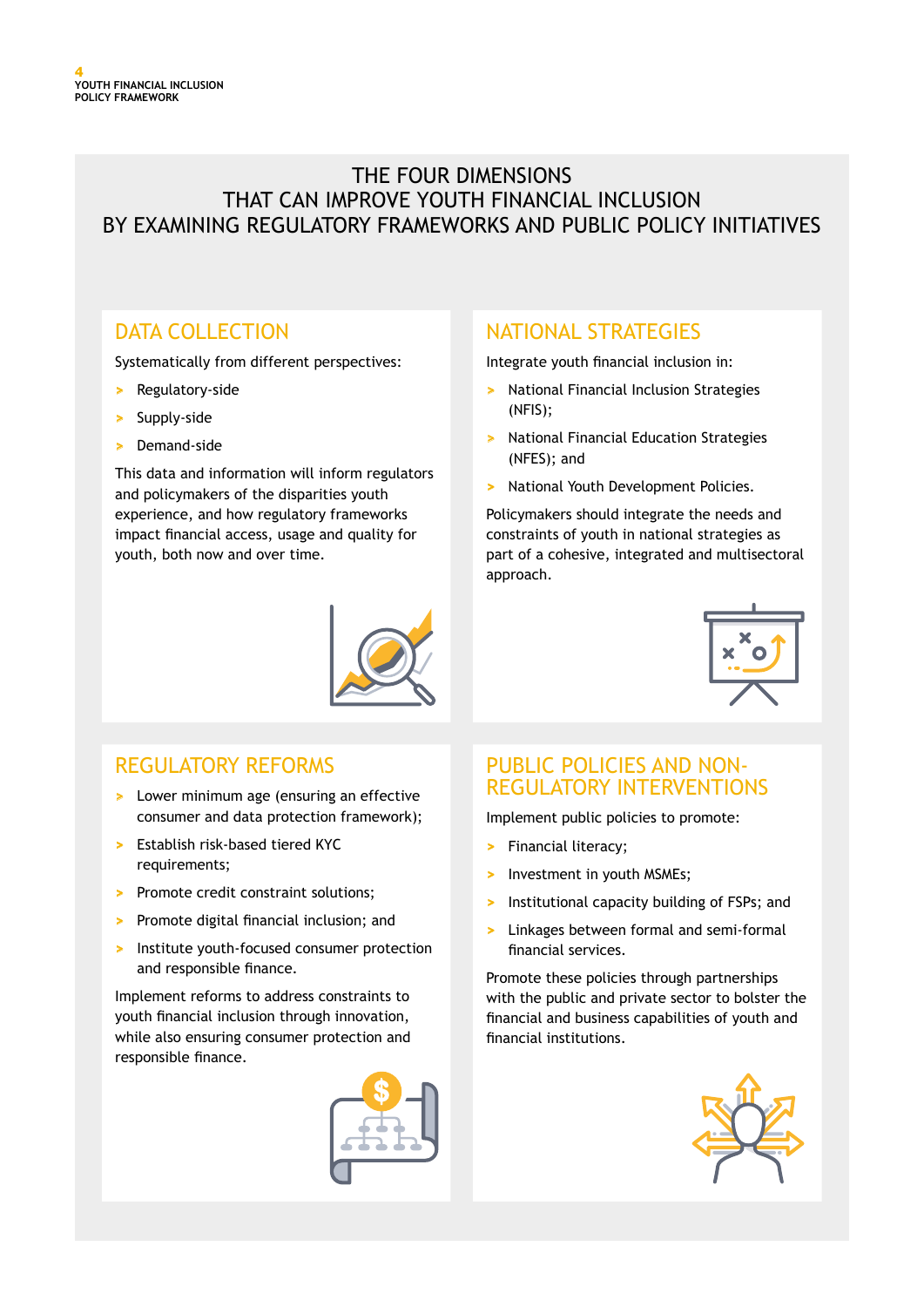## THE FOUR DIMENSIONS THAT CAN IMPROVE YOUTH FINANCIAL INCLUSION BY EXAMINING REGULATORY FRAMEWORKS AND PUBLIC POLICY INITIATIVES

## DATA COLLECTION

Systematically from different perspectives:

- **>** Regulatory-side
- **>** Supply-side
- **>** Demand-side

This data and information will inform regulators and policymakers of the disparities youth experience, and how regulatory frameworks impact financial access, usage and quality for youth, both now and over time.

## NATIONAL STRATEGIES

Integrate youth financial inclusion in:

- **>** National Financial Inclusion Strategies (NFIS);
- **>** National Financial Education Strategies (NFES); and
- **>** National Youth Development Policies.

Policymakers should integrate the needs and constraints of youth in national strategies as part of a cohesive, integrated and multisectoral approach.



## REGULATORY REFORMS

- **>** Lower minimum age (ensuring an effective consumer and data protection framework);
- **>** Establish risk-based tiered KYC requirements;
- **>** Promote credit constraint solutions;
- **>** Promote digital financial inclusion; and
- **>** Institute youth-focused consumer protection and responsible finance.

Implement reforms to address constraints to youth financial inclusion through innovation, while also ensuring consumer protection and responsible finance.



## PUBLIC POLICIES AND NON-REGULATORY INTERVENTIONS

Implement public policies to promote:

- **>** Financial literacy;
- **>** Investment in youth MSMEs;
- **>** Institutional capacity building of FSPs; and
- **>** Linkages between formal and semi-formal financial services.

Promote these policies through partnerships with the public and private sector to bolster the financial and business capabilities of youth and financial institutions.

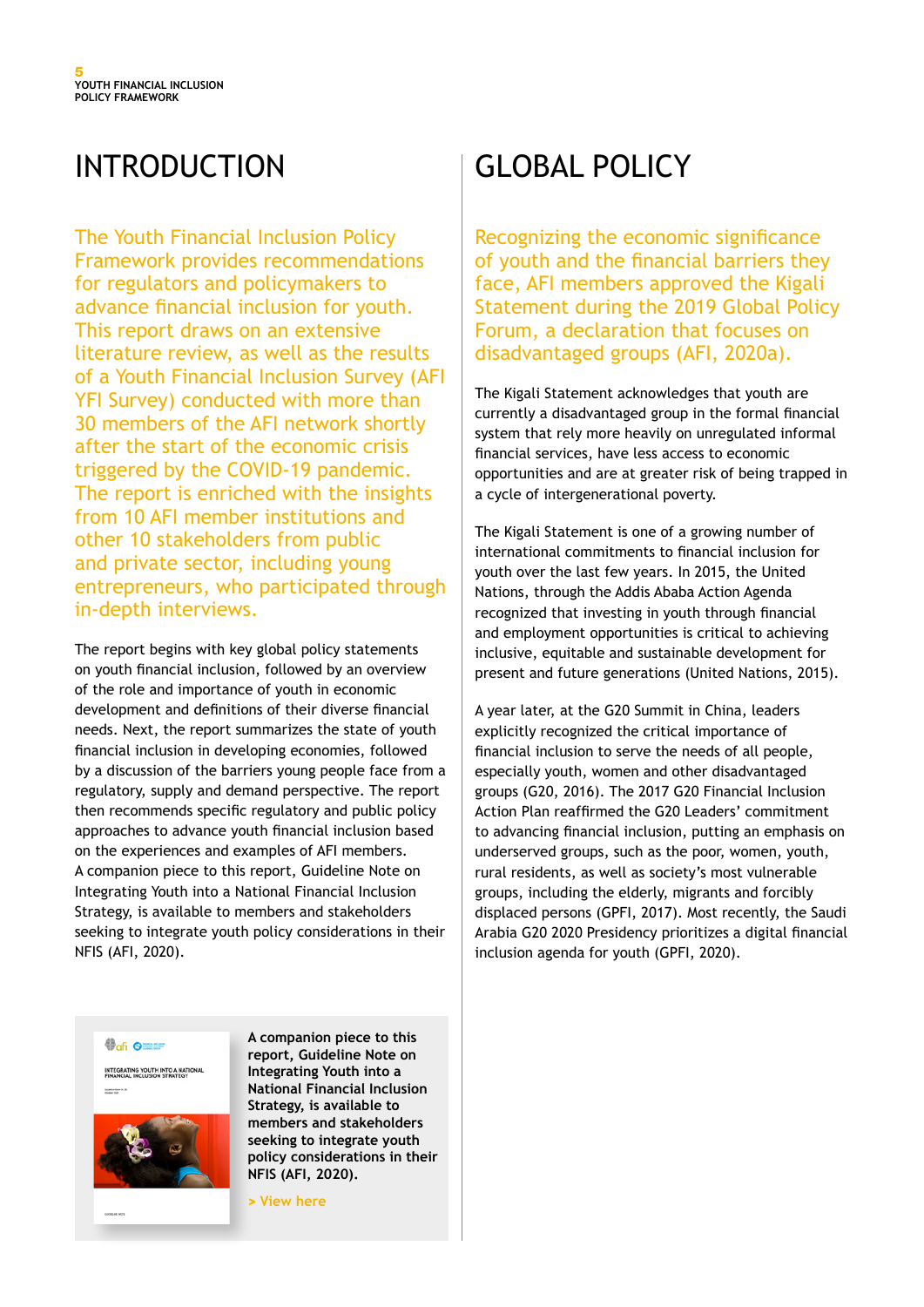# INTRODUCTION

The Youth Financial Inclusion Policy Framework provides recommendations for regulators and policymakers to advance financial inclusion for youth. This report draws on an extensive literature review, as well as the results of a Youth Financial Inclusion Survey (AFI YFI Survey) conducted with more than 30 members of the AFI network shortly after the start of the economic crisis triggered by the COVID-19 pandemic. The report is enriched with the insights from 10 AFI member institutions and other 10 stakeholders from public and private sector, including young entrepreneurs, who participated through in-depth interviews.

The report begins with key global policy statements on youth financial inclusion, followed by an overview of the role and importance of youth in economic development and definitions of their diverse financial needs. Next, the report summarizes the state of youth financial inclusion in developing economies, followed by a discussion of the barriers young people face from a regulatory, supply and demand perspective. The report then recommends specific regulatory and public policy approaches to advance youth financial inclusion based on the experiences and examples of AFI members. A companion piece to this report, Guideline Note on Integrating Youth into a National Financial Inclusion Strategy, is available to members and stakeholders seeking to integrate youth policy considerations in their NFIS (AFI, 2020).

# GLOBAL POLICY

Recognizing the economic significance of youth and the financial barriers they face, AFI members approved the Kigali Statement during the 2019 Global Policy Forum, a declaration that focuses on disadvantaged groups (AFI, 2020a).

The Kigali Statement acknowledges that youth are currently a disadvantaged group in the formal financial system that rely more heavily on unregulated informal financial services, have less access to economic opportunities and are at greater risk of being trapped in a cycle of intergenerational poverty.

The Kigali Statement is one of a growing number of international commitments to financial inclusion for youth over the last few years. In 2015, the United Nations, through the Addis Ababa Action Agenda recognized that investing in youth through financial and employment opportunities is critical to achieving inclusive, equitable and sustainable development for present and future generations (United Nations, 2015).

A year later, at the G20 Summit in China, leaders explicitly recognized the critical importance of financial inclusion to serve the needs of all people, especially youth, women and other disadvantaged groups (G20, 2016). The 2017 G20 Financial Inclusion Action Plan reaffirmed the G20 Leaders' commitment to advancing financial inclusion, putting an emphasis on underserved groups, such as the poor, women, youth, rural residents, as well as society's most vulnerable groups, including the elderly, migrants and forcibly displaced persons (GPFI, 2017). Most recently, the Saudi Arabia G20 2020 Presidency prioritizes a digital financial inclusion agenda for youth (GPFI, 2020).

**Out Office** 

INTEGRATING YOUTH INTO A NATIONAL **Scale to** 



**A companion piece to this report, Guideline Note on Integrating Youth into a National Financial Inclusion Strategy, is available to members and stakeholders seeking to integrate youth policy considerations in their NFIS (AFI, 2020).** 

**[> View here](https://www.afi-global.org/publications/integrating-youth-into-a-national-financial-inclusion-strategy/)**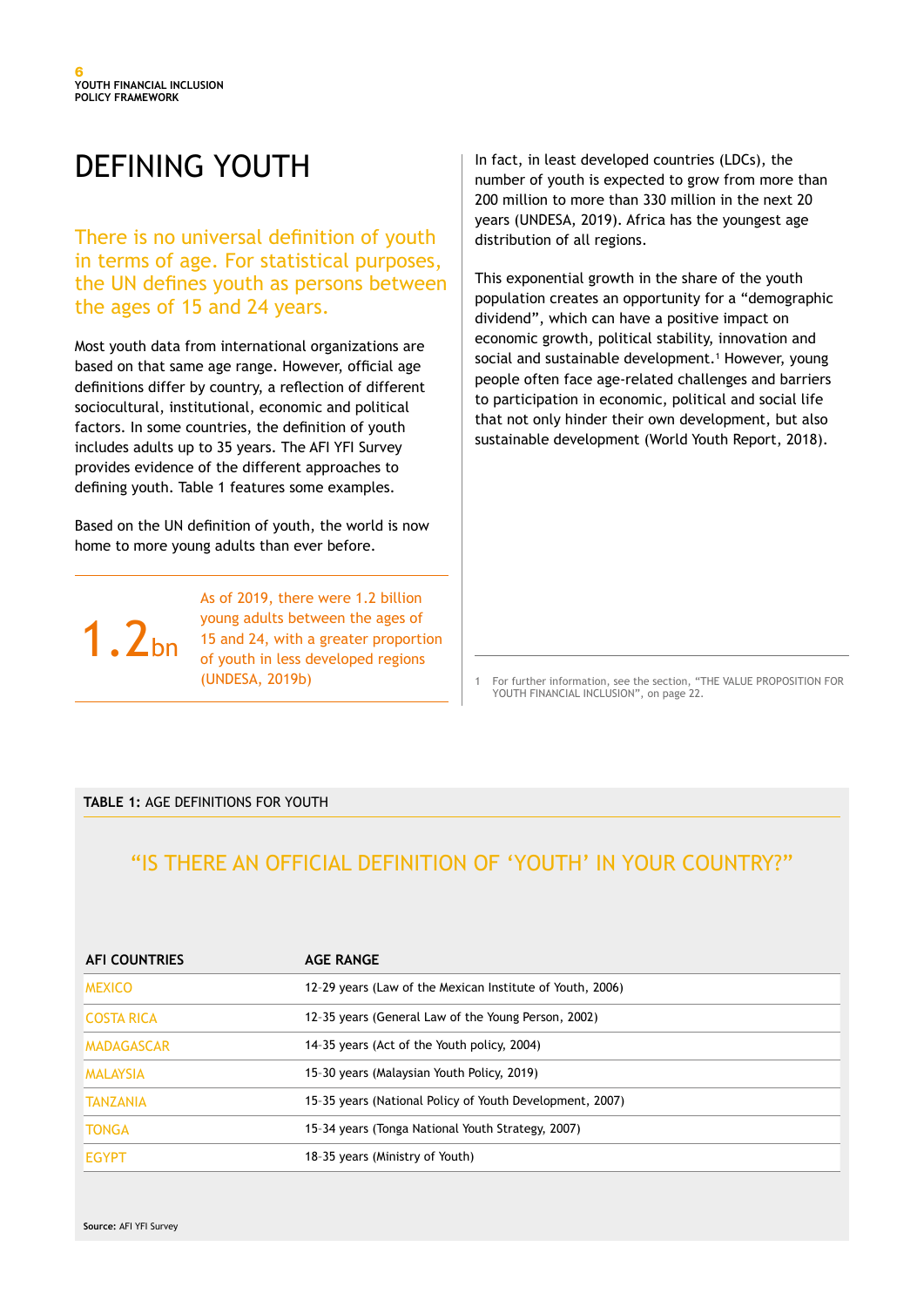# DEFINING YOUTH

There is no universal definition of youth in terms of age. For statistical purposes, the UN defines youth as persons between the ages of 15 and 24 years.

Most youth data from international organizations are based on that same age range. However, official age definitions differ by country, a reflection of different sociocultural, institutional, economic and political factors. In some countries, the definition of youth includes adults up to 35 years. The AFI YFI Survey provides evidence of the different approaches to defining youth. Table 1 features some examples.

Based on the UN definition of youth, the world is now home to more young adults than ever before.

1.2bn

As of 2019, there were 1.2 billion young adults between the ages of 15 and 24, with a greater proportion of youth in less developed regions (UNDESA, 2019b)

In fact, in least developed countries (LDCs), the number of youth is expected to grow from more than 200 million to more than 330 million in the next 20 years (UNDESA, 2019). Africa has the youngest age distribution of all regions.

This exponential growth in the share of the youth population creates an opportunity for a "demographic dividend", which can have a positive impact on economic growth, political stability, innovation and social and sustainable development.<sup>1</sup> However, young people often face age-related challenges and barriers to participation in economic, political and social life that not only hinder their own development, but also sustainable development (World Youth Report, 2018).

1 For further information, see the section, "THE VALUE PROPOSITION FOR YOUTH FINANCIAL INCLUSION", on page 22.

#### **TABLE 1:** AGE DEFINITIONS FOR YOUTH

## "IS THERE AN OFFICIAL DEFINITION OF 'YOUTH' IN YOUR COUNTRY?"

| <b>AFI COUNTRIES</b> | <b>AGE RANGE</b>                                          |
|----------------------|-----------------------------------------------------------|
| <b>MEXICO</b>        | 12-29 years (Law of the Mexican Institute of Youth, 2006) |
| ICOSTA RICA          | 12-35 years (General Law of the Young Person, 2002)       |
| <b>MADAGASCAR</b>    | 14-35 years (Act of the Youth policy, 2004)               |
| <b>MALAYSIA</b>      | 15-30 years (Malaysian Youth Policy, 2019)                |
| <b>TANZANIA</b>      | 15-35 years (National Policy of Youth Development, 2007)  |
| <b>TONGA</b>         | 15-34 years (Tonga National Youth Strategy, 2007)         |
| <b>EGYPT</b>         | 18-35 years (Ministry of Youth)                           |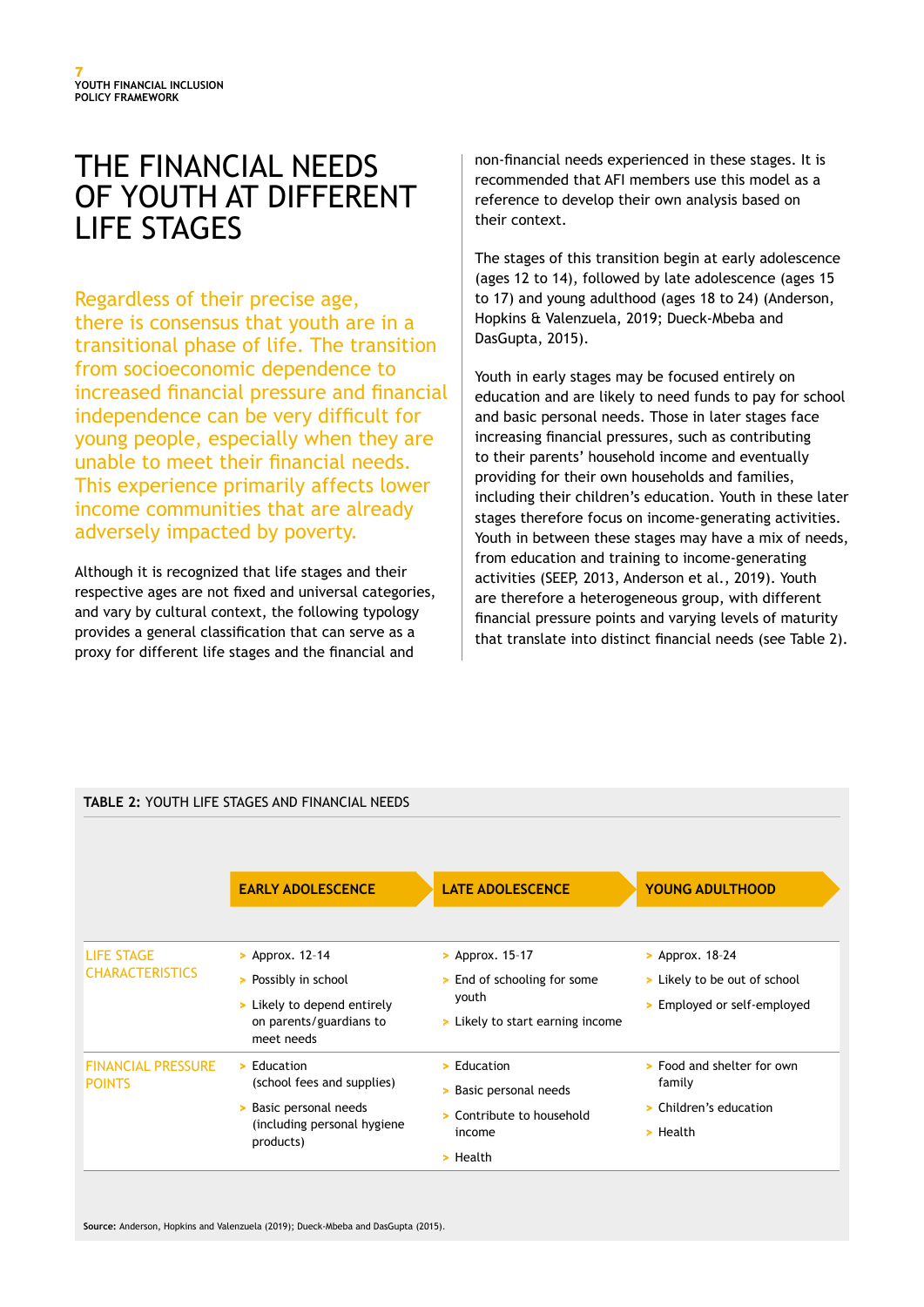# THE FINANCIAL NEEDS OF YOUTH AT DIFFERENT LIFE STAGES

Regardless of their precise age, there is consensus that youth are in a transitional phase of life. The transition from socioeconomic dependence to increased financial pressure and financial independence can be very difficult for young people, especially when they are unable to meet their financial needs. This experience primarily affects lower income communities that are already adversely impacted by poverty.

Although it is recognized that life stages and their respective ages are not fixed and universal categories, and vary by cultural context, the following typology provides a general classification that can serve as a proxy for different life stages and the financial and

non-financial needs experienced in these stages. It is recommended that AFI members use this model as a reference to develop their own analysis based on their context.

The stages of this transition begin at early adolescence (ages 12 to 14), followed by late adolescence (ages 15 to 17) and young adulthood (ages 18 to 24) (Anderson, Hopkins & Valenzuela, 2019; Dueck-Mbeba and DasGupta, 2015).

Youth in early stages may be focused entirely on education and are likely to need funds to pay for school and basic personal needs. Those in later stages face increasing financial pressures, such as contributing to their parents' household income and eventually providing for their own households and families, including their children's education. Youth in these later stages therefore focus on income-generating activities. Youth in between these stages may have a mix of needs, from education and training to income-generating activities (SEEP, 2013, Anderson et al., 2019). Youth are therefore a heterogeneous group, with different financial pressure points and varying levels of maturity that translate into distinct financial needs (see Table 2).

|                                             | <b>TABLE 2: YOUTH LIFE STAGES AND FINANCIAL NEEDS</b>                                                                               |                                                                                                     |                                                                               |
|---------------------------------------------|-------------------------------------------------------------------------------------------------------------------------------------|-----------------------------------------------------------------------------------------------------|-------------------------------------------------------------------------------|
|                                             | <b>EARLY ADOLESCENCE</b>                                                                                                            | <b>LATE ADOLESCENCE</b>                                                                             | <b>YOUNG ADULTHOOD</b>                                                        |
| <b>LIFE STAGE</b><br><b>CHARACTERISTICS</b> | > Approx. 12-14                                                                                                                     | > Approx. 15-17                                                                                     | > Approx. $18-24$                                                             |
|                                             | > Possibly in school<br>> Likely to depend entirely<br>on parents/guardians to<br>meet needs                                        | > End of schooling for some<br>youth<br>> Likely to start earning income                            | > Likely to be out of school<br>> Employed or self-employed                   |
| <b>FINANCIAL PRESSURE</b><br><b>POINTS</b>  | $\blacktriangleright$ Education<br>(school fees and supplies)<br>> Basic personal needs<br>(including personal hygiene<br>products) | $\blacktriangleright$ Education<br>Basic personal needs<br>×<br>> Contribute to household<br>income | > Food and shelter for own<br>family<br>Children's education<br>×<br>> Health |
|                                             |                                                                                                                                     | $\geq$ Health                                                                                       |                                                                               |

**Source:** Anderson, Hopkins and Valenzuela (2019); Dueck-Mbeba and DasGupta (2015).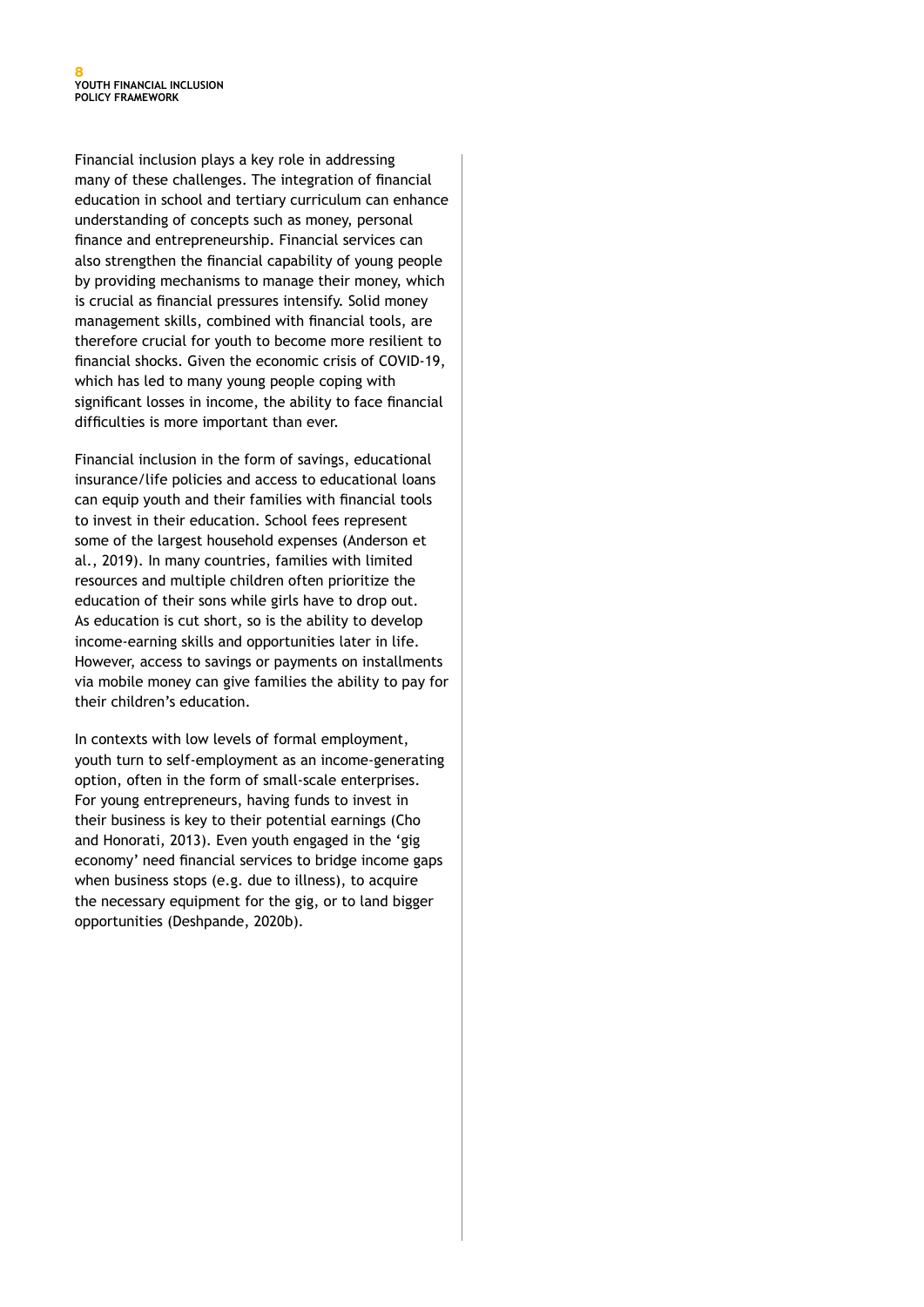Financial inclusion plays a key role in addressing many of these challenges. The integration of financial education in school and tertiary curriculum can enhance understanding of concepts such as money, personal finance and entrepreneurship. Financial services can also strengthen the financial capability of young people by providing mechanisms to manage their money, which is crucial as financial pressures intensify. Solid money management skills, combined with financial tools, are therefore crucial for youth to become more resilient to financial shocks. Given the economic crisis of COVID-19, which has led to many young people coping with significant losses in income, the ability to face financial difficulties is more important than ever.

Financial inclusion in the form of savings, educational insurance/life policies and access to educational loans can equip youth and their families with financial tools to invest in their education. School fees represent some of the largest household expenses (Anderson et al., 2019). In many countries, families with limited resources and multiple children often prioritize the education of their sons while girls have to drop out. As education is cut short, so is the ability to develop income-earning skills and opportunities later in life. However, access to savings or payments on installments via mobile money can give families the ability to pay for their children's education.

In contexts with low levels of formal employment, youth turn to self-employment as an income-generating option, often in the form of small-scale enterprises. For young entrepreneurs, having funds to invest in their business is key to their potential earnings (Cho and Honorati, 2013). Even youth engaged in the 'gig economy' need financial services to bridge income gaps when business stops (e.g. due to illness), to acquire the necessary equipment for the gig, or to land bigger opportunities (Deshpande, 2020b).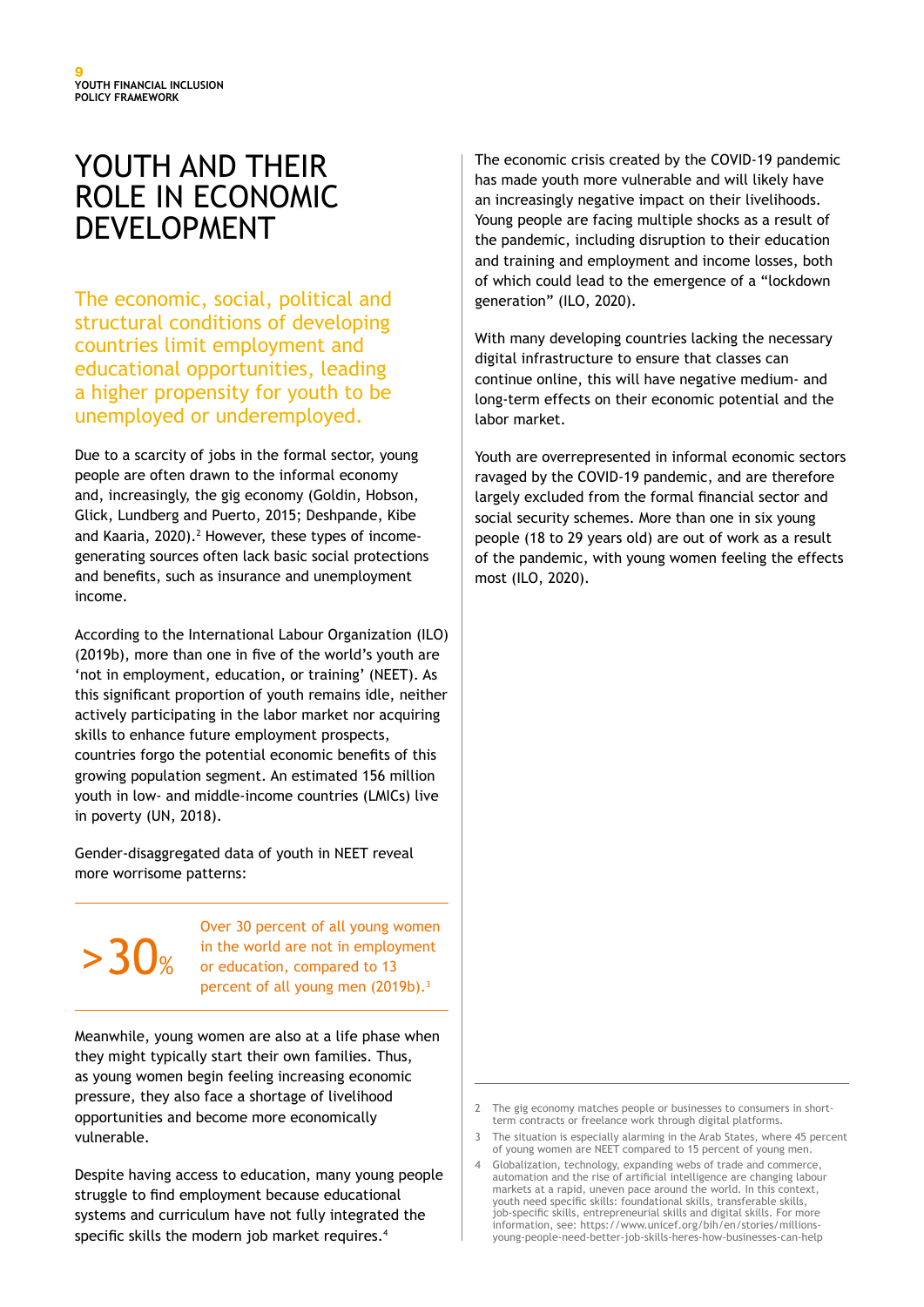# YOUTH AND THEIR ROLE IN ECONOMIC DEVELOPMENT

The economic, social, political and structural conditions of developing countries limit employment and educational opportunities, leading a higher propensity for youth to be unemployed or underemployed.

Due to a scarcity of jobs in the formal sector, young people are often drawn to the informal economy and, increasingly, the gig economy (Goldin, Hobson, Glick, Lundberg and Puerto, 2015; Deshpande, Kibe and Kaaria, 2020).<sup>2</sup> However, these types of incomegenerating sources often lack basic social protections and benefits, such as insurance and unemployment income.

According to the International Labour Organization (ILO) (2019b), more than one in five of the world's youth are 'not in employment, education, or training' (NEET). As this significant proportion of youth remains idle, neither actively participating in the labor market nor acquiring skills to enhance future employment prospects, countries forgo the potential economic benefits of this growing population segment. An estimated 156 million youth in low- and middle-income countries (LMICs) live in poverty (UN, 2018).

Gender-disaggregated data of youth in NEET reveal more worrisome patterns:

# $>30<sub>\%</sub>$

Over 30 percent of all young women in the world are not in employment or education, compared to 13 percent of all young men (2019b).<sup>3</sup>

Meanwhile, young women are also at a life phase when they might typically start their own families. Thus, as young women begin feeling increasing economic pressure, they also face a shortage of livelihood opportunities and become more economically vulnerable.

Despite having access to education, many young people struggle to find employment because educational systems and curriculum have not fully integrated the specific skills the modern job market requires.<sup>4</sup>

The economic crisis created by the COVID-19 pandemic has made youth more vulnerable and will likely have an increasingly negative impact on their livelihoods. Young people are facing multiple shocks as a result of the pandemic, including disruption to their education and training and employment and income losses, both of which could lead to the emergence of a "lockdown generation" (ILO, 2020).

With many developing countries lacking the necessary digital infrastructure to ensure that classes can continue online, this will have negative medium- and long-term effects on their economic potential and the labor market.

Youth are overrepresented in informal economic sectors ravaged by the COVID-19 pandemic, and are therefore largely excluded from the formal financial sector and social security schemes. More than one in six young people (18 to 29 years old) are out of work as a result of the pandemic, with young women feeling the effects most (ILO, 2020).

<sup>2</sup> The gig economy matches people or businesses to consumers in shortterm contracts or freelance work through digital platforms.

<sup>3</sup> The situation is especially alarming in the Arab States, where 45 percent of young women are NEET compared to 15 percent of young men.

<sup>4</sup> Globalization, technology, expanding webs of trade and commerce, automation and the rise of artificial intelligence are changing labour markets at a rapid, uneven pace around the world. In this context, youth need specific skills: foundational skills, transferable skills, job-specific skills, entrepreneurial skills and digital skills. For more information, see: https://www.unicef.org/bih/en/stories/millionsyoung-people-need-better-job-skills-heres-how-businesses-can-help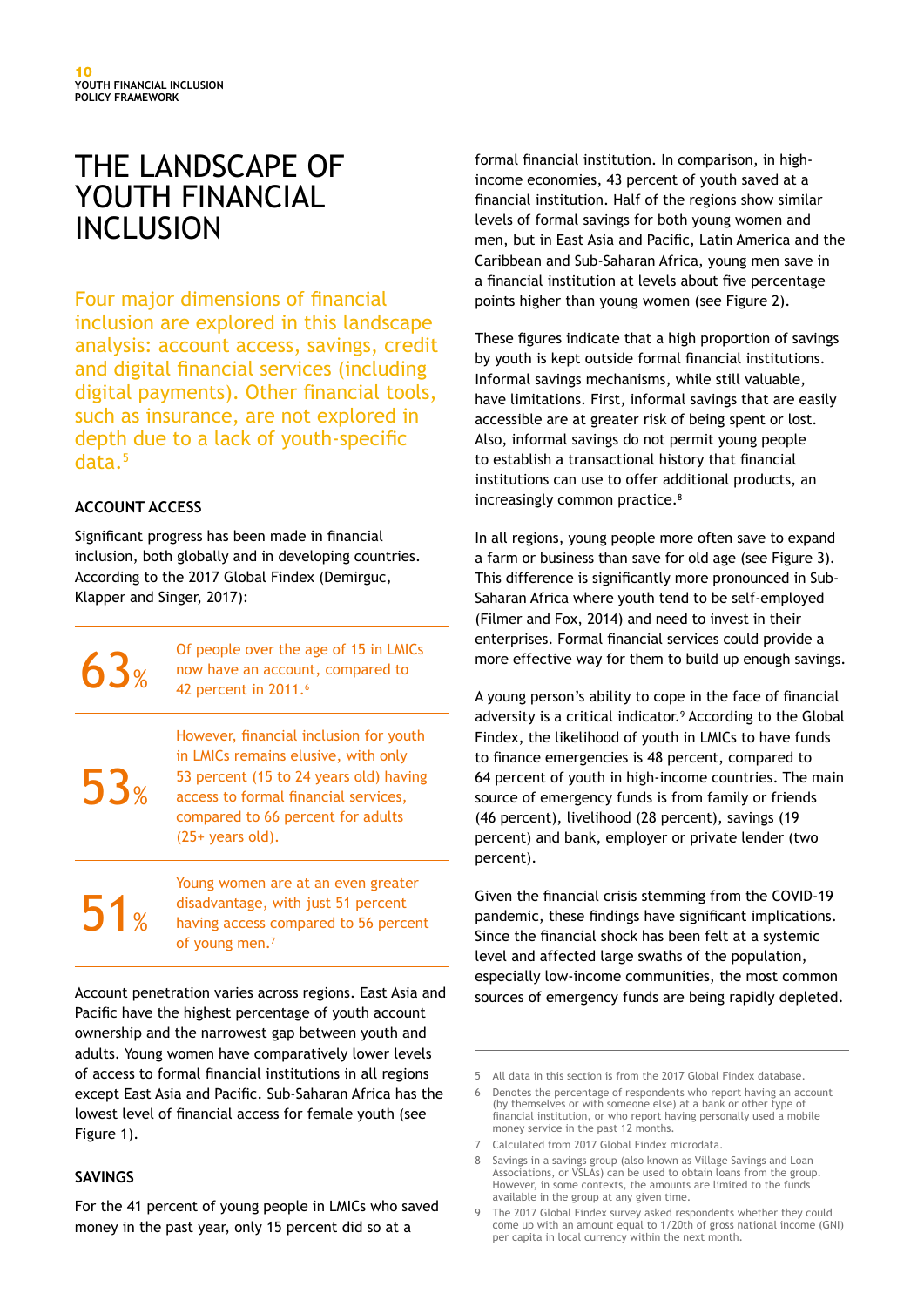# THE LANDSCAPE OF YOUTH FINANCIAL INCLUSION

Four major dimensions of financial inclusion are explored in this landscape analysis: account access, savings, credit and digital financial services (including digital payments). Other financial tools, such as insurance, are not explored in depth due to a lack of youth-specific data.5

#### **ACCOUNT ACCESS**

Significant progress has been made in financial inclusion, both globally and in developing countries. According to the 2017 Global Findex (Demirguc, Klapper and Singer, 2017):

> Of people over the age of 15 in LMICs now have an account, compared to 42 percent in 2011.<sup>6</sup>

53%

 $63%$ 

However, financial inclusion for youth in LMICs remains elusive, with only 53 percent (15 to 24 years old) having access to formal financial services, compared to 66 percent for adults (25+ years old).

 $51<sub>%</sub>$ 

Young women are at an even greater disadvantage, with just 51 percent having access compared to 56 percent of young men.7

Account penetration varies across regions. East Asia and Pacific have the highest percentage of youth account ownership and the narrowest gap between youth and adults. Young women have comparatively lower levels of access to formal financial institutions in all regions except East Asia and Pacific. Sub-Saharan Africa has the lowest level of financial access for female youth (see Figure 1).

#### **SAVINGS**

For the 41 percent of young people in LMICs who saved money in the past year, only 15 percent did so at a

formal financial institution. In comparison, in highincome economies, 43 percent of youth saved at a financial institution. Half of the regions show similar levels of formal savings for both young women and men, but in East Asia and Pacific, Latin America and the Caribbean and Sub-Saharan Africa, young men save in a financial institution at levels about five percentage points higher than young women (see Figure 2).

These figures indicate that a high proportion of savings by youth is kept outside formal financial institutions. Informal savings mechanisms, while still valuable, have limitations. First, informal savings that are easily accessible are at greater risk of being spent or lost. Also, informal savings do not permit young people to establish a transactional history that financial institutions can use to offer additional products, an increasingly common practice.<sup>8</sup>

In all regions, young people more often save to expand a farm or business than save for old age (see Figure 3). This difference is significantly more pronounced in Sub-Saharan Africa where youth tend to be self-employed (Filmer and Fox, 2014) and need to invest in their enterprises. Formal financial services could provide a more effective way for them to build up enough savings.

A young person's ability to cope in the face of financial adversity is a critical indicator.<sup>9</sup> According to the Global Findex, the likelihood of youth in LMICs to have funds to finance emergencies is 48 percent, compared to 64 percent of youth in high-income countries. The main source of emergency funds is from family or friends (46 percent), livelihood (28 percent), savings (19 percent) and bank, employer or private lender (two percent).

Given the financial crisis stemming from the COVID-19 pandemic, these findings have significant implications. Since the financial shock has been felt at a systemic level and affected large swaths of the population, especially low-income communities, the most common sources of emergency funds are being rapidly depleted.

<sup>5</sup> All data in this section is from the 2017 Global Findex database.

<sup>6</sup> Denotes the percentage of respondents who report having an account (by themselves or with someone else) at a bank or other type of financial institution, or who report having personally used a mobile money service in the past 12 months.

<sup>7</sup> Calculated from 2017 Global Findex microdata.

<sup>8</sup> Savings in a savings group (also known as Village Savings and Loan Associations, or VSLAs) can be used to obtain loans from the group. However, in some contexts, the amounts are limited to the funds available in the group at any given time.

<sup>9</sup> The 2017 Global Findex survey asked respondents whether they could come up with an amount equal to 1/20th of gross national income (GNI) per capita in local currency within the next month.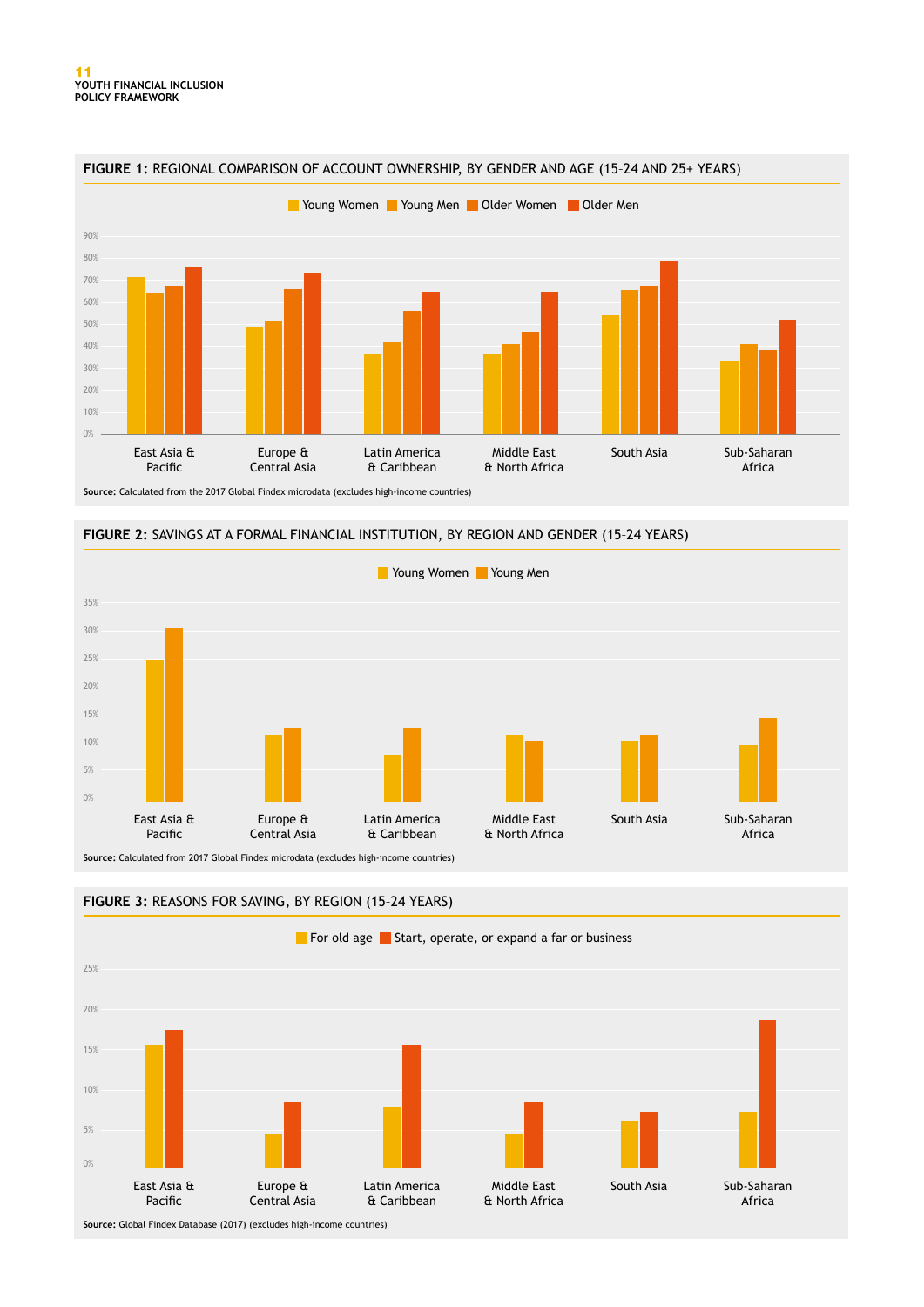





**Source:** Calculated from 2017 Global Findex microdata (excludes high-income countries)



#### **FIGURE 3:** REASONS FOR SAVING, BY REGION (15–24 YEARS)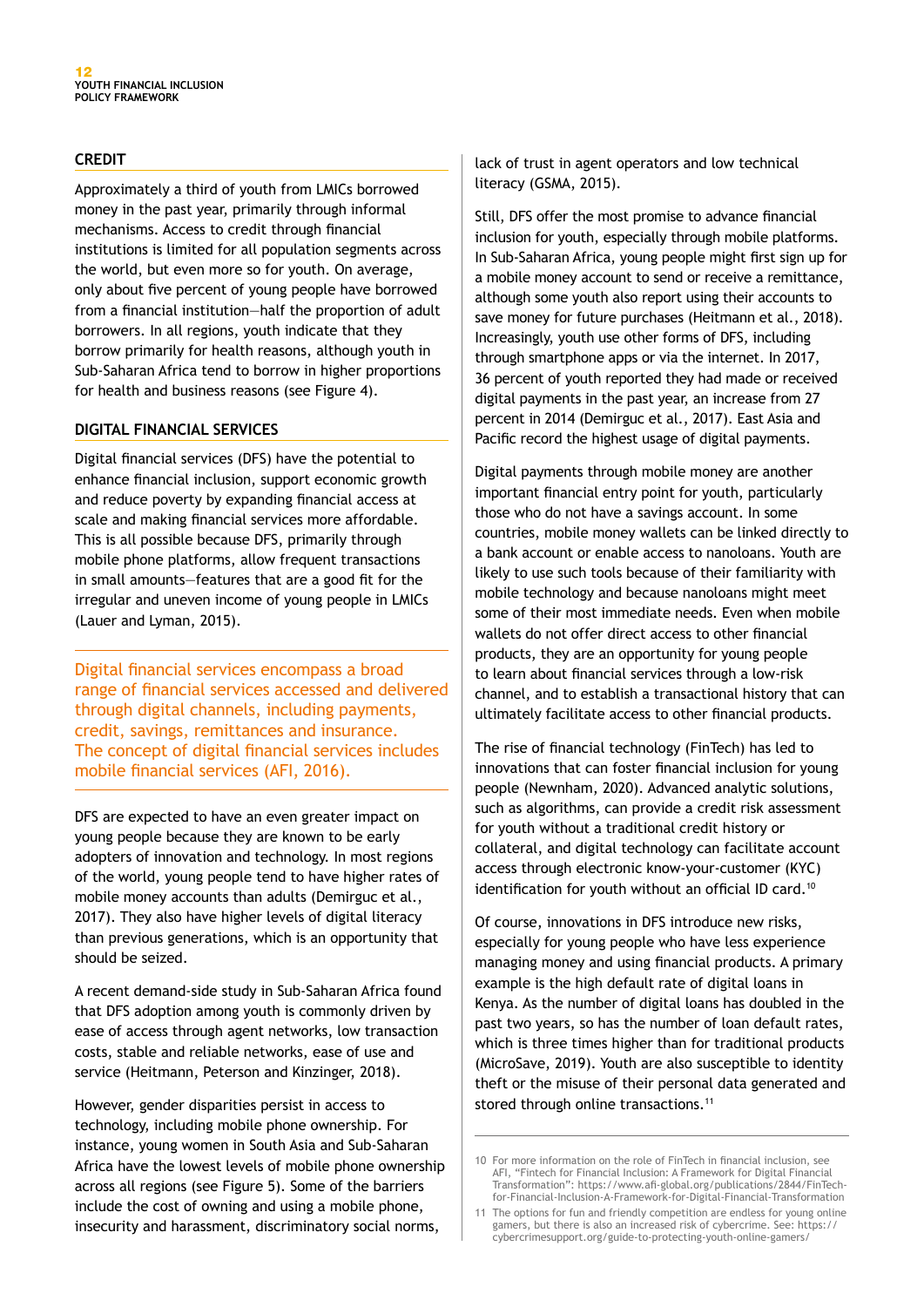#### **CREDIT**

Approximately a third of youth from LMICs borrowed money in the past year, primarily through informal mechanisms. Access to credit through financial institutions is limited for all population segments across the world, but even more so for youth. On average, only about five percent of young people have borrowed from a financial institution—half the proportion of adult borrowers. In all regions, youth indicate that they borrow primarily for health reasons, although youth in Sub-Saharan Africa tend to borrow in higher proportions for health and business reasons (see Figure 4).

#### **DIGITAL FINANCIAL SERVICES**

Digital financial services (DFS) have the potential to enhance financial inclusion, support economic growth and reduce poverty by expanding financial access at scale and making financial services more affordable. This is all possible because DFS, primarily through mobile phone platforms, allow frequent transactions in small amounts—features that are a good fit for the irregular and uneven income of young people in LMICs (Lauer and Lyman, 2015).

Digital financial services encompass a broad range of financial services accessed and delivered through digital channels, including payments, credit, savings, remittances and insurance. The concept of digital financial services includes mobile financial services (AFI, 2016).

DFS are expected to have an even greater impact on young people because they are known to be early adopters of innovation and technology. In most regions of the world, young people tend to have higher rates of mobile money accounts than adults (Demirguc et al., 2017). They also have higher levels of digital literacy than previous generations, which is an opportunity that should be seized.

A recent demand-side study in Sub-Saharan Africa found that DFS adoption among youth is commonly driven by ease of access through agent networks, low transaction costs, stable and reliable networks, ease of use and service (Heitmann, Peterson and Kinzinger, 2018).

However, gender disparities persist in access to technology, including mobile phone ownership. For instance, young women in South Asia and Sub-Saharan Africa have the lowest levels of mobile phone ownership across all regions (see Figure 5). Some of the barriers include the cost of owning and using a mobile phone, insecurity and harassment, discriminatory social norms,

lack of trust in agent operators and low technical literacy (GSMA, 2015).

Still, DFS offer the most promise to advance financial inclusion for youth, especially through mobile platforms. In Sub-Saharan Africa, young people might first sign up for a mobile money account to send or receive a remittance, although some youth also report using their accounts to save money for future purchases (Heitmann et al., 2018). Increasingly, youth use other forms of DFS, including through smartphone apps or via the internet. In 2017, 36 percent of youth reported they had made or received digital payments in the past year, an increase from 27 percent in 2014 (Demirguc et al., 2017). East Asia and Pacific record the highest usage of digital payments.

Digital payments through mobile money are another important financial entry point for youth, particularly those who do not have a savings account. In some countries, mobile money wallets can be linked directly to a bank account or enable access to nanoloans. Youth are likely to use such tools because of their familiarity with mobile technology and because nanoloans might meet some of their most immediate needs. Even when mobile wallets do not offer direct access to other financial products, they are an opportunity for young people to learn about financial services through a low-risk channel, and to establish a transactional history that can ultimately facilitate access to other financial products.

The rise of financial technology (FinTech) has led to innovations that can foster financial inclusion for young people (Newnham, 2020). Advanced analytic solutions, such as algorithms, can provide a credit risk assessment for youth without a traditional credit history or collateral, and digital technology can facilitate account access through electronic know-your-customer (KYC) identification for youth without an official ID card.<sup>10</sup>

Of course, innovations in DFS introduce new risks, especially for young people who have less experience managing money and using financial products. A primary example is the high default rate of digital loans in Kenya. As the number of digital loans has doubled in the past two years, so has the number of loan default rates, which is three times higher than for traditional products (MicroSave, 2019). Youth are also susceptible to identity theft or the misuse of their personal data generated and stored through online transactions.<sup>11</sup>

<sup>10</sup> For more information on the role of FinTech in financial inclusion, see AFI, "Fintech for Financial Inclusion: A Framework for Digital Financial Transformation": https://www.afi-global.org/publications/2844/FinTechfor-Financial-Inclusion-A-Framework-for-Digital-Financial-Transformation

<sup>11</sup> The options for fun and friendly competition are endless for young online gamers, but there is also an increased risk of cybercrime. See: https:// cybercrimesupport.org/guide-to-protecting-youth-online-gamers/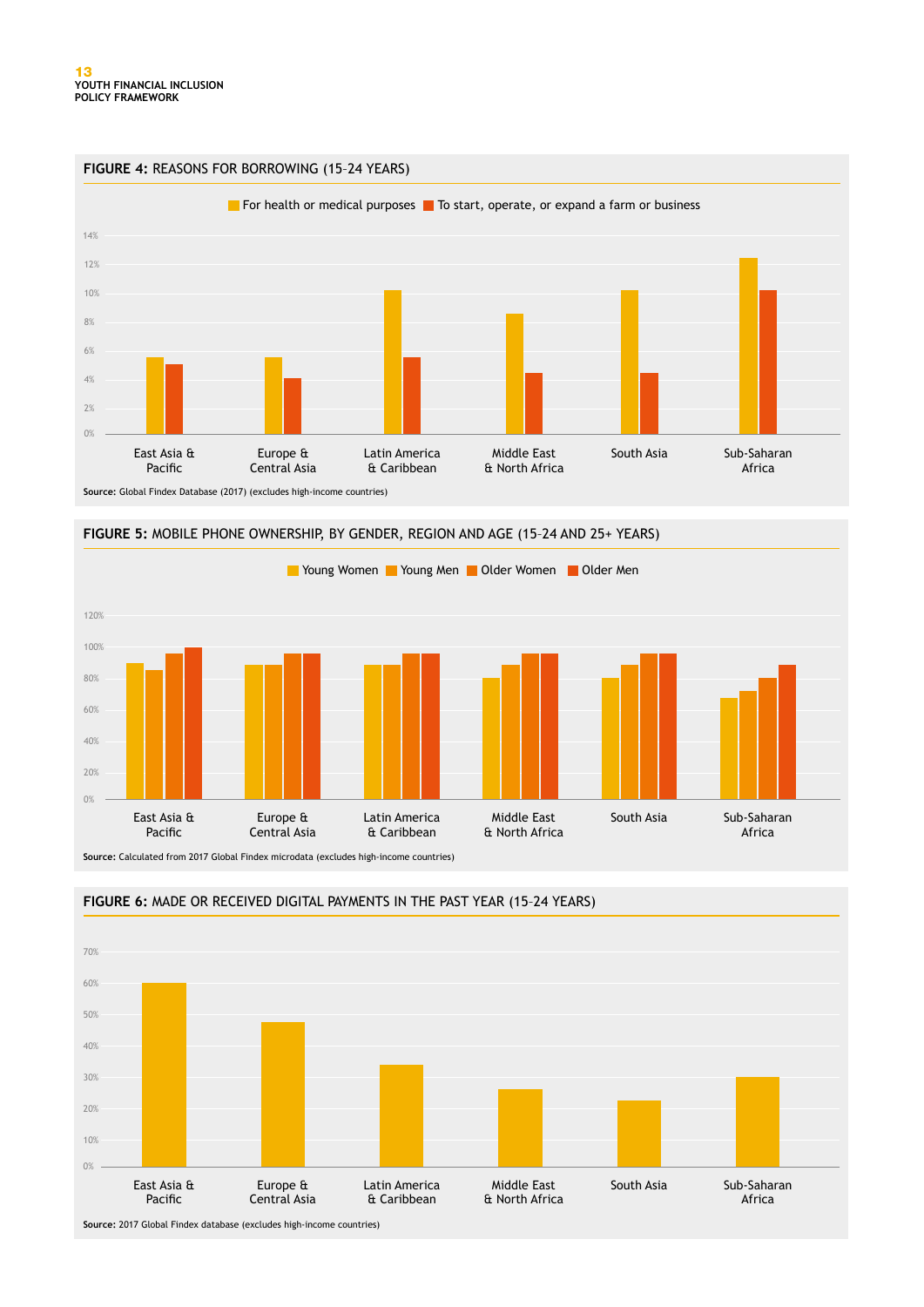



**FIGURE 5:** MOBILE PHONE OWNERSHIP, BY GENDER, REGION AND AGE (15–24 AND 25+ YEARS)

**Source:** Calculated from 2017 Global Findex microdata (excludes high-income countries)



#### **FIGURE 6:** MADE OR RECEIVED DIGITAL PAYMENTS IN THE PAST YEAR (15–24 YEARS)

**Source:** 2017 Global Findex database (excludes high-income countries)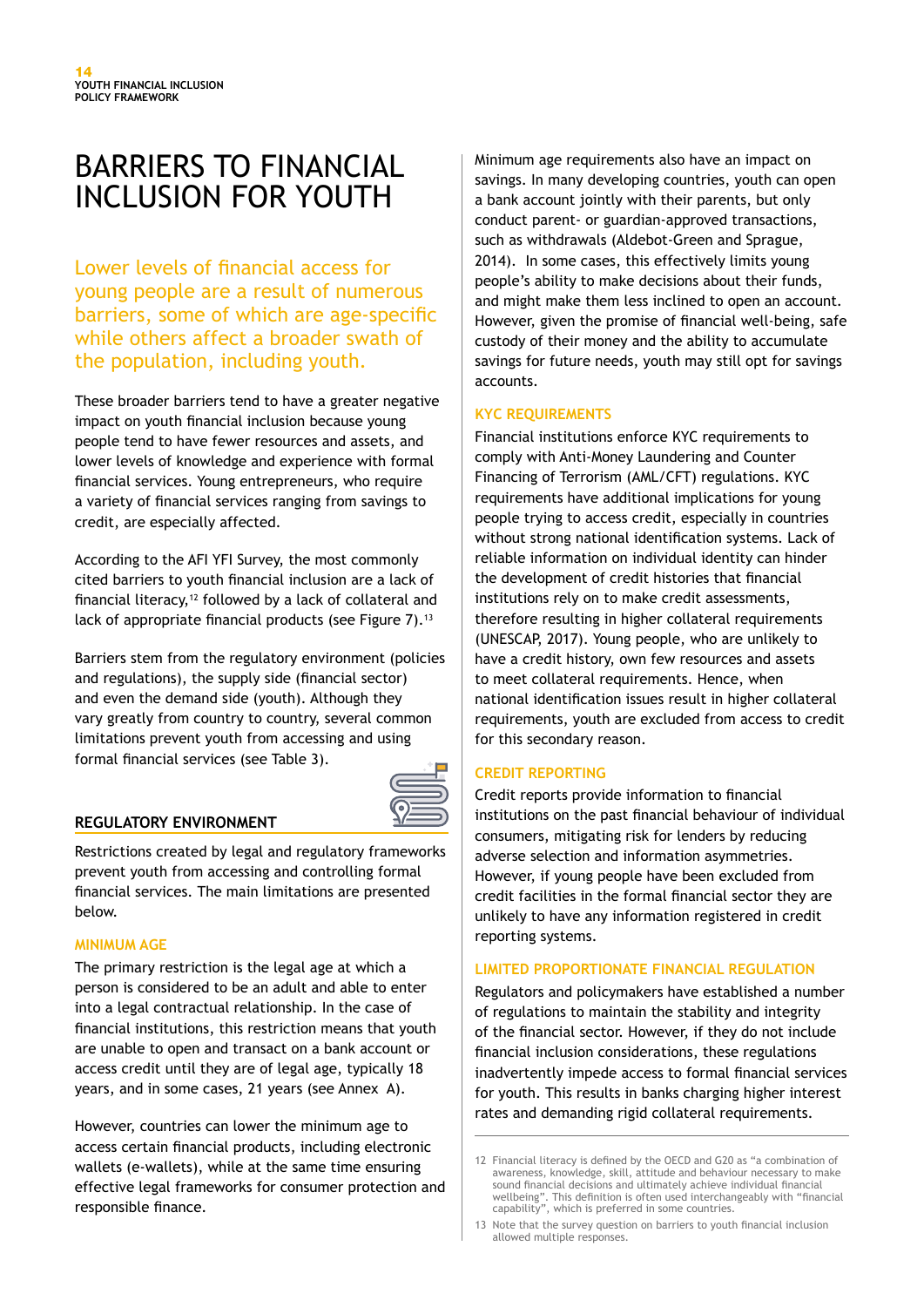# BARRIERS TO FINANCIAL INCLUSION FOR YOUTH

Lower levels of financial access for young people are a result of numerous barriers, some of which are age-specific while others affect a broader swath of the population, including youth.

These broader barriers tend to have a greater negative impact on youth financial inclusion because young people tend to have fewer resources and assets, and lower levels of knowledge and experience with formal financial services. Young entrepreneurs, who require a variety of financial services ranging from savings to credit, are especially affected.

According to the AFI YFI Survey, the most commonly cited barriers to youth financial inclusion are a lack of financial literacy,<sup>12</sup> followed by a lack of collateral and lack of appropriate financial products (see Figure 7).<sup>13</sup>

Barriers stem from the regulatory environment (policies and regulations), the supply side (financial sector) and even the demand side (youth). Although they vary greatly from country to country, several common limitations prevent youth from accessing and using formal financial services (see Table 3).



#### **REGULATORY ENVIRONMENT**

Restrictions created by legal and regulatory frameworks prevent youth from accessing and controlling formal financial services. The main limitations are presented below.

#### **MINIMUM AGE**

The primary restriction is the legal age at which a person is considered to be an adult and able to enter into a legal contractual relationship. In the case of financial institutions, this restriction means that youth are unable to open and transact on a bank account or access credit until they are of legal age, typically 18 years, and in some cases, 21 years (see Annex A).

However, countries can lower the minimum age to access certain financial products, including electronic wallets (e-wallets), while at the same time ensuring effective legal frameworks for consumer protection and responsible finance.

Minimum age requirements also have an impact on savings. In many developing countries, youth can open a bank account jointly with their parents, but only conduct parent- or guardian-approved transactions, such as withdrawals (Aldebot-Green and Sprague, 2014). In some cases, this effectively limits young people's ability to make decisions about their funds, and might make them less inclined to open an account. However, given the promise of financial well-being, safe custody of their money and the ability to accumulate savings for future needs, youth may still opt for savings accounts.

#### **KYC REQUIREMENTS**

Financial institutions enforce KYC requirements to comply with Anti-Money Laundering and Counter Financing of Terrorism (AML/CFT) regulations. KYC requirements have additional implications for young people trying to access credit, especially in countries without strong national identification systems. Lack of reliable information on individual identity can hinder the development of credit histories that financial institutions rely on to make credit assessments, therefore resulting in higher collateral requirements (UNESCAP, 2017). Young people, who are unlikely to have a credit history, own few resources and assets to meet collateral requirements. Hence, when national identification issues result in higher collateral requirements, youth are excluded from access to credit for this secondary reason.

#### **CREDIT REPORTING**

Credit reports provide information to financial institutions on the past financial behaviour of individual consumers, mitigating risk for lenders by reducing adverse selection and information asymmetries. However, if young people have been excluded from credit facilities in the formal financial sector they are unlikely to have any information registered in credit reporting systems.

#### **LIMITED PROPORTIONATE FINANCIAL REGULATION**

Regulators and policymakers have established a number of regulations to maintain the stability and integrity of the financial sector. However, if they do not include financial inclusion considerations, these regulations inadvertently impede access to formal financial services for youth. This results in banks charging higher interest rates and demanding rigid collateral requirements.

<sup>12</sup> Financial literacy is defined by the OECD and G20 as "a combination of awareness, knowledge, skill, attitude and behaviour necessary to make sound financial decisions and ultimately achieve individual financial wellbeing". This definition is often used interchangeably with "financial capability", which is preferred in some countries.

<sup>13</sup> Note that the survey question on barriers to youth financial inclusion allowed multiple responses.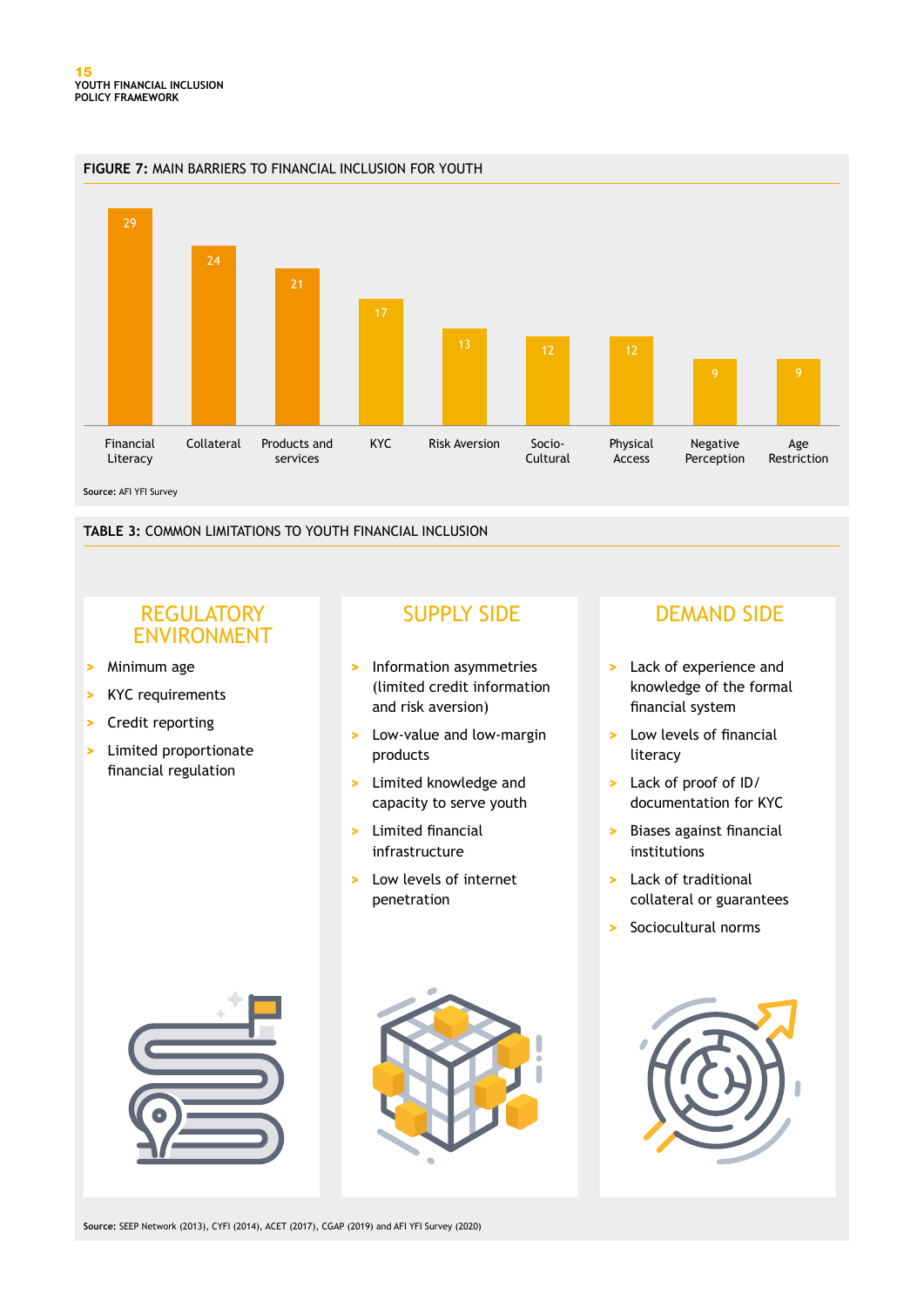

**TABLE 3:** COMMON LIMITATIONS TO YOUTH FINANCIAL INCLUSION

## **REGULATORY** ENVIRONMENT

- **>** Minimum age
- **>** KYC requirements
- **>** Credit reporting
- **>** Limited proportionate financial regulation

- **>** Information asymmetries (limited credit information and risk aversion)
- **>** Low-value and low-margin products
- **>** Limited knowledge and capacity to serve youth
- **>** Limited financial infrastructure
- **>** Low levels of internet penetration

## SUPPLY SIDE DEMAND SIDE

- **>** Lack of experience and knowledge of the formal financial system
- **>** Low levels of financial literacy
- **>** Lack of proof of ID/ documentation for KYC
- **>** Biases against financial institutions
- **>** Lack of traditional collateral or guarantees
- **>** Sociocultural norms





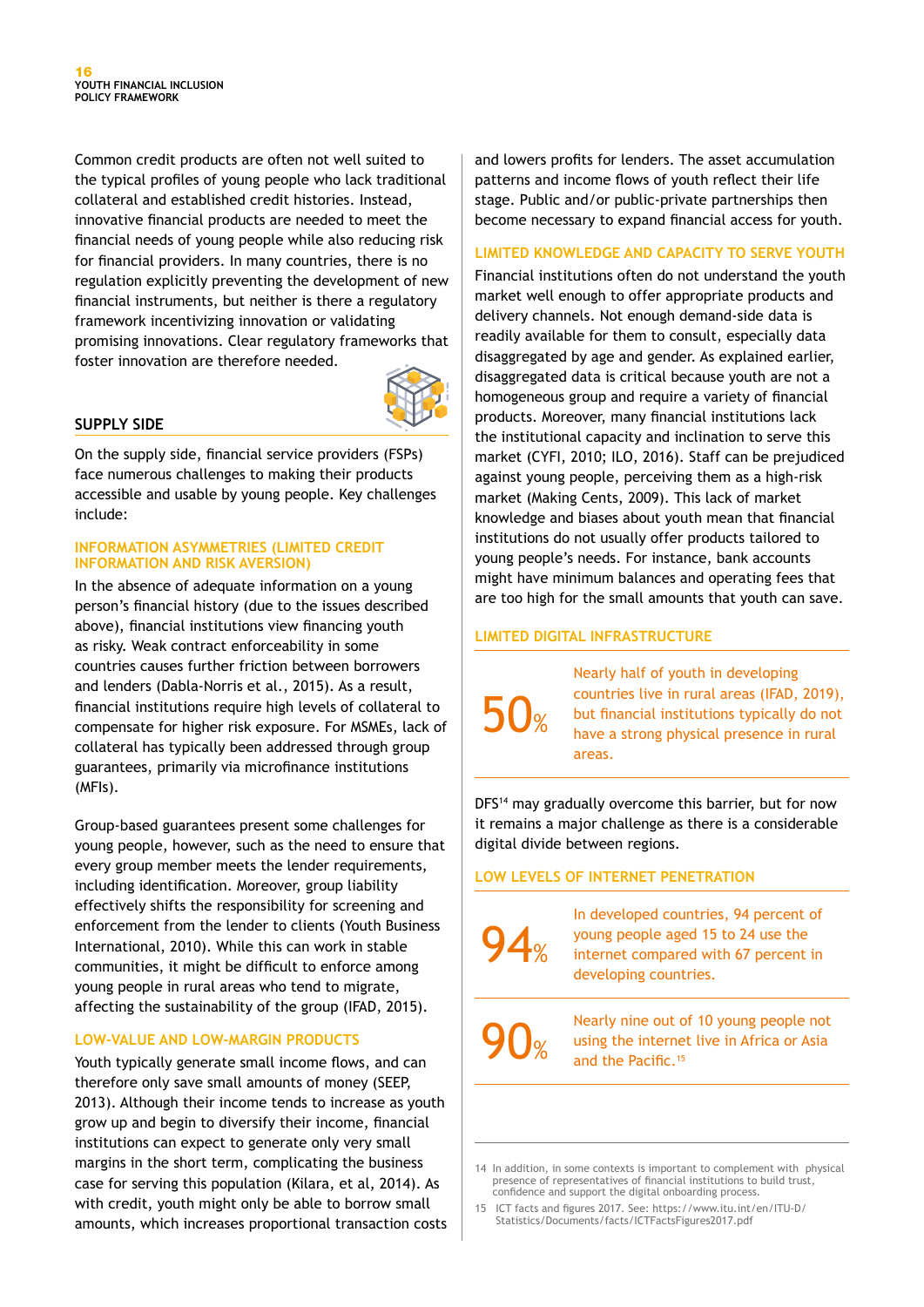Common credit products are often not well suited to the typical profiles of young people who lack traditional collateral and established credit histories. Instead, innovative financial products are needed to meet the financial needs of young people while also reducing risk for financial providers. In many countries, there is no regulation explicitly preventing the development of new financial instruments, but neither is there a regulatory framework incentivizing innovation or validating promising innovations. Clear regulatory frameworks that foster innovation are therefore needed.



#### **SUPPLY SIDE**

On the supply side, financial service providers (FSPs) face numerous challenges to making their products accessible and usable by young people. Key challenges include:

#### **INFORMATION ASYMMETRIES (LIMITED CREDIT INFORMATION AND RISK AVERSION)**

In the absence of adequate information on a young person's financial history (due to the issues described above), financial institutions view financing youth as risky. Weak contract enforceability in some countries causes further friction between borrowers and lenders (Dabla-Norris et al., 2015). As a result, financial institutions require high levels of collateral to compensate for higher risk exposure. For MSMEs, lack of collateral has typically been addressed through group guarantees, primarily via microfinance institutions (MFIs).

Group-based guarantees present some challenges for young people, however, such as the need to ensure that every group member meets the lender requirements, including identification. Moreover, group liability effectively shifts the responsibility for screening and enforcement from the lender to clients (Youth Business International, 2010). While this can work in stable communities, it might be difficult to enforce among young people in rural areas who tend to migrate, affecting the sustainability of the group (IFAD, 2015).

#### **LOW-VALUE AND LOW-MARGIN PRODUCTS**

Youth typically generate small income flows, and can therefore only save small amounts of money (SEEP, 2013). Although their income tends to increase as youth grow up and begin to diversify their income, financial institutions can expect to generate only very small margins in the short term, complicating the business case for serving this population (Kilara, et al, 2014). As with credit, youth might only be able to borrow small amounts, which increases proportional transaction costs

and lowers profits for lenders. The asset accumulation patterns and income flows of youth reflect their life stage. Public and/or public-private partnerships then become necessary to expand financial access for youth.

#### **LIMITED KNOWLEDGE AND CAPACITY TO SERVE YOUTH**

Financial institutions often do not understand the youth market well enough to offer appropriate products and delivery channels. Not enough demand-side data is readily available for them to consult, especially data disaggregated by age and gender. As explained earlier, disaggregated data is critical because youth are not a homogeneous group and require a variety of financial products. Moreover, many financial institutions lack the institutional capacity and inclination to serve this market (CYFI, 2010; ILO, 2016). Staff can be prejudiced against young people, perceiving them as a high-risk market (Making Cents, 2009). This lack of market knowledge and biases about youth mean that financial institutions do not usually offer products tailored to young people's needs. For instance, bank accounts might have minimum balances and operating fees that are too high for the small amounts that youth can save.

#### **LIMITED DIGITAL INFRASTRUCTURE**

50%

Nearly half of youth in developing countries live in rural areas (IFAD, 2019), but financial institutions typically do not have a strong physical presence in rural areas.

DFS<sup>14</sup> may gradually overcome this barrier, but for now it remains a major challenge as there is a considerable digital divide between regions.

#### **LOW LEVELS OF INTERNET PENETRATION**



In developed countries, 94 percent of young people aged 15 to 24 use the internet compared with 67 percent in developing countries.

90%

Nearly nine out of 10 young people not using the internet live in Africa or Asia and the Pacific.<sup>15</sup>

14 In addition, in some contexts is important to complement with physical presence of representatives of financial institutions to build trust, confidence and support the digital onboarding process.

15 ICT facts and figures 2017. See: https://www.itu.int/en/ITU-D/ Statistics/Documents/facts/ICTFactsFigures2017.pdf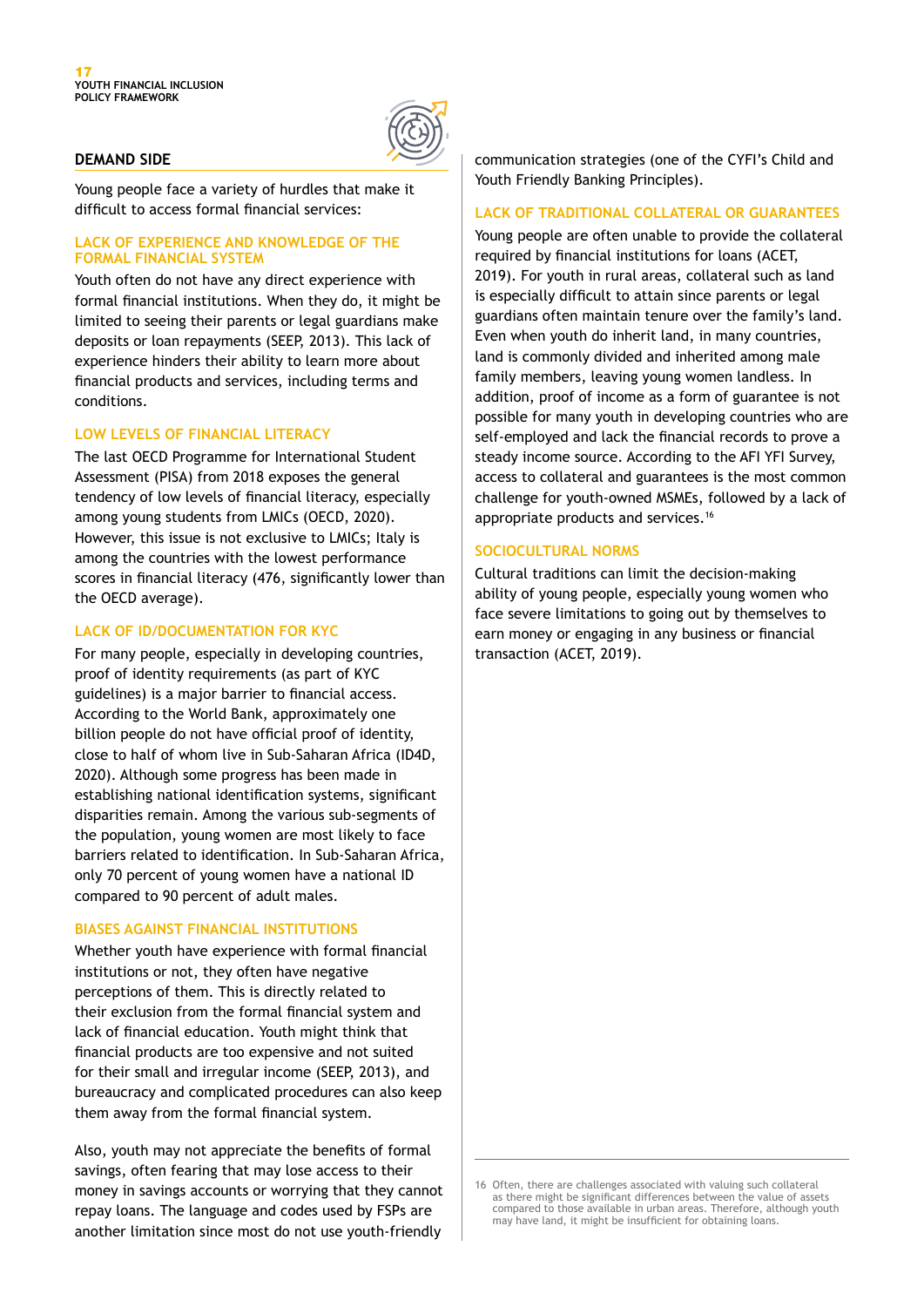

#### **DEMAND SIDE**

Young people face a variety of hurdles that make it difficult to access formal financial services:

#### **LACK OF EXPERIENCE AND KNOWLEDGE OF THE FORMAL FINANCIAL SYSTEM**

Youth often do not have any direct experience with formal financial institutions. When they do, it might be limited to seeing their parents or legal guardians make deposits or loan repayments (SEEP, 2013). This lack of experience hinders their ability to learn more about financial products and services, including terms and conditions.

#### **LOW LEVELS OF FINANCIAL LITERACY**

The last OECD Programme for International Student Assessment (PISA) from 2018 exposes the general tendency of low levels of financial literacy, especially among young students from LMICs (OECD, 2020). However, this issue is not exclusive to LMICs; Italy is among the countries with the lowest performance scores in financial literacy (476, significantly lower than the OECD average).

#### **LACK OF ID/DOCUMENTATION FOR KYC**

For many people, especially in developing countries, proof of identity requirements (as part of KYC guidelines) is a major barrier to financial access. According to the World Bank, approximately one billion people do not have official proof of identity, close to half of whom live in Sub-Saharan Africa (ID4D, 2020). Although some progress has been made in establishing national identification systems, significant disparities remain. Among the various sub-segments of the population, young women are most likely to face barriers related to identification. In Sub-Saharan Africa, only 70 percent of young women have a national ID compared to 90 percent of adult males.

#### **BIASES AGAINST FINANCIAL INSTITUTIONS**

Whether youth have experience with formal financial institutions or not, they often have negative perceptions of them. This is directly related to their exclusion from the formal financial system and lack of financial education. Youth might think that financial products are too expensive and not suited for their small and irregular income (SEEP, 2013), and bureaucracy and complicated procedures can also keep them away from the formal financial system.

Also, youth may not appreciate the benefits of formal savings, often fearing that may lose access to their money in savings accounts or worrying that they cannot repay loans. The language and codes used by FSPs are another limitation since most do not use youth-friendly

communication strategies (one of the CYFI's Child and Youth Friendly Banking Principles).

#### **LACK OF TRADITIONAL COLLATERAL OR GUARANTEES**

Young people are often unable to provide the collateral required by financial institutions for loans (ACET, 2019). For youth in rural areas, collateral such as land is especially difficult to attain since parents or legal guardians often maintain tenure over the family's land. Even when youth do inherit land, in many countries, land is commonly divided and inherited among male family members, leaving young women landless. In addition, proof of income as a form of guarantee is not possible for many youth in developing countries who are self-employed and lack the financial records to prove a steady income source. According to the AFI YFI Survey, access to collateral and guarantees is the most common challenge for youth-owned MSMEs, followed by a lack of appropriate products and services.16

#### **SOCIOCULTURAL NORMS**

Cultural traditions can limit the decision-making ability of young people, especially young women who face severe limitations to going out by themselves to earn money or engaging in any business or financial transaction (ACET, 2019).

<sup>16</sup> Often, there are challenges associated with valuing such collateral as there might be significant differences between the value of assets compared to those available in urban areas. Therefore, although youth may have land, it might be insufficient for obtaining loans.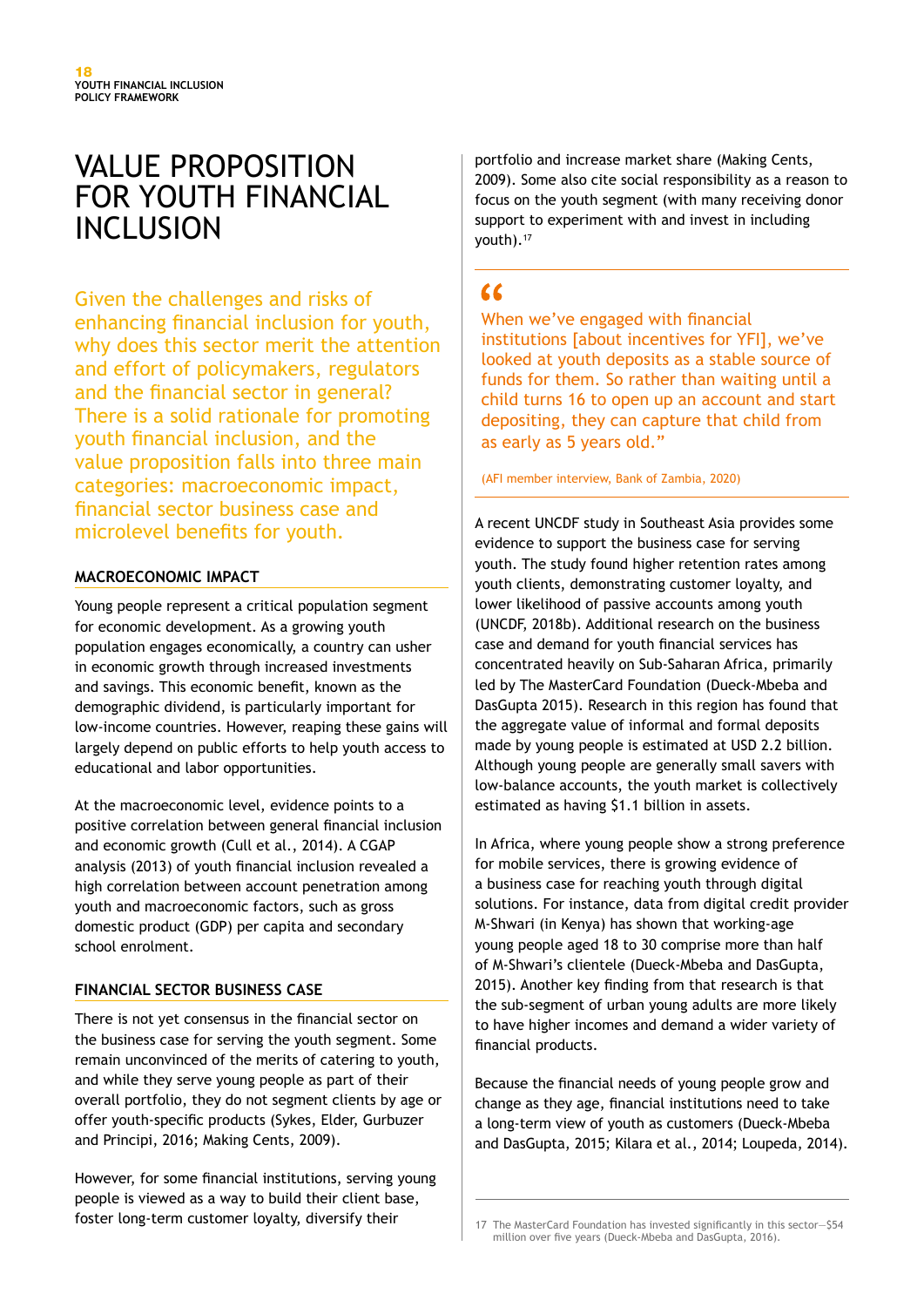# VALUE PROPOSITION FOR YOUTH FINANCIAL **INCLUSION**

Given the challenges and risks of enhancing financial inclusion for youth, why does this sector merit the attention and effort of policymakers, regulators and the financial sector in general? There is a solid rationale for promoting youth financial inclusion, and the value proposition falls into three main categories: macroeconomic impact, financial sector business case and microlevel benefits for youth.

#### **MACROECONOMIC IMPACT**

Young people represent a critical population segment for economic development. As a growing youth population engages economically, a country can usher in economic growth through increased investments and savings. This economic benefit, known as the demographic dividend, is particularly important for low-income countries. However, reaping these gains will largely depend on public efforts to help youth access to educational and labor opportunities.

At the macroeconomic level, evidence points to a positive correlation between general financial inclusion and economic growth (Cull et al., 2014). A CGAP analysis (2013) of youth financial inclusion revealed a high correlation between account penetration among youth and macroeconomic factors, such as gross domestic product (GDP) per capita and secondary school enrolment.

#### **FINANCIAL SECTOR BUSINESS CASE**

There is not yet consensus in the financial sector on the business case for serving the youth segment. Some remain unconvinced of the merits of catering to youth, and while they serve young people as part of their overall portfolio, they do not segment clients by age or offer youth-specific products (Sykes, Elder, Gurbuzer and Principi, 2016; Making Cents, 2009).

However, for some financial institutions, serving young people is viewed as a way to build their client base, foster long-term customer loyalty, diversify their 17 The MasterCard Foundation has invested significantly in this sector-\$54

portfolio and increase market share (Making Cents, 2009). Some also cite social responsibility as a reason to focus on the youth segment (with many receiving donor support to experiment with and invest in including youth).17

## $\epsilon$

When we've engaged with financial institutions [about incentives for YFI], we've looked at youth deposits as a stable source of funds for them. So rather than waiting until a child turns 16 to open up an account and start depositing, they can capture that child from as early as 5 years old."

(AFI member interview, Bank of Zambia, 2020)

A recent UNCDF study in Southeast Asia provides some evidence to support the business case for serving youth. The study found higher retention rates among youth clients, demonstrating customer loyalty, and lower likelihood of passive accounts among youth (UNCDF, 2018b). Additional research on the business case and demand for youth financial services has concentrated heavily on Sub-Saharan Africa, primarily led by The MasterCard Foundation (Dueck-Mbeba and DasGupta 2015). Research in this region has found that the aggregate value of informal and formal deposits made by young people is estimated at USD 2.2 billion. Although young people are generally small savers with low-balance accounts, the youth market is collectively estimated as having \$1.1 billion in assets.

In Africa, where young people show a strong preference for mobile services, there is growing evidence of a business case for reaching youth through digital solutions. For instance, data from digital credit provider M-Shwari (in Kenya) has shown that working-age young people aged 18 to 30 comprise more than half of M-Shwari's clientele (Dueck-Mbeba and DasGupta, 2015). Another key finding from that research is that the sub-segment of urban young adults are more likely to have higher incomes and demand a wider variety of financial products.

Because the financial needs of young people grow and change as they age, financial institutions need to take a long-term view of youth as customers (Dueck-Mbeba and DasGupta, 2015; Kilara et al., 2014; Loupeda, 2014).

million over five years (Dueck-Mbeba and DasGupta, 2016).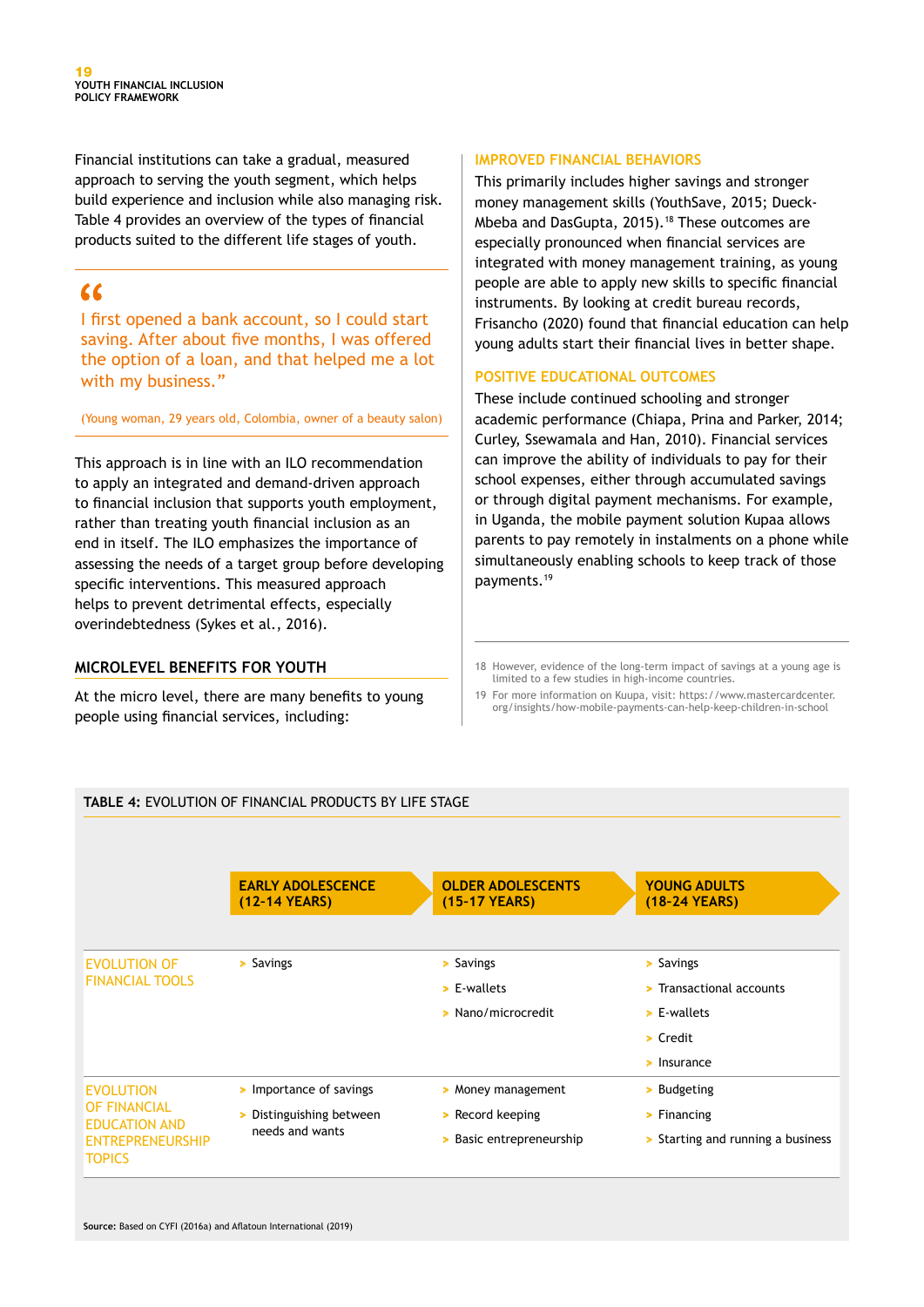Financial institutions can take a gradual, measured approach to serving the youth segment, which helps build experience and inclusion while also managing risk. Table 4 provides an overview of the types of financial products suited to the different life stages of youth.

## $\epsilon$

I first opened a bank account, so I could start saving. After about five months, I was offered the option of a loan, and that helped me a lot with my business."

(Young woman, 29 years old, Colombia, owner of a beauty salon)

This approach is in line with an ILO recommendation to apply an integrated and demand-driven approach to financial inclusion that supports youth employment, rather than treating youth financial inclusion as an end in itself. The ILO emphasizes the importance of assessing the needs of a target group before developing specific interventions. This measured approach helps to prevent detrimental effects, especially overindebtedness (Sykes et al., 2016).

#### **MICROLEVEL BENEFITS FOR YOUTH**

At the micro level, there are many benefits to young people using financial services, including:

#### **IMPROVED FINANCIAL BEHAVIORS**

This primarily includes higher savings and stronger money management skills (YouthSave, 2015; Dueck-Mbeba and DasGupta, 2015).18 These outcomes are especially pronounced when financial services are integrated with money management training, as young people are able to apply new skills to specific financial instruments. By looking at credit bureau records, Frisancho (2020) found that financial education can help young adults start their financial lives in better shape.

#### **POSITIVE EDUCATIONAL OUTCOMES**

These include continued schooling and stronger academic performance (Chiapa, Prina and Parker, 2014; Curley, Ssewamala and Han, 2010). Financial services can improve the ability of individuals to pay for their school expenses, either through accumulated savings or through digital payment mechanisms. For example, in Uganda, the mobile payment solution Kupaa allows parents to pay remotely in instalments on a phone while simultaneously enabling schools to keep track of those payments.19

- 18 However, evidence of the long-term impact of savings at a young age is limited to a few studies in high-income countries.
- 19 For more information on Kuupa, visit: https://www.mastercardcenter. org/insights/how-mobile-payments-can-help-keep-children-in-school

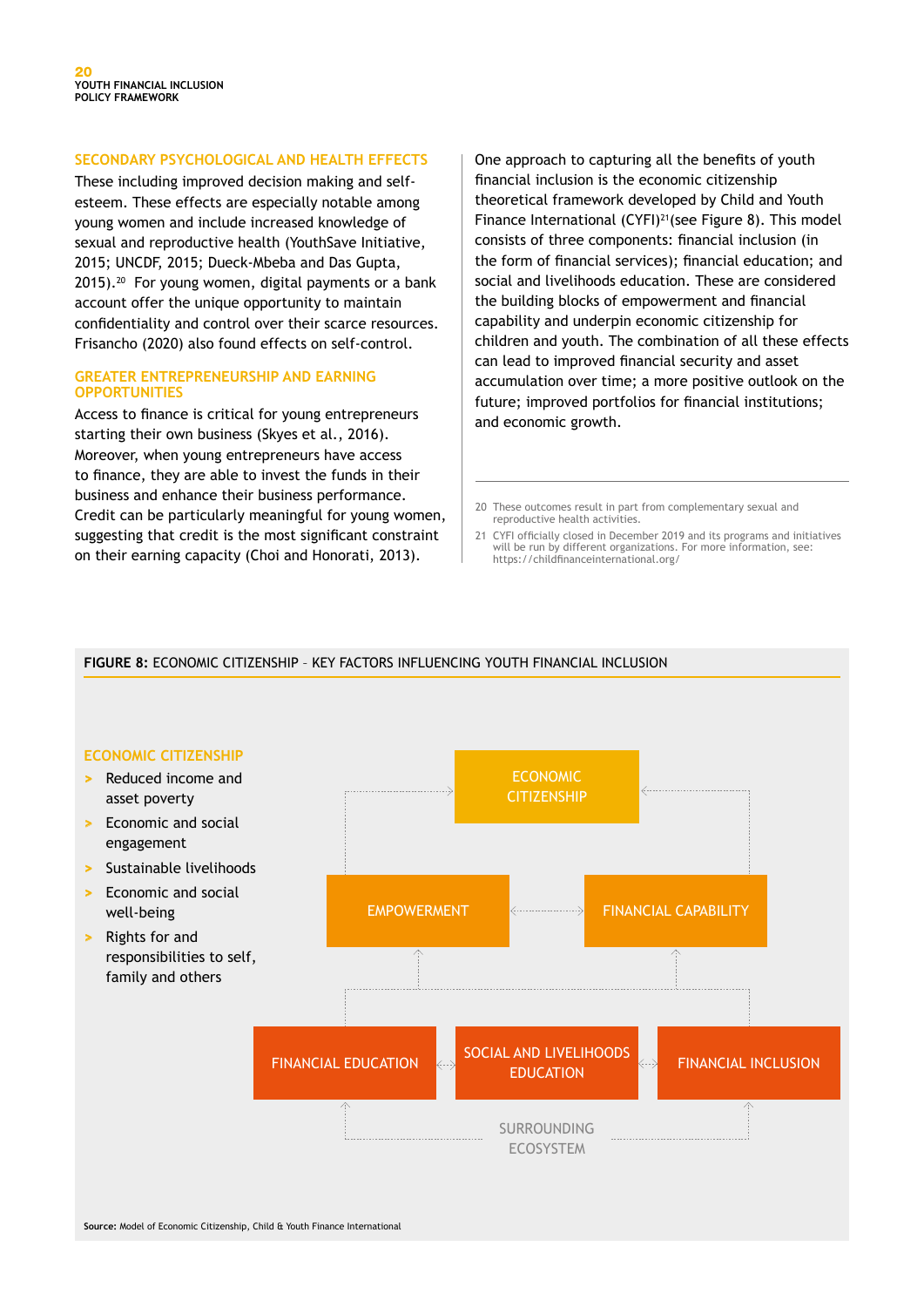#### **SECONDARY PSYCHOLOGICAL AND HEALTH EFFECTS**

These including improved decision making and selfesteem. These effects are especially notable among young women and include increased knowledge of sexual and reproductive health (YouthSave Initiative, 2015; UNCDF, 2015; Dueck-Mbeba and Das Gupta, 2015).<sup>20</sup> For young women, digital payments or a bank account offer the unique opportunity to maintain confidentiality and control over their scarce resources. Frisancho (2020) also found effects on self-control.

#### **GREATER ENTREPRENEURSHIP AND EARNING OPPORTUNITIES**

Access to finance is critical for young entrepreneurs starting their own business (Skyes et al., 2016). Moreover, when young entrepreneurs have access to finance, they are able to invest the funds in their business and enhance their business performance. Credit can be particularly meaningful for young women, suggesting that credit is the most significant constraint on their earning capacity (Choi and Honorati, 2013).

One approach to capturing all the benefits of youth financial inclusion is the economic citizenship theoretical framework developed by Child and Youth Finance International (CYFI)<sup>21</sup>(see Figure 8). This model consists of three components: financial inclusion (in the form of financial services); financial education; and social and livelihoods education. These are considered the building blocks of empowerment and financial capability and underpin economic citizenship for children and youth. The combination of all these effects can lead to improved financial security and asset accumulation over time; a more positive outlook on the future; improved portfolios for financial institutions; and economic growth.

- 20 These outcomes result in part from complementary sexual and reproductive health activities.
- 21 CYFI officially closed in December 2019 and its programs and initiatives will be run by different organizations. For more information, see: https://childfinanceinternational.org/

#### **FIGURE 8:** ECONOMIC CITIZENSHIP – KEY FACTORS INFLUENCING YOUTH FINANCIAL INCLUSION

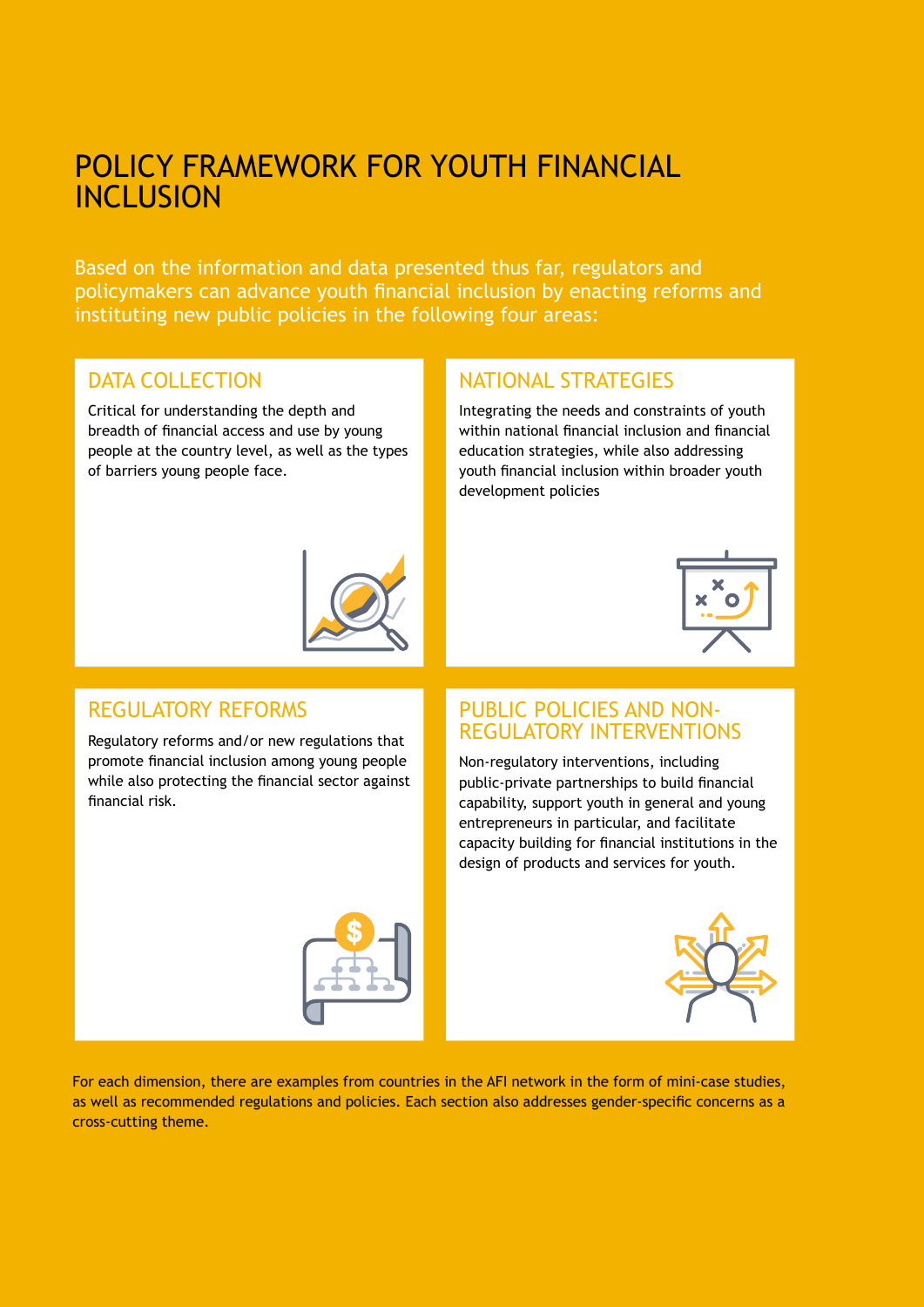# POLICY FRAMEWORK FOR YOUTH FINANCIAL INCLUSION

Based on the information and data presented thus far, regulators and policymakers can advance youth financial inclusion by enacting reforms and instituting new public policies in the following four areas:

## DATA COLLECTION

Critical for understanding the depth and breadth of financial access and use by young people at the country level, as well as the types of barriers young people face.

## NATIONAL STRATEGIES

Integrating the needs and constraints of youth within national financial inclusion and financial education strategies, while also addressing youth financial inclusion within broader youth development policies





### REGULATORY REFORMS

Regulatory reforms and/or new regulations that promote financial inclusion among young people while also protecting the financial sector against financial risk.

## PUBLIC POLICIES AND NON-REGULATORY INTERVENTIONS

Non-regulatory interventions, including public-private partnerships to build financial capability, support youth in general and young entrepreneurs in particular, and facilitate capacity building for financial institutions in the design of products and services for youth.





For each dimension, there are examples from countries in the AFI network in the form of mini-case studies, as well as recommended regulations and policies. Each section also addresses gender-specific concerns as a cross-cutting theme.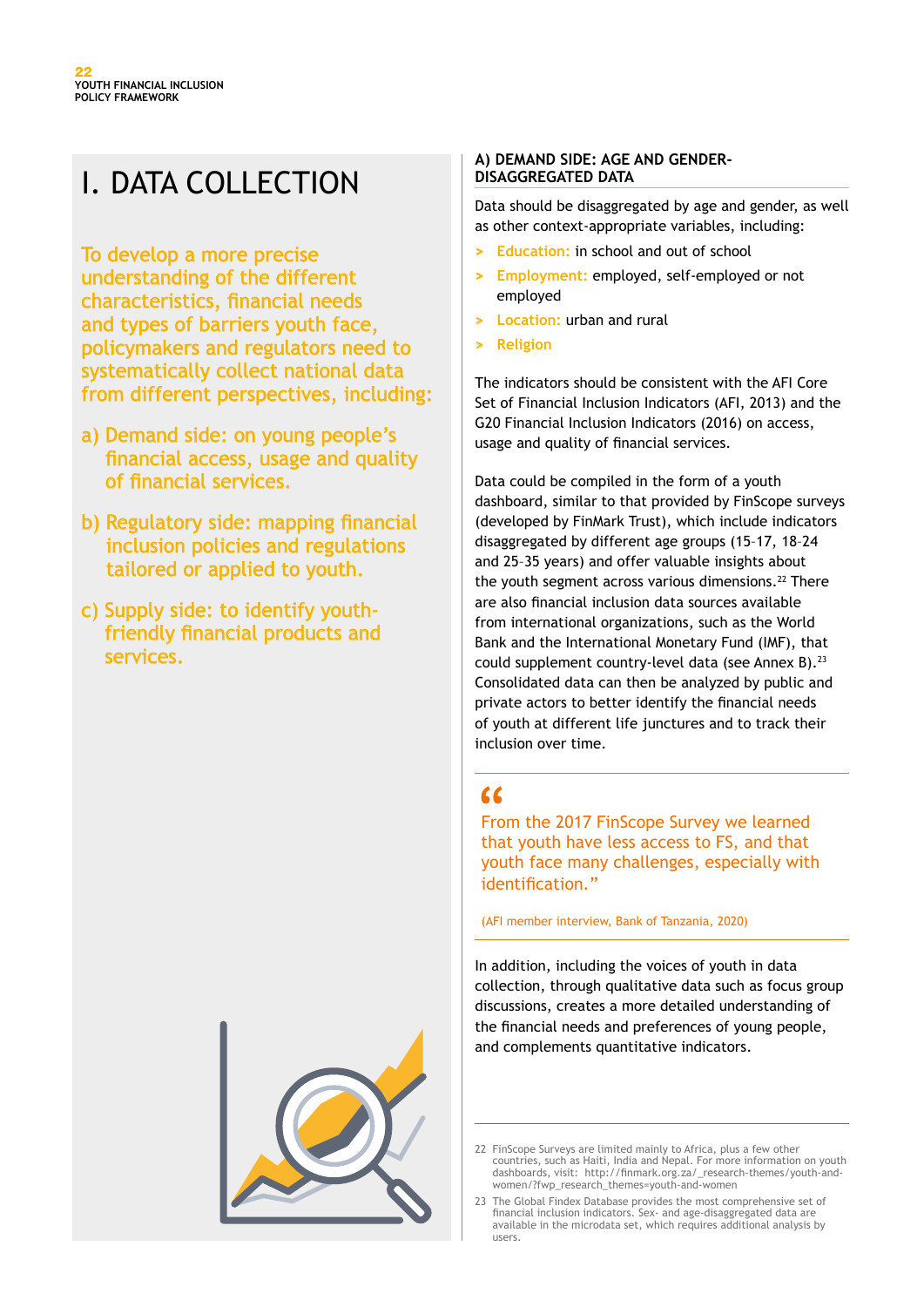# I. DATA COLLECTION

To develop a more precise understanding of the different characteristics, financial needs and types of barriers youth face, policymakers and regulators need to systematically collect national data from different perspectives, including:

- a) Demand side: on young people's financial access, usage and quality of financial services.
- b) Regulatory side: mapping financial inclusion policies and regulations tailored or applied to youth.
- c) Supply side: to identify youthfriendly financial products and services.



#### **A) DEMAND SIDE: AGE AND GENDER-DISAGGREGATED DATA**

Data should be disaggregated by age and gender, as well as other context-appropriate variables, including:

- **> Education:** in school and out of school
- **> Employment:** employed, self-employed or not employed
- **> Location:** urban and rural
- **> Religion**

The indicators should be consistent with the AFI Core Set of Financial Inclusion Indicators (AFI, 2013) and the G20 Financial Inclusion Indicators (2016) on access, usage and quality of financial services.

Data could be compiled in the form of a youth dashboard, similar to that provided by FinScope surveys (developed by FinMark Trust), which include indicators disaggregated by different age groups (15–17, 18–24 and 25–35 years) and offer valuable insights about the youth segment across various dimensions.<sup>22</sup> There are also financial inclusion data sources available from international organizations, such as the World Bank and the International Monetary Fund (IMF), that could supplement country-level data (see Annex B).<sup>23</sup> Consolidated data can then be analyzed by public and private actors to better identify the financial needs of youth at different life junctures and to track their inclusion over time.

## $\epsilon$

From the 2017 FinScope Survey we learned that youth have less access to FS, and that youth face many challenges, especially with identification."

(AFI member interview, Bank of Tanzania, 2020)

In addition, including the voices of youth in data collection, through qualitative data such as focus group discussions, creates a more detailed understanding of the financial needs and preferences of young people, and complements quantitative indicators.

<sup>22</sup> FinScope Surveys are limited mainly to Africa, plus a few other countries, such as Haiti, India and Nepal. For more information on youth dashboards, visit: http://finmark.org.za/\_research-themes/youth-andwomen/?fwp\_research\_themes=youth-and-women

<sup>23</sup> The Global Findex Database provides the most comprehensive set of financial inclusion indicators. Sex- and age-disaggregated data are available in the microdata set, which requires additional analysis by users.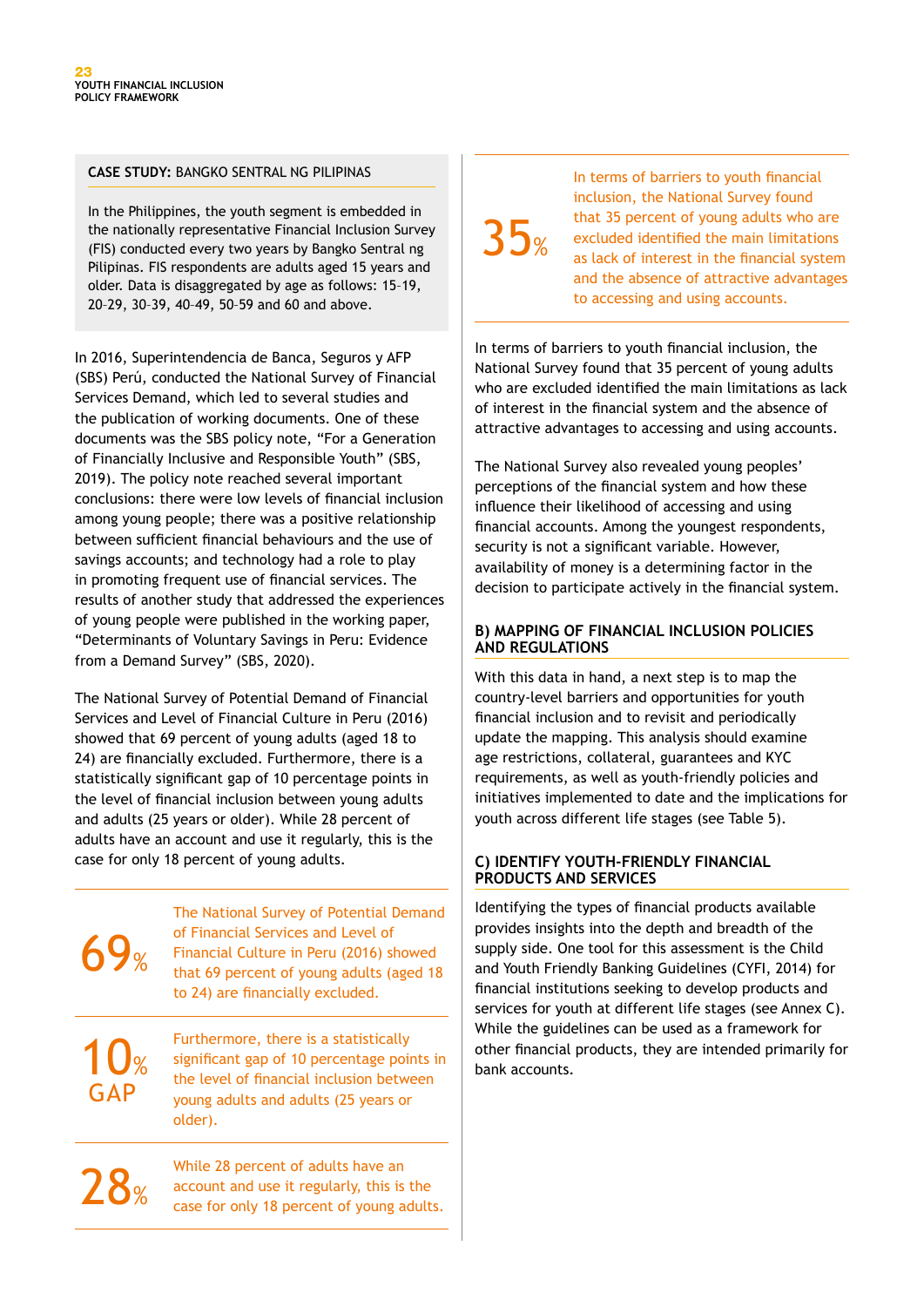#### **CASE STUDY:** BANGKO SENTRAL NG PILIPINAS

In the Philippines, the youth segment is embedded in the nationally representative Financial Inclusion Survey (FIS) conducted every two years by Bangko Sentral ng Pilipinas. FIS respondents are adults aged 15 years and older. Data is disaggregated by age as follows: 15–19, 20–29, 30–39, 40–49, 50–59 and 60 and above.

In 2016, Superintendencia de Banca, Seguros y AFP (SBS) Perú, conducted the National Survey of Financial Services Demand, which led to several studies and the publication of working documents. One of these documents was the SBS policy note, "For a Generation of Financially Inclusive and Responsible Youth" (SBS, 2019). The policy note reached several important conclusions: there were low levels of financial inclusion among young people; there was a positive relationship between sufficient financial behaviours and the use of savings accounts; and technology had a role to play in promoting frequent use of financial services. The results of another study that addressed the experiences of young people were published in the working paper, "Determinants of Voluntary Savings in Peru: Evidence from a Demand Survey" (SBS, 2020).

The National Survey of Potential Demand of Financial Services and Level of Financial Culture in Peru (2016) showed that 69 percent of young adults (aged 18 to 24) are financially excluded. Furthermore, there is a statistically significant gap of 10 percentage points in the level of financial inclusion between young adults and adults (25 years or older). While 28 percent of adults have an account and use it regularly, this is the case for only 18 percent of young adults.

69% The National Survey of Potential Demand of Financial Services and Level of Financial Culture in Peru (2016) showed that 69 percent of young adults (aged 18 to 24) are financially excluded. 10% GAP Furthermore, there is a statistically significant gap of 10 percentage points in the level of financial inclusion between young adults and adults (25 years or older).

 $28%$ 

While 28 percent of adults have an account and use it regularly, this is the case for only 18 percent of young adults.

# $35%$

In terms of barriers to youth financial inclusion, the National Survey found that 35 percent of young adults who are excluded identified the main limitations as lack of interest in the financial system and the absence of attractive advantages to accessing and using accounts.

In terms of barriers to youth financial inclusion, the National Survey found that 35 percent of young adults who are excluded identified the main limitations as lack of interest in the financial system and the absence of attractive advantages to accessing and using accounts.

The National Survey also revealed young peoples' perceptions of the financial system and how these influence their likelihood of accessing and using financial accounts. Among the youngest respondents, security is not a significant variable. However, availability of money is a determining factor in the decision to participate actively in the financial system.

#### **B) MAPPING OF FINANCIAL INCLUSION POLICIES AND REGULATIONS**

With this data in hand, a next step is to map the country-level barriers and opportunities for youth financial inclusion and to revisit and periodically update the mapping. This analysis should examine age restrictions, collateral, guarantees and KYC requirements, as well as youth-friendly policies and initiatives implemented to date and the implications for youth across different life stages (see Table 5).

#### **C) IDENTIFY YOUTH-FRIENDLY FINANCIAL PRODUCTS AND SERVICES**

Identifying the types of financial products available provides insights into the depth and breadth of the supply side. One tool for this assessment is the Child and Youth Friendly Banking Guidelines (CYFI, 2014) for financial institutions seeking to develop products and services for youth at different life stages (see Annex C). While the guidelines can be used as a framework for other financial products, they are intended primarily for bank accounts.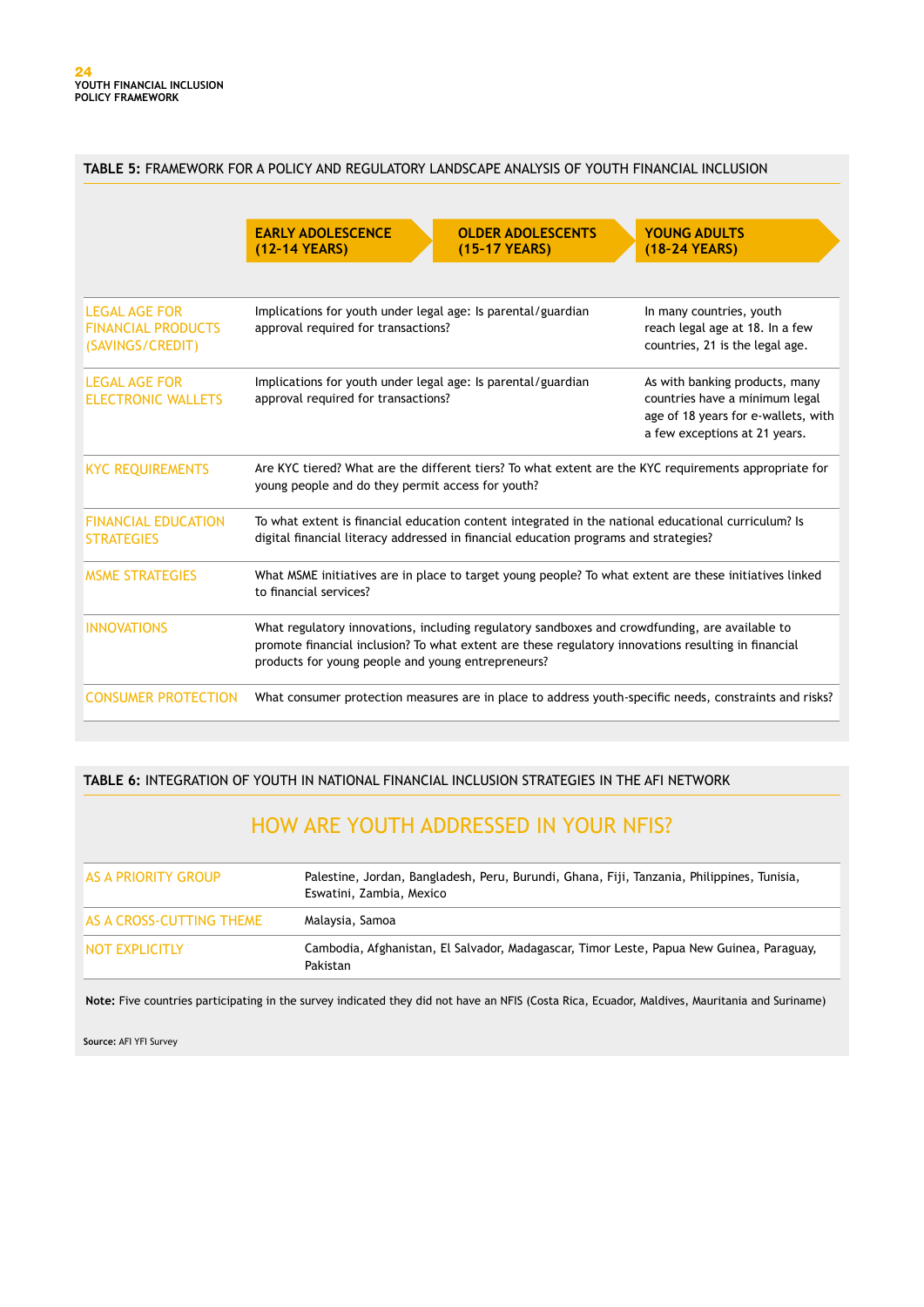|                                                                       | TABLE 5: FRAMEWORK FOR A POLICY AND REGULATORY LANDSCAPE ANALYSIS OF YOUTH FINANCIAL INCLUSION                                                                                                                                                              |                                                                                                |  |
|-----------------------------------------------------------------------|-------------------------------------------------------------------------------------------------------------------------------------------------------------------------------------------------------------------------------------------------------------|------------------------------------------------------------------------------------------------|--|
|                                                                       | <b>EARLY ADOLESCENCE</b><br><b>OLDER ADOLESCENTS</b><br>(12-14 YEARS)<br>(15-17 YEARS)                                                                                                                                                                      | <b>YOUNG ADULTS</b><br>(18-24 YEARS)                                                           |  |
| <b>LEGAL AGE FOR</b><br><b>FINANCIAL PRODUCTS</b><br>(SAVINGS/CREDIT) | Implications for youth under legal age: Is parental/guardian<br>approval required for transactions?                                                                                                                                                         | In many countries, youth<br>reach legal age at 18. In a few<br>countries, 21 is the legal age. |  |
| <b>LEGAL AGE FOR</b><br><b>ELECTRONIC WALLETS</b>                     | Implications for youth under legal age: Is parental/guardian<br>As with banking products, many<br>approval required for transactions?<br>countries have a minimum legal<br>age of 18 years for e-wallets, with<br>a few exceptions at 21 years.             |                                                                                                |  |
| <b>KYC REQUIREMENTS</b>                                               | Are KYC tiered? What are the different tiers? To what extent are the KYC requirements appropriate for<br>young people and do they permit access for youth?                                                                                                  |                                                                                                |  |
| <b>FINANCIAL EDUCATION</b><br><b>STRATEGIES</b>                       | To what extent is financial education content integrated in the national educational curriculum? Is<br>digital financial literacy addressed in financial education programs and strategies?                                                                 |                                                                                                |  |
| <b>MSME STRATEGIES</b>                                                | What MSME initiatives are in place to target young people? To what extent are these initiatives linked<br>to financial services?                                                                                                                            |                                                                                                |  |
| <b>INNOVATIONS</b>                                                    | What regulatory innovations, including regulatory sandboxes and crowdfunding, are available to<br>promote financial inclusion? To what extent are these regulatory innovations resulting in financial<br>products for young people and young entrepreneurs? |                                                                                                |  |
| <b>CONSUMER PROTECTION</b>                                            | What consumer protection measures are in place to address youth-specific needs, constraints and risks?                                                                                                                                                      |                                                                                                |  |

#### **TABLE 6:** INTEGRATION OF YOUTH IN NATIONAL FINANCIAL INCLUSION STRATEGIES IN THE AFI NETWORK

## HOW ARE YOUTH ADDRESSED IN YOUR NFIS?

| AS A PRIORITY GROUP      | Palestine, Jordan, Bangladesh, Peru, Burundi, Ghana, Fiji, Tanzania, Philippines, Tunisia,<br>Eswatini, Zambia, Mexico |
|--------------------------|------------------------------------------------------------------------------------------------------------------------|
| AS A CROSS-CUTTING THEME | Malaysia, Samoa                                                                                                        |
| NOT EXPLICITLY           | Cambodia, Afghanistan, El Salvador, Madagascar, Timor Leste, Papua New Guinea, Paraguay,<br>Pakistan                   |

**Note:** Five countries participating in the survey indicated they did not have an NFIS (Costa Rica, Ecuador, Maldives, Mauritania and Suriname)

**Source:** AFI YFI Survey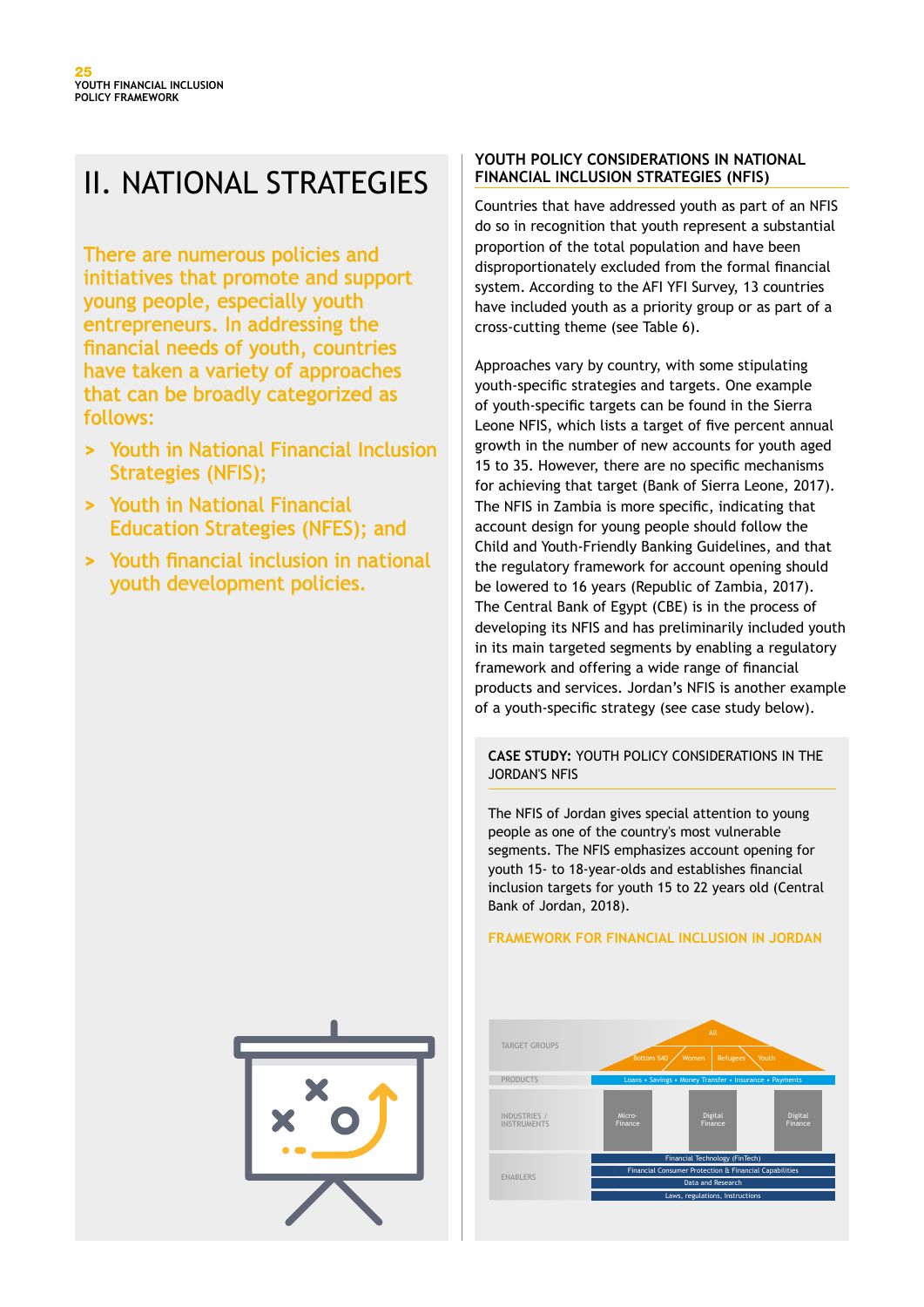# II. NATIONAL STRATEGIES

There are numerous policies and initiatives that promote and support young people, especially youth entrepreneurs. In addressing the financial needs of youth, countries have taken a variety of approaches that can be broadly categorized as follows:

- **>** Youth in National Financial Inclusion Strategies (NFIS);
- **>** Youth in National Financial Education Strategies (NFES); and
- **>** Youth financial inclusion in national youth development policies.

#### **YOUTH POLICY CONSIDERATIONS IN NATIONAL FINANCIAL INCLUSION STRATEGIES (NFIS)**

Countries that have addressed youth as part of an NFIS do so in recognition that youth represent a substantial proportion of the total population and have been disproportionately excluded from the formal financial system. According to the AFI YFI Survey, 13 countries have included youth as a priority group or as part of a cross-cutting theme (see Table 6).

Approaches vary by country, with some stipulating youth-specific strategies and targets. One example of youth-specific targets can be found in the Sierra Leone NFIS, which lists a target of five percent annual growth in the number of new accounts for youth aged 15 to 35. However, there are no specific mechanisms for achieving that target (Bank of Sierra Leone, 2017). The NFIS in Zambia is more specific, indicating that account design for young people should follow the Child and Youth-Friendly Banking Guidelines, and that the regulatory framework for account opening should be lowered to 16 years (Republic of Zambia, 2017). The Central Bank of Egypt (CBE) is in the process of developing its NFIS and has preliminarily included youth in its main targeted segments by enabling a regulatory framework and offering a wide range of financial products and services. Jordan's NFIS is another example of a youth-specific strategy (see case study below).

#### **CASE STUDY:** YOUTH POLICY CONSIDERATIONS IN THE JORDAN'S NFIS

The NFIS of Jordan gives special attention to young people as one of the country's most vulnerable segments. The NFIS emphasizes account opening for youth 15- to 18-year-olds and establishes financial inclusion targets for youth 15 to 22 years old (Central Bank of Jordan, 2018).

#### **FRAMEWORK FOR FINANCIAL INCLUSION IN JORDAN**



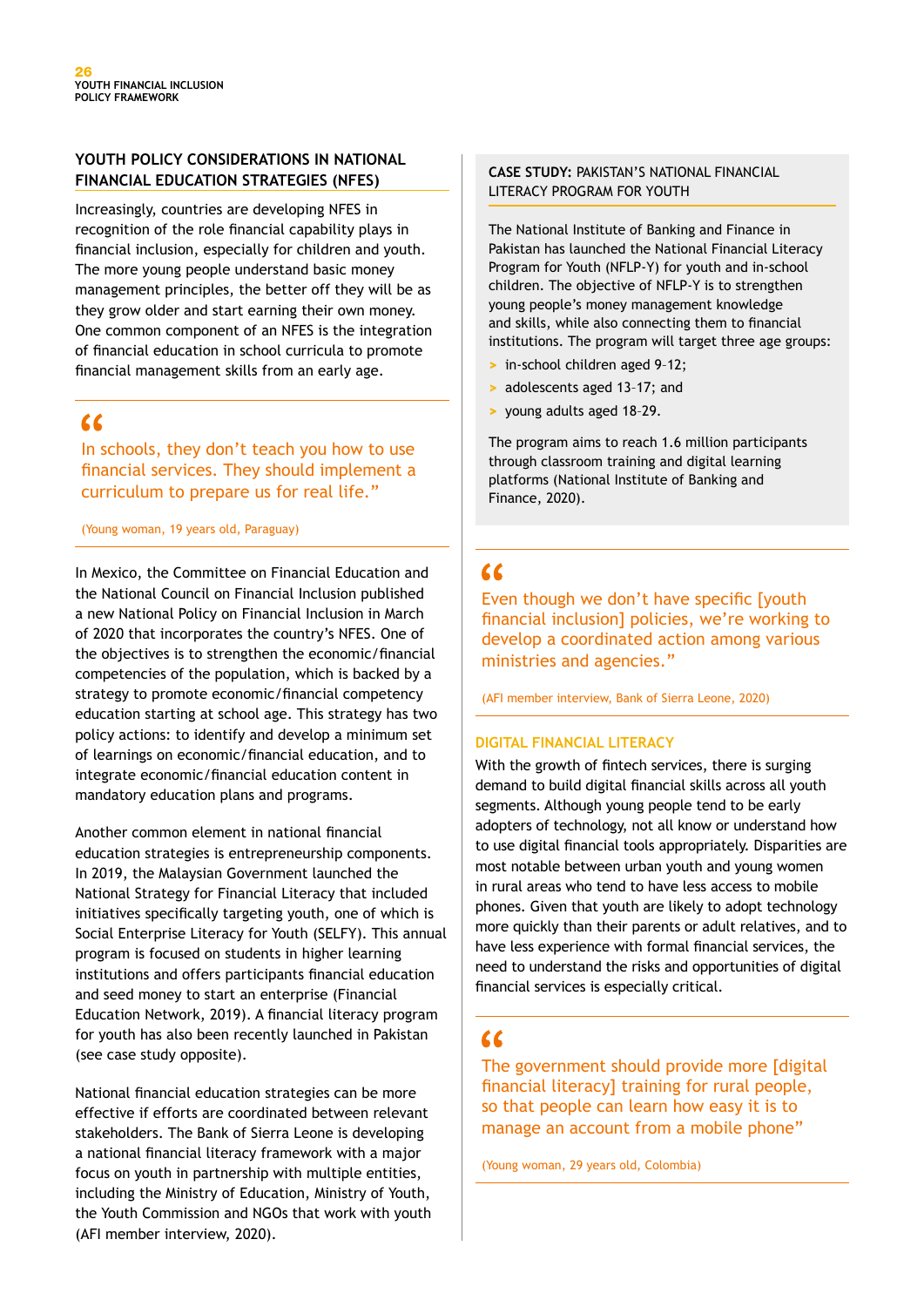#### **YOUTH POLICY CONSIDERATIONS IN NATIONAL FINANCIAL EDUCATION STRATEGIES (NFES)**

Increasingly, countries are developing NFES in recognition of the role financial capability plays in financial inclusion, especially for children and youth. The more young people understand basic money management principles, the better off they will be as they grow older and start earning their own money. One common component of an NFES is the integration of financial education in school curricula to promote financial management skills from an early age.

## $\epsilon$

In schools, they don't teach you how to use financial services. They should implement a curriculum to prepare us for real life."

(Young woman, 19 years old, Paraguay)

In Mexico, the Committee on Financial Education and the National Council on Financial Inclusion published a new National Policy on Financial Inclusion in March of 2020 that incorporates the country's NFES. One of the objectives is to strengthen the economic/financial competencies of the population, which is backed by a strategy to promote economic/financial competency education starting at school age. This strategy has two policy actions: to identify and develop a minimum set of learnings on economic/financial education, and to integrate economic/financial education content in mandatory education plans and programs.

Another common element in national financial education strategies is entrepreneurship components. In 2019, the Malaysian Government launched the National Strategy for Financial Literacy that included initiatives specifically targeting youth, one of which is Social Enterprise Literacy for Youth (SELFY). This annual program is focused on students in higher learning institutions and offers participants financial education and seed money to start an enterprise (Financial Education Network, 2019). A financial literacy program for youth has also been recently launched in Pakistan (see case study opposite).

National financial education strategies can be more effective if efforts are coordinated between relevant stakeholders. The Bank of Sierra Leone is developing a national financial literacy framework with a major focus on youth in partnership with multiple entities, including the Ministry of Education, Ministry of Youth, the Youth Commission and NGOs that work with youth (AFI member interview, 2020).

#### **CASE STUDY:** PAKISTAN'S NATIONAL FINANCIAL LITERACY PROGRAM FOR YOUTH

The National Institute of Banking and Finance in Pakistan has launched the National Financial Literacy Program for Youth (NFLP-Y) for youth and in-school children. The objective of NFLP-Y is to strengthen young people's money management knowledge and skills, while also connecting them to financial institutions. The program will target three age groups:

- **>** in-school children aged 9–12;
- **>** adolescents aged 13–17; and
- **>** young adults aged 18–29.

The program aims to reach 1.6 million participants through classroom training and digital learning platforms (National Institute of Banking and Finance, 2020).

## $\alpha$

Even though we don't have specific [youth financial inclusion] policies, we're working to develop a coordinated action among various ministries and agencies."

(AFI member interview, Bank of Sierra Leone, 2020)

#### **DIGITAL FINANCIAL LITERACY**

With the growth of fintech services, there is surging demand to build digital financial skills across all youth segments. Although young people tend to be early adopters of technology, not all know or understand how to use digital financial tools appropriately. Disparities are most notable between urban youth and young women in rural areas who tend to have less access to mobile phones. Given that youth are likely to adopt technology more quickly than their parents or adult relatives, and to have less experience with formal financial services, the need to understand the risks and opportunities of digital financial services is especially critical.

## $\epsilon$

The government should provide more [digital financial literacy] training for rural people, so that people can learn how easy it is to manage an account from a mobile phone"

(Young woman, 29 years old, Colombia)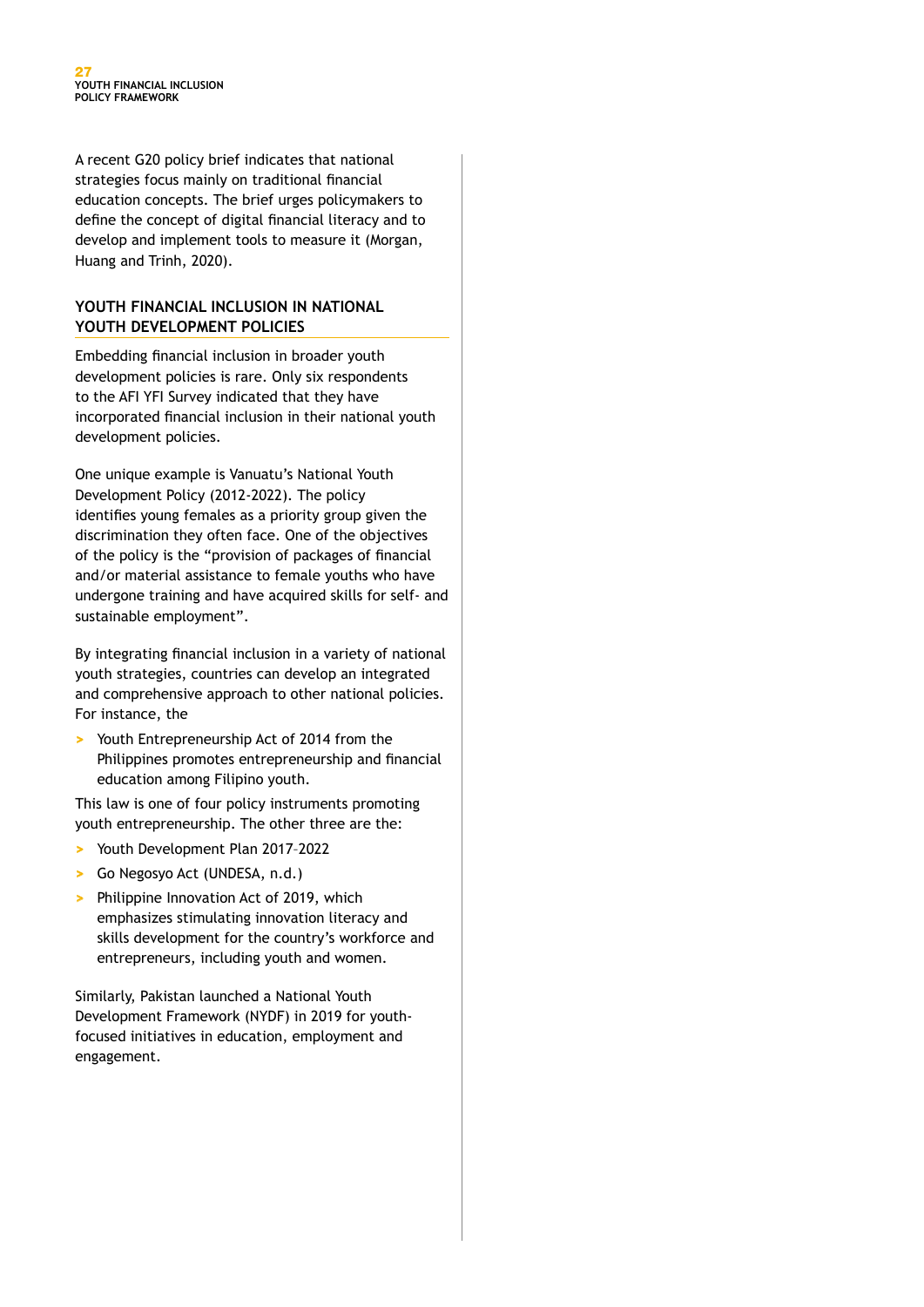A recent G20 policy brief indicates that national strategies focus mainly on traditional financial education concepts. The brief urges policymakers to define the concept of digital financial literacy and to develop and implement tools to measure it (Morgan, Huang and Trinh, 2020).

#### **YOUTH FINANCIAL INCLUSION IN NATIONAL YOUTH DEVELOPMENT POLICIES**

Embedding financial inclusion in broader youth development policies is rare. Only six respondents to the AFI YFI Survey indicated that they have incorporated financial inclusion in their national youth development policies.

One unique example is Vanuatu's National Youth Development Policy (2012-2022). The policy identifies young females as a priority group given the discrimination they often face. One of the objectives of the policy is the "provision of packages of financial and/or material assistance to female youths who have undergone training and have acquired skills for self- and sustainable employment".

By integrating financial inclusion in a variety of national youth strategies, countries can develop an integrated and comprehensive approach to other national policies. For instance, the

**>** Youth Entrepreneurship Act of 2014 from the Philippines promotes entrepreneurship and financial education among Filipino youth.

This law is one of four policy instruments promoting youth entrepreneurship. The other three are the:

- **>** Youth Development Plan 2017–2022
- **>** Go Negosyo Act (UNDESA, n.d.)
- **>** Philippine Innovation Act of 2019, which emphasizes stimulating innovation literacy and skills development for the country's workforce and entrepreneurs, including youth and women.

Similarly, Pakistan launched a National Youth Development Framework (NYDF) in 2019 for youthfocused initiatives in education, employment and engagement.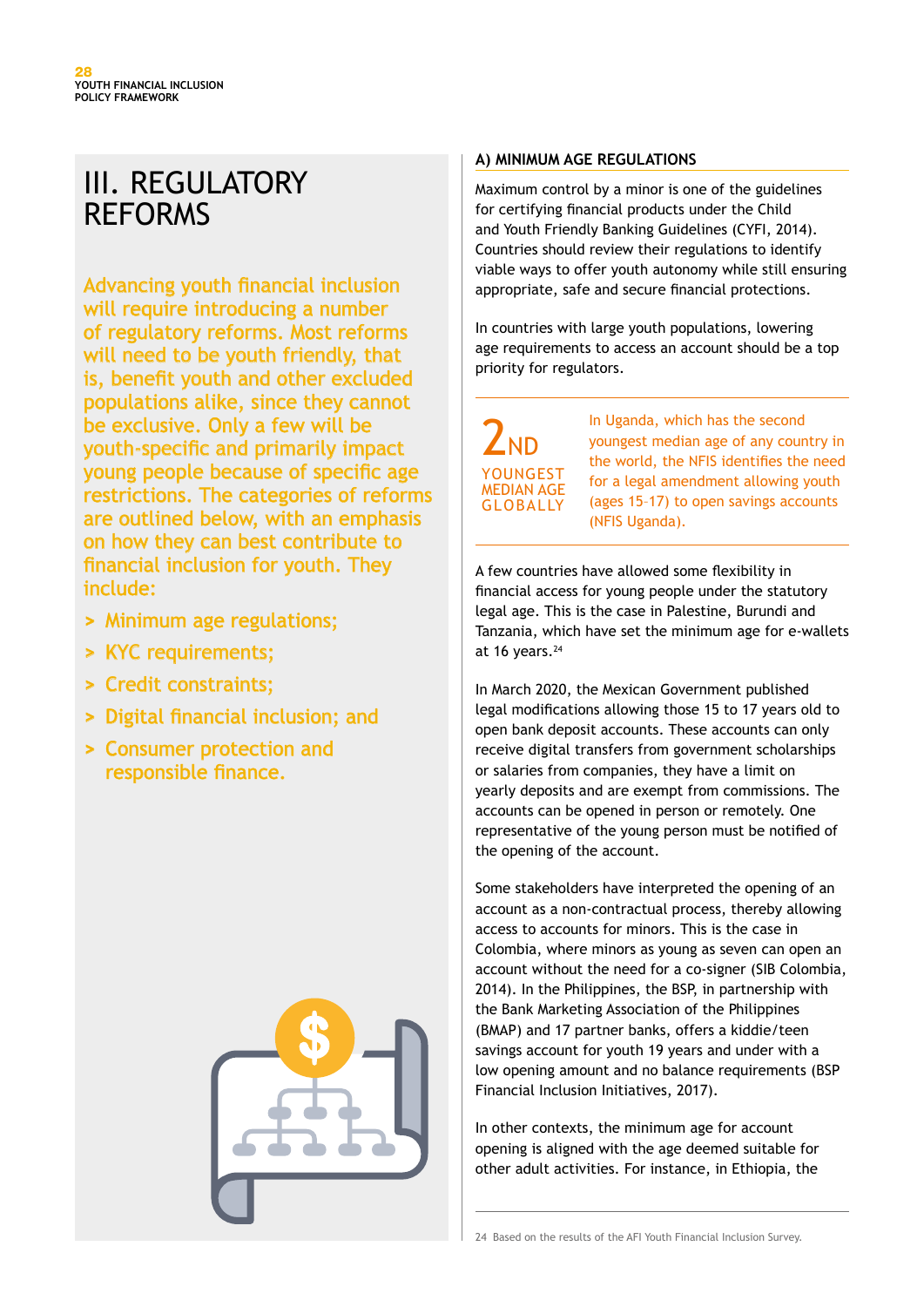# III. REGULATORY REFORMS

Advancing youth financial inclusion will require introducing a number of regulatory reforms. Most reforms will need to be youth friendly, that is, benefit youth and other excluded populations alike, since they cannot be exclusive. Only a few will be youth-specific and primarily impact young people because of specific age restrictions. The categories of reforms are outlined below, with an emphasis on how they can best contribute to financial inclusion for youth. They include:

- **>** Minimum age regulations;
- **>** KYC requirements;
- **>** Credit constraints;
- **>** Digital financial inclusion; and
- **>** Consumer protection and responsible finance.



#### **A) MINIMUM AGE REGULATIONS**

Maximum control by a minor is one of the guidelines for certifying financial products under the Child and Youth Friendly Banking Guidelines (CYFI, 2014). Countries should review their regulations to identify viable ways to offer youth autonomy while still ensuring appropriate, safe and secure financial protections.

In countries with large youth populations, lowering age requirements to access an account should be a top priority for regulators.

 $2<sub>ND</sub>$ YOUNGEST MEDIAN AGE GLOBALLY

In Uganda, which has the second youngest median age of any country in the world, the NFIS identifies the need for a legal amendment allowing youth (ages 15–17) to open savings accounts (NFIS Uganda).

A few countries have allowed some flexibility in financial access for young people under the statutory legal age. This is the case in Palestine, Burundi and Tanzania, which have set the minimum age for e-wallets at 16 years. $24$ 

In March 2020, the Mexican Government published legal modifications allowing those 15 to 17 years old to open bank deposit accounts. These accounts can only receive digital transfers from government scholarships or salaries from companies, they have a limit on yearly deposits and are exempt from commissions. The accounts can be opened in person or remotely. One representative of the young person must be notified of the opening of the account.

Some stakeholders have interpreted the opening of an account as a non-contractual process, thereby allowing access to accounts for minors. This is the case in Colombia, where minors as young as seven can open an account without the need for a co-signer (SIB Colombia, 2014). In the Philippines, the BSP, in partnership with the Bank Marketing Association of the Philippines (BMAP) and 17 partner banks, offers a kiddie/teen savings account for youth 19 years and under with a low opening amount and no balance requirements (BSP Financial Inclusion Initiatives, 2017).

In other contexts, the minimum age for account opening is aligned with the age deemed suitable for other adult activities. For instance, in Ethiopia, the

24 Based on the results of the AFI Youth Financial Inclusion Survey.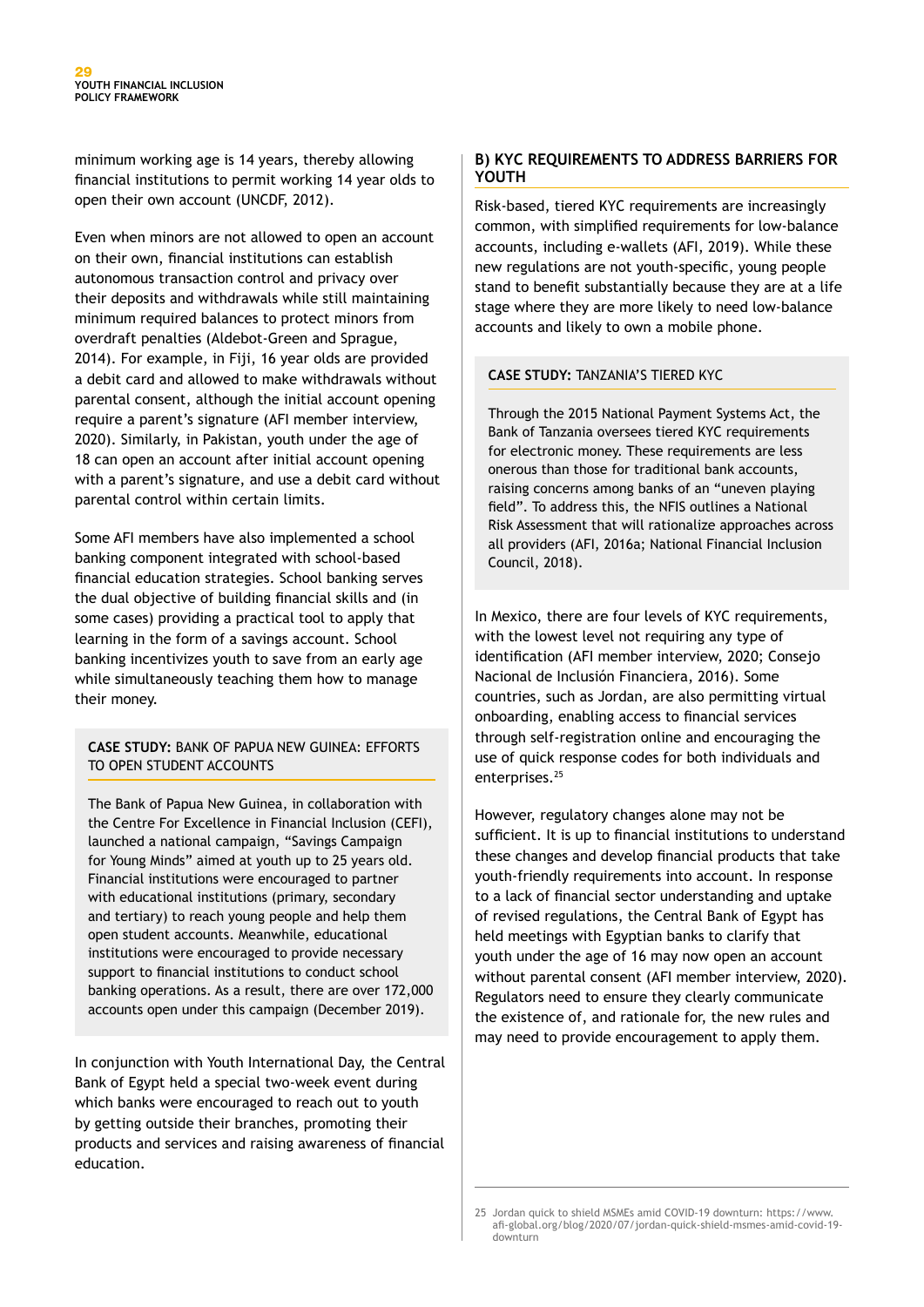minimum working age is 14 years, thereby allowing financial institutions to permit working 14 year olds to open their own account (UNCDF, 2012).

Even when minors are not allowed to open an account on their own, financial institutions can establish autonomous transaction control and privacy over their deposits and withdrawals while still maintaining minimum required balances to protect minors from overdraft penalties (Aldebot-Green and Sprague, 2014). For example, in Fiji, 16 year olds are provided a debit card and allowed to make withdrawals without parental consent, although the initial account opening require a parent's signature (AFI member interview, 2020). Similarly, in Pakistan, youth under the age of 18 can open an account after initial account opening with a parent's signature, and use a debit card without parental control within certain limits.

Some AFI members have also implemented a school banking component integrated with school-based financial education strategies. School banking serves the dual objective of building financial skills and (in some cases) providing a practical tool to apply that learning in the form of a savings account. School banking incentivizes youth to save from an early age while simultaneously teaching them how to manage their money.

#### **CASE STUDY:** BANK OF PAPUA NEW GUINEA: EFFORTS TO OPEN STUDENT ACCOUNTS

The Bank of Papua New Guinea, in collaboration with the Centre For Excellence in Financial Inclusion (CEFI), launched a national campaign, "Savings Campaign for Young Minds" aimed at youth up to 25 years old. Financial institutions were encouraged to partner with educational institutions (primary, secondary and tertiary) to reach young people and help them open student accounts. Meanwhile, educational institutions were encouraged to provide necessary support to financial institutions to conduct school banking operations. As a result, there are over 172,000 accounts open under this campaign (December 2019).

In conjunction with Youth International Day, the Central Bank of Egypt held a special two-week event during which banks were encouraged to reach out to youth by getting outside their branches, promoting their products and services and raising awareness of financial education.

#### **B) KYC REQUIREMENTS TO ADDRESS BARRIERS FOR YOUTH**

Risk-based, tiered KYC requirements are increasingly common, with simplified requirements for low-balance accounts, including e-wallets (AFI, 2019). While these new regulations are not youth-specific, young people stand to benefit substantially because they are at a life stage where they are more likely to need low-balance accounts and likely to own a mobile phone.

#### **CASE STUDY:** TANZANIA'S TIERED KYC

Through the 2015 National Payment Systems Act, the Bank of Tanzania oversees tiered KYC requirements for electronic money. These requirements are less onerous than those for traditional bank accounts, raising concerns among banks of an "uneven playing field". To address this, the NFIS outlines a National Risk Assessment that will rationalize approaches across all providers (AFI, 2016a; National Financial Inclusion Council, 2018).

In Mexico, there are four levels of KYC requirements, with the lowest level not requiring any type of identification (AFI member interview, 2020; Consejo Nacional de Inclusión Financiera, 2016). Some countries, such as Jordan, are also permitting virtual onboarding, enabling access to financial services through self-registration online and encouraging the use of quick response codes for both individuals and enterprises.<sup>25</sup>

However, regulatory changes alone may not be sufficient. It is up to financial institutions to understand these changes and develop financial products that take youth-friendly requirements into account. In response to a lack of financial sector understanding and uptake of revised regulations, the Central Bank of Egypt has held meetings with Egyptian banks to clarify that youth under the age of 16 may now open an account without parental consent (AFI member interview, 2020). Regulators need to ensure they clearly communicate the existence of, and rationale for, the new rules and may need to provide encouragement to apply them.

<sup>25</sup> Jordan quick to shield MSMEs amid COVID-19 downturn: https://www. afi-global.org/blog/2020/07/jordan-quick-shield-msmes-amid-covid-19 downturn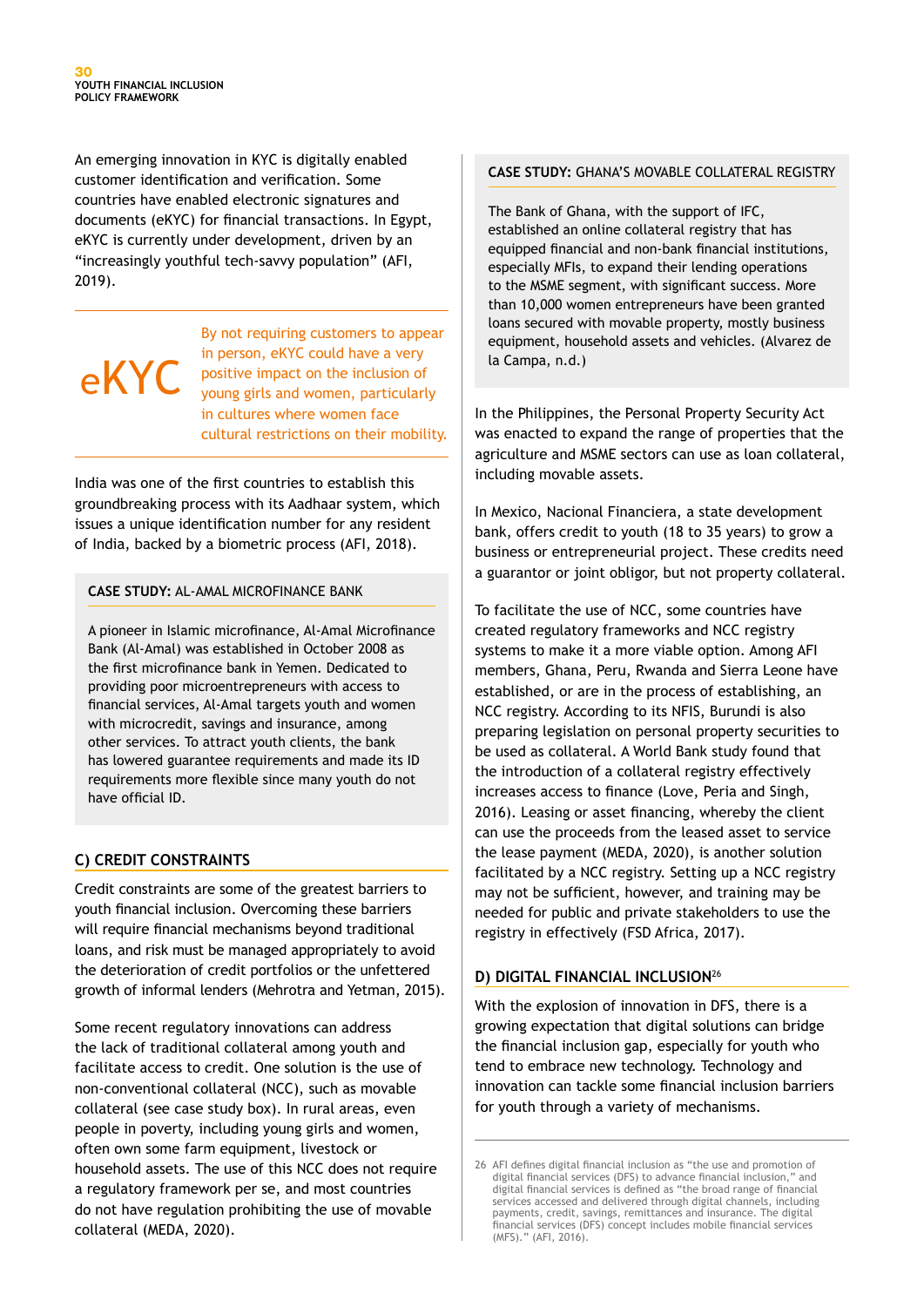An emerging innovation in KYC is digitally enabled customer identification and verification. Some countries have enabled electronic signatures and documents (eKYC) for financial transactions. In Egypt, eKYC is currently under development, driven by an "increasingly youthful tech-savvy population" (AFI, 2019).

# eKYC

By not requiring customers to appear in person, eKYC could have a very positive impact on the inclusion of young girls and women, particularly in cultures where women face cultural restrictions on their mobility.

India was one of the first countries to establish this groundbreaking process with its Aadhaar system, which issues a unique identification number for any resident of India, backed by a biometric process (AFI, 2018).

#### **CASE STUDY:** AL-AMAL MICROFINANCE BANK

A pioneer in Islamic microfinance, Al-Amal Microfinance Bank (Al-Amal) was established in October 2008 as the first microfinance bank in Yemen. Dedicated to providing poor microentrepreneurs with access to financial services, Al-Amal targets youth and women with microcredit, savings and insurance, among other services. To attract youth clients, the bank has lowered guarantee requirements and made its ID requirements more flexible since many youth do not have official ID.

#### **C) CREDIT CONSTRAINTS**

Credit constraints are some of the greatest barriers to youth financial inclusion. Overcoming these barriers will require financial mechanisms beyond traditional loans, and risk must be managed appropriately to avoid the deterioration of credit portfolios or the unfettered growth of informal lenders (Mehrotra and Yetman, 2015).

Some recent regulatory innovations can address the lack of traditional collateral among youth and facilitate access to credit. One solution is the use of non-conventional collateral (NCC), such as movable collateral (see case study box). In rural areas, even people in poverty, including young girls and women, often own some farm equipment, livestock or household assets. The use of this NCC does not require a regulatory framework per se, and most countries do not have regulation prohibiting the use of movable collateral (MEDA, 2020).

#### **CASE STUDY:** GHANA'S MOVABLE COLLATERAL REGISTRY

The Bank of Ghana, with the support of IFC, established an online collateral registry that has equipped financial and non-bank financial institutions, especially MFIs, to expand their lending operations to the MSME segment, with significant success. More than 10,000 women entrepreneurs have been granted loans secured with movable property, mostly business equipment, household assets and vehicles. (Alvarez de la Campa, n.d.)

In the Philippines, the Personal Property Security Act was enacted to expand the range of properties that the agriculture and MSME sectors can use as loan collateral, including movable assets.

In Mexico, Nacional Financiera, a state development bank, offers credit to youth (18 to 35 years) to grow a business or entrepreneurial project. These credits need a guarantor or joint obligor, but not property collateral.

To facilitate the use of NCC, some countries have created regulatory frameworks and NCC registry systems to make it a more viable option. Among AFI members, Ghana, Peru, Rwanda and Sierra Leone have established, or are in the process of establishing, an NCC registry. According to its NFIS, Burundi is also preparing legislation on personal property securities to be used as collateral. A World Bank study found that the introduction of a collateral registry effectively increases access to finance (Love, Peria and Singh, 2016). Leasing or asset financing, whereby the client can use the proceeds from the leased asset to service the lease payment (MEDA, 2020), is another solution facilitated by a NCC registry. Setting up a NCC registry may not be sufficient, however, and training may be needed for public and private stakeholders to use the registry in effectively (FSD Africa, 2017).

#### **D) DIGITAL FINANCIAL INCLUSION**<sup>26</sup>

With the explosion of innovation in DFS, there is a growing expectation that digital solutions can bridge the financial inclusion gap, especially for youth who tend to embrace new technology. Technology and innovation can tackle some financial inclusion barriers for youth through a variety of mechanisms.

<sup>26</sup> AFI defines digital financial inclusion as "the use and promotion of digital financial services (DFS) to advance financial inclusion," and digital financial services is defined as "the broad range of financial services accessed and delivered through digital channels, including payments, credit, savings, remittances and insurance. The digital financial services (DFS) concept includes mobile financial services (MFS)." (AFI, 2016).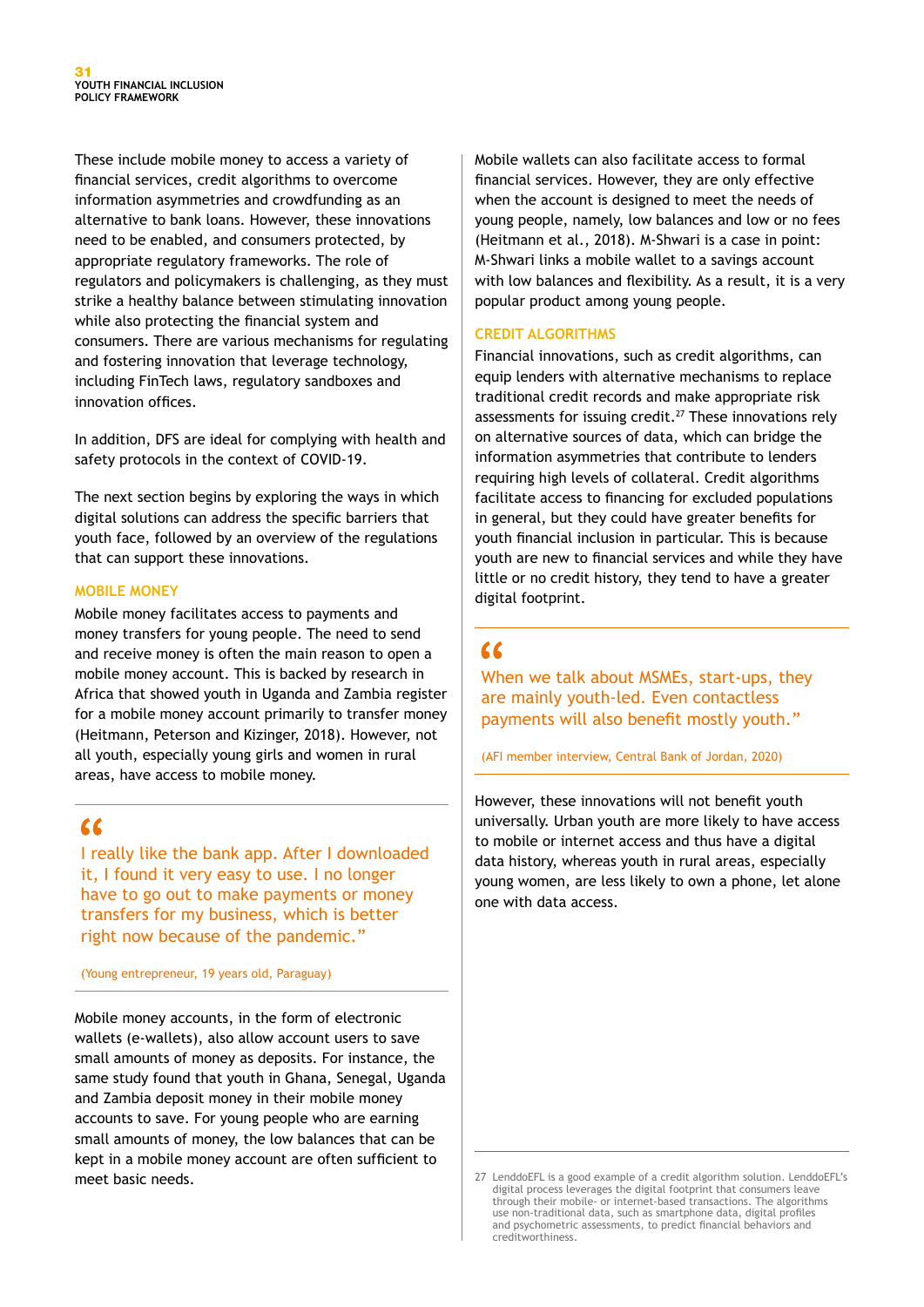These include mobile money to access a variety of financial services, credit algorithms to overcome information asymmetries and crowdfunding as an alternative to bank loans. However, these innovations need to be enabled, and consumers protected, by appropriate regulatory frameworks. The role of regulators and policymakers is challenging, as they must strike a healthy balance between stimulating innovation while also protecting the financial system and consumers. There are various mechanisms for regulating and fostering innovation that leverage technology, including FinTech laws, regulatory sandboxes and innovation offices.

In addition, DFS are ideal for complying with health and safety protocols in the context of COVID-19.

The next section begins by exploring the ways in which digital solutions can address the specific barriers that youth face, followed by an overview of the regulations that can support these innovations.

#### **MOBILE MONEY**

Mobile money facilitates access to payments and money transfers for young people. The need to send and receive money is often the main reason to open a mobile money account. This is backed by research in Africa that showed youth in Uganda and Zambia register for a mobile money account primarily to transfer money (Heitmann, Peterson and Kizinger, 2018). However, not all youth, especially young girls and women in rural areas, have access to mobile money.

### $\epsilon$

I really like the bank app. After I downloaded it, I found it very easy to use. I no longer have to go out to make payments or money transfers for my business, which is better right now because of the pandemic."

#### (Young entrepreneur, 19 years old, Paraguay)

Mobile money accounts, in the form of electronic wallets (e-wallets), also allow account users to save small amounts of money as deposits. For instance, the same study found that youth in Ghana, Senegal, Uganda and Zambia deposit money in their mobile money accounts to save. For young people who are earning small amounts of money, the low balances that can be kept in a mobile money account are often sufficient to meet basic needs.

Mobile wallets can also facilitate access to formal financial services. However, they are only effective when the account is designed to meet the needs of young people, namely, low balances and low or no fees (Heitmann et al., 2018). M-Shwari is a case in point: M-Shwari links a mobile wallet to a savings account with low balances and flexibility. As a result, it is a very popular product among young people.

#### **CREDIT ALGORITHMS**

Financial innovations, such as credit algorithms, can equip lenders with alternative mechanisms to replace traditional credit records and make appropriate risk assessments for issuing credit.<sup>27</sup> These innovations rely on alternative sources of data, which can bridge the information asymmetries that contribute to lenders requiring high levels of collateral. Credit algorithms facilitate access to financing for excluded populations in general, but they could have greater benefits for youth financial inclusion in particular. This is because youth are new to financial services and while they have little or no credit history, they tend to have a greater digital footprint.

### $\epsilon$

When we talk about MSMEs, start-ups, they are mainly youth-led. Even contactless payments will also benefit mostly youth."

(AFI member interview, Central Bank of Jordan, 2020)

However, these innovations will not benefit youth universally. Urban youth are more likely to have access to mobile or internet access and thus have a digital data history, whereas youth in rural areas, especially young women, are less likely to own a phone, let alone one with data access.

<sup>27</sup> LenddoEFL is a good example of a credit algorithm solution. LenddoEFL's digital process leverages the digital footprint that consumers leave through their mobile- or internet-based transactions. The algorithms use non-traditional data, such as smartphone data, digital profiles and psychometric assessments, to predict financial behaviors and creditworthiness.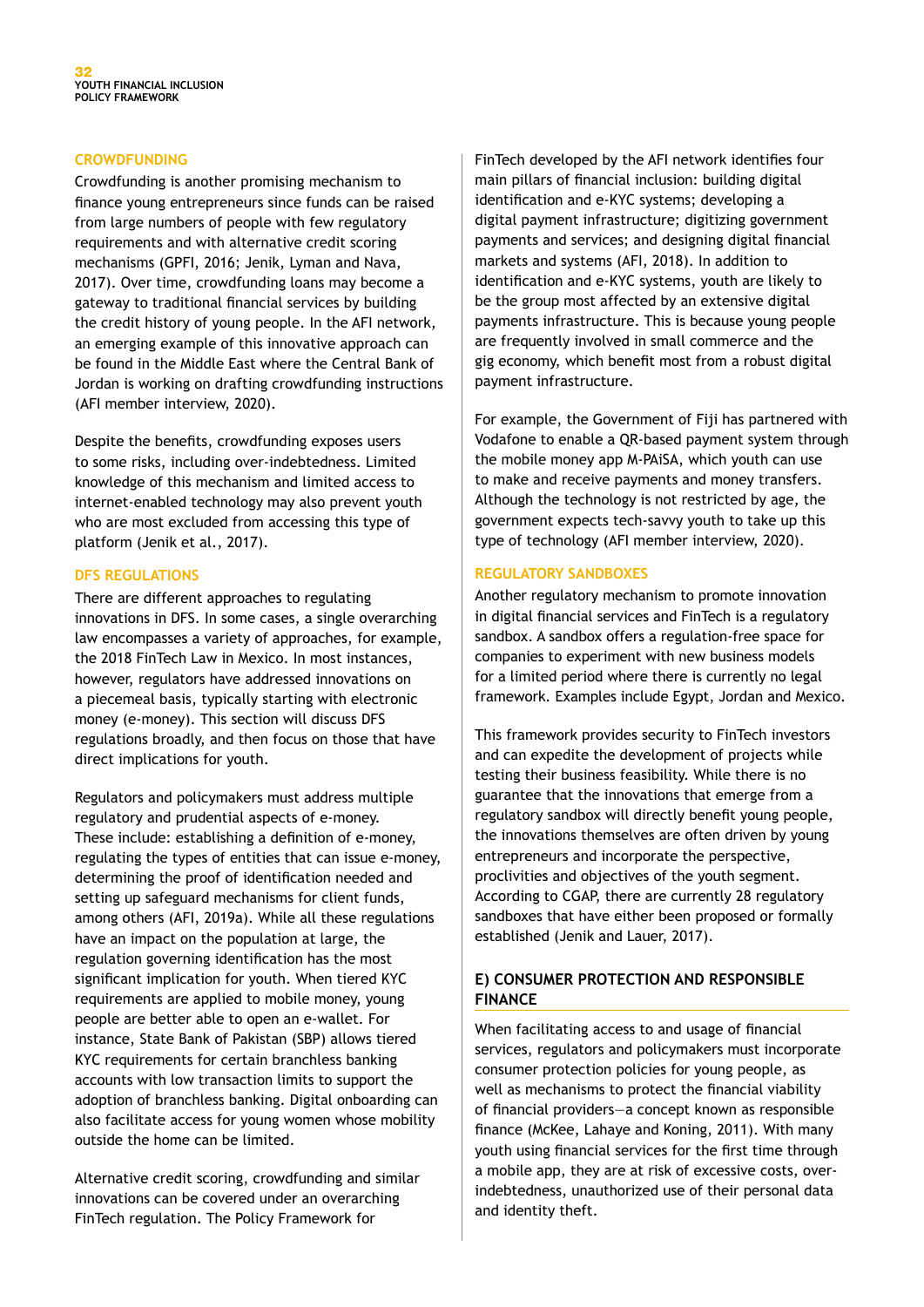#### **CROWDFUNDING**

Crowdfunding is another promising mechanism to finance young entrepreneurs since funds can be raised from large numbers of people with few regulatory requirements and with alternative credit scoring mechanisms (GPFI, 2016; Jenik, Lyman and Nava, 2017). Over time, crowdfunding loans may become a gateway to traditional financial services by building the credit history of young people. In the AFI network, an emerging example of this innovative approach can be found in the Middle East where the Central Bank of Jordan is working on drafting crowdfunding instructions (AFI member interview, 2020).

Despite the benefits, crowdfunding exposes users to some risks, including over-indebtedness. Limited knowledge of this mechanism and limited access to internet-enabled technology may also prevent youth who are most excluded from accessing this type of platform (Jenik et al., 2017).

#### **DFS REGULATIONS**

There are different approaches to regulating innovations in DFS. In some cases, a single overarching law encompasses a variety of approaches, for example, the 2018 FinTech Law in Mexico. In most instances, however, regulators have addressed innovations on a piecemeal basis, typically starting with electronic money (e-money). This section will discuss DFS regulations broadly, and then focus on those that have direct implications for youth.

Regulators and policymakers must address multiple regulatory and prudential aspects of e-money. These include: establishing a definition of e-money, regulating the types of entities that can issue e-money, determining the proof of identification needed and setting up safeguard mechanisms for client funds, among others (AFI, 2019a). While all these regulations have an impact on the population at large, the regulation governing identification has the most significant implication for youth. When tiered KYC requirements are applied to mobile money, young people are better able to open an e-wallet. For instance, State Bank of Pakistan (SBP) allows tiered KYC requirements for certain branchless banking accounts with low transaction limits to support the adoption of branchless banking. Digital onboarding can also facilitate access for young women whose mobility outside the home can be limited.

Alternative credit scoring, crowdfunding and similar innovations can be covered under an overarching FinTech regulation. The Policy Framework for

FinTech developed by the AFI network identifies four main pillars of financial inclusion: building digital identification and e-KYC systems; developing a digital payment infrastructure; digitizing government payments and services; and designing digital financial markets and systems (AFI, 2018). In addition to identification and e-KYC systems, youth are likely to be the group most affected by an extensive digital payments infrastructure. This is because young people are frequently involved in small commerce and the gig economy, which benefit most from a robust digital payment infrastructure.

For example, the Government of Fiji has partnered with Vodafone to enable a QR-based payment system through the mobile money app M-PAiSA, which youth can use to make and receive payments and money transfers. Although the technology is not restricted by age, the government expects tech-savvy youth to take up this type of technology (AFI member interview, 2020).

#### **REGULATORY SANDBOXES**

Another regulatory mechanism to promote innovation in digital financial services and FinTech is a regulatory sandbox. A sandbox offers a regulation-free space for companies to experiment with new business models for a limited period where there is currently no legal framework. Examples include Egypt, Jordan and Mexico.

This framework provides security to FinTech investors and can expedite the development of projects while testing their business feasibility. While there is no guarantee that the innovations that emerge from a regulatory sandbox will directly benefit young people, the innovations themselves are often driven by young entrepreneurs and incorporate the perspective, proclivities and objectives of the youth segment. According to CGAP, there are currently 28 regulatory sandboxes that have either been proposed or formally established (Jenik and Lauer, 2017).

#### **E) CONSUMER PROTECTION AND RESPONSIBLE FINANCE**

When facilitating access to and usage of financial services, regulators and policymakers must incorporate consumer protection policies for young people, as well as mechanisms to protect the financial viability of financial providers—a concept known as responsible finance (McKee, Lahaye and Koning, 2011). With many youth using financial services for the first time through a mobile app, they are at risk of excessive costs, overindebtedness, unauthorized use of their personal data and identity theft.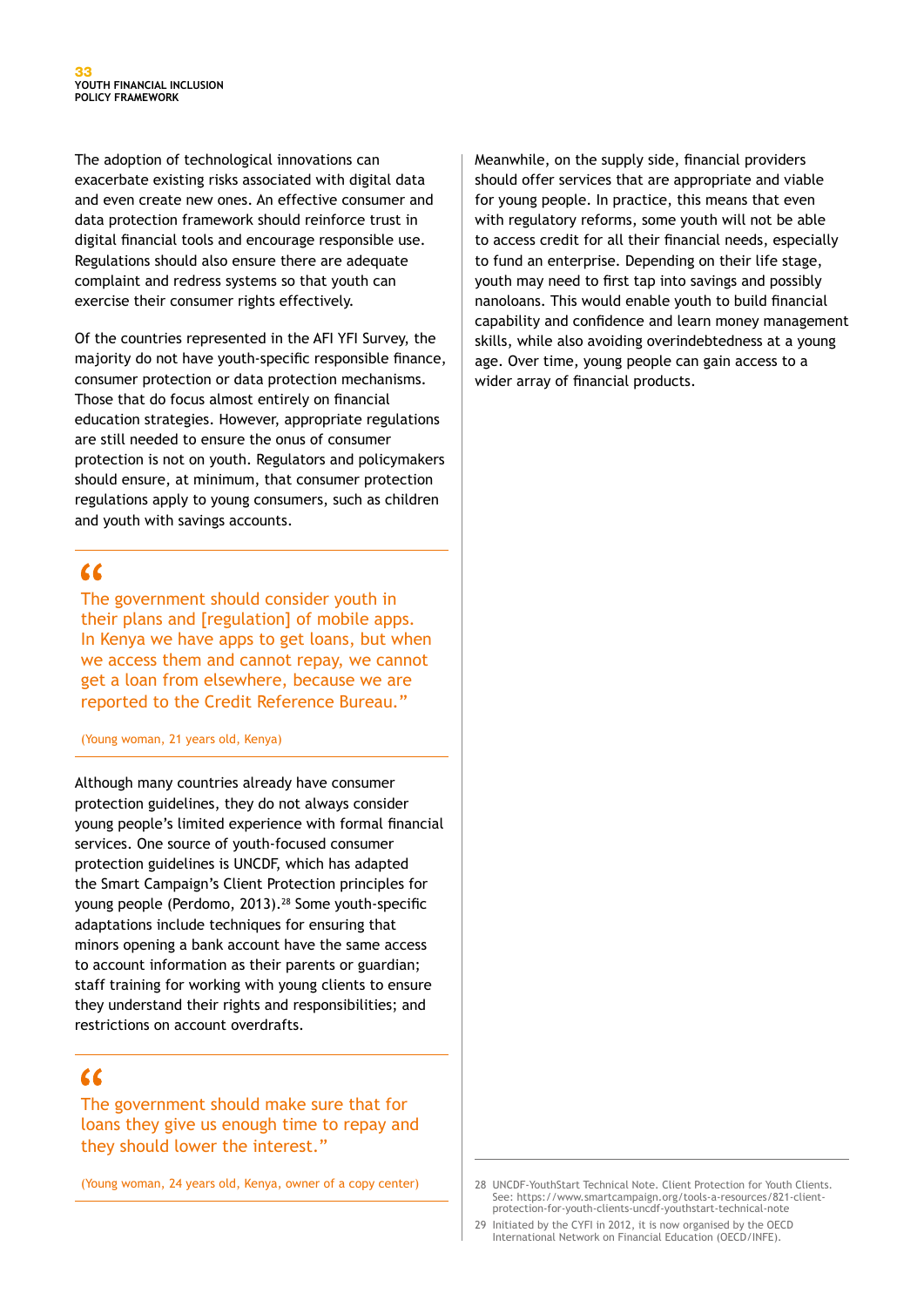The adoption of technological innovations can exacerbate existing risks associated with digital data and even create new ones. An effective consumer and data protection framework should reinforce trust in digital financial tools and encourage responsible use. Regulations should also ensure there are adequate complaint and redress systems so that youth can exercise their consumer rights effectively.

Of the countries represented in the AFI YFI Survey, the majority do not have youth-specific responsible finance, consumer protection or data protection mechanisms. Those that do focus almost entirely on financial education strategies. However, appropriate regulations are still needed to ensure the onus of consumer protection is not on youth. Regulators and policymakers should ensure, at minimum, that consumer protection regulations apply to young consumers, such as children and youth with savings accounts.

## $\alpha$

The government should consider youth in their plans and [regulation] of mobile apps. In Kenya we have apps to get loans, but when we access them and cannot repay, we cannot get a loan from elsewhere, because we are reported to the Credit Reference Bureau."

#### (Young woman, 21 years old, Kenya)

Although many countries already have consumer protection guidelines, they do not always consider young people's limited experience with formal financial services. One source of youth-focused consumer protection guidelines is UNCDF, which has adapted the Smart Campaign's Client Protection principles for young people (Perdomo, 2013).<sup>28</sup> Some youth-specific adaptations include techniques for ensuring that minors opening a bank account have the same access to account information as their parents or guardian; staff training for working with young clients to ensure they understand their rights and responsibilities; and restrictions on account overdrafts.

## $\epsilon$

The government should make sure that for loans they give us enough time to repay and they should lower the interest."

(Young woman, 24 years old, Kenya, owner of a copy center)

Meanwhile, on the supply side, financial providers should offer services that are appropriate and viable for young people. In practice, this means that even with regulatory reforms, some youth will not be able to access credit for all their financial needs, especially to fund an enterprise. Depending on their life stage, youth may need to first tap into savings and possibly nanoloans. This would enable youth to build financial capability and confidence and learn money management skills, while also avoiding overindebtedness at a young age. Over time, young people can gain access to a wider array of financial products.

<sup>28</sup> UNCDF-YouthStart Technical Note. Client Protection for Youth Clients. See: https://www.smartcampaign.org/tools-a-resources/821-clientprotection-for-youth-clients-uncdf-youthstart-technical-note

<sup>29</sup> Initiated by the CYFI in 2012, it is now organised by the OECD International Network on Financial Education (OECD/INFE).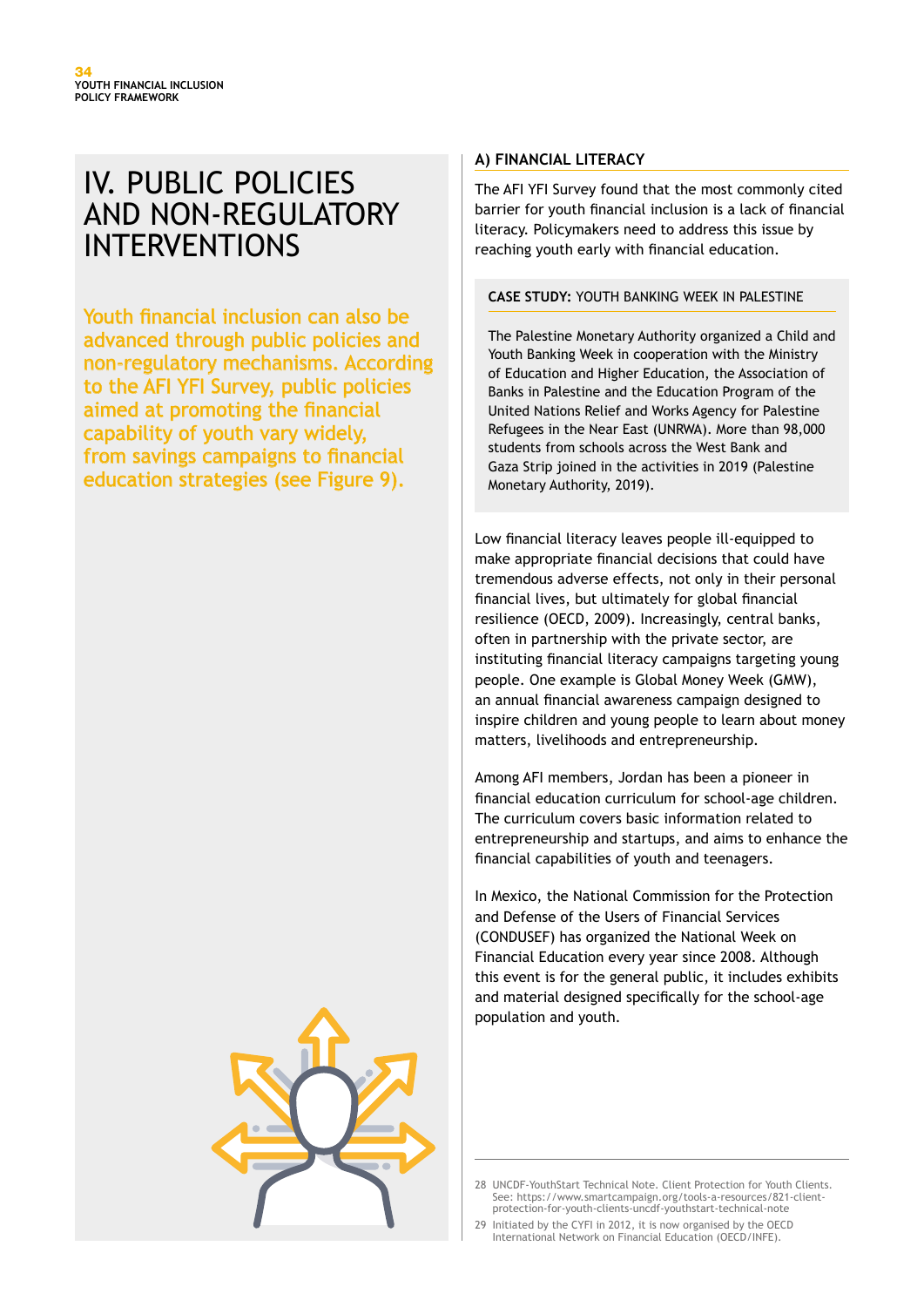# IV. PUBLIC POLICIES AND NON-REGULATORY INTERVENTIONS

Youth financial inclusion can also be advanced through public policies and non-regulatory mechanisms. According to the AFI YFI Survey, public policies aimed at promoting the financial capability of youth vary widely, from savings campaigns to financial education strategies (see Figure 9).



#### **A) FINANCIAL LITERACY**

The AFI YFI Survey found that the most commonly cited barrier for youth financial inclusion is a lack of financial literacy. Policymakers need to address this issue by reaching youth early with financial education.

#### **CASE STUDY:** YOUTH BANKING WEEK IN PALESTINE

The Palestine Monetary Authority organized a Child and Youth Banking Week in cooperation with the Ministry of Education and Higher Education, the Association of Banks in Palestine and the Education Program of the United Nations Relief and Works Agency for Palestine Refugees in the Near East (UNRWA). More than 98,000 students from schools across the West Bank and Gaza Strip joined in the activities in 2019 (Palestine Monetary Authority, 2019).

Low financial literacy leaves people ill-equipped to make appropriate financial decisions that could have tremendous adverse effects, not only in their personal financial lives, but ultimately for global financial resilience (OECD, 2009). Increasingly, central banks, often in partnership with the private sector, are instituting financial literacy campaigns targeting young people. One example is Global Money Week (GMW), an annual financial awareness campaign designed to inspire children and young people to learn about money matters, livelihoods and entrepreneurship.

Among AFI members, Jordan has been a pioneer in financial education curriculum for school-age children. The curriculum covers basic information related to entrepreneurship and startups, and aims to enhance the financial capabilities of youth and teenagers.

In Mexico, the National Commission for the Protection and Defense of the Users of Financial Services (CONDUSEF) has organized the National Week on Financial Education every year since 2008. Although this event is for the general public, it includes exhibits and material designed specifically for the school-age population and youth.

29 Initiated by the CYFI in 2012, it is now organised by the OECD International Network on Financial Education (OECD/INFE).

<sup>28</sup> UNCDE-YouthStart Technical Note. Client Protection for Youth Clients. See: https://www.smartcampaign.org/tools-a-resources/821-clientprotection-for-youth-clients-uncdf-youthstart-technical-note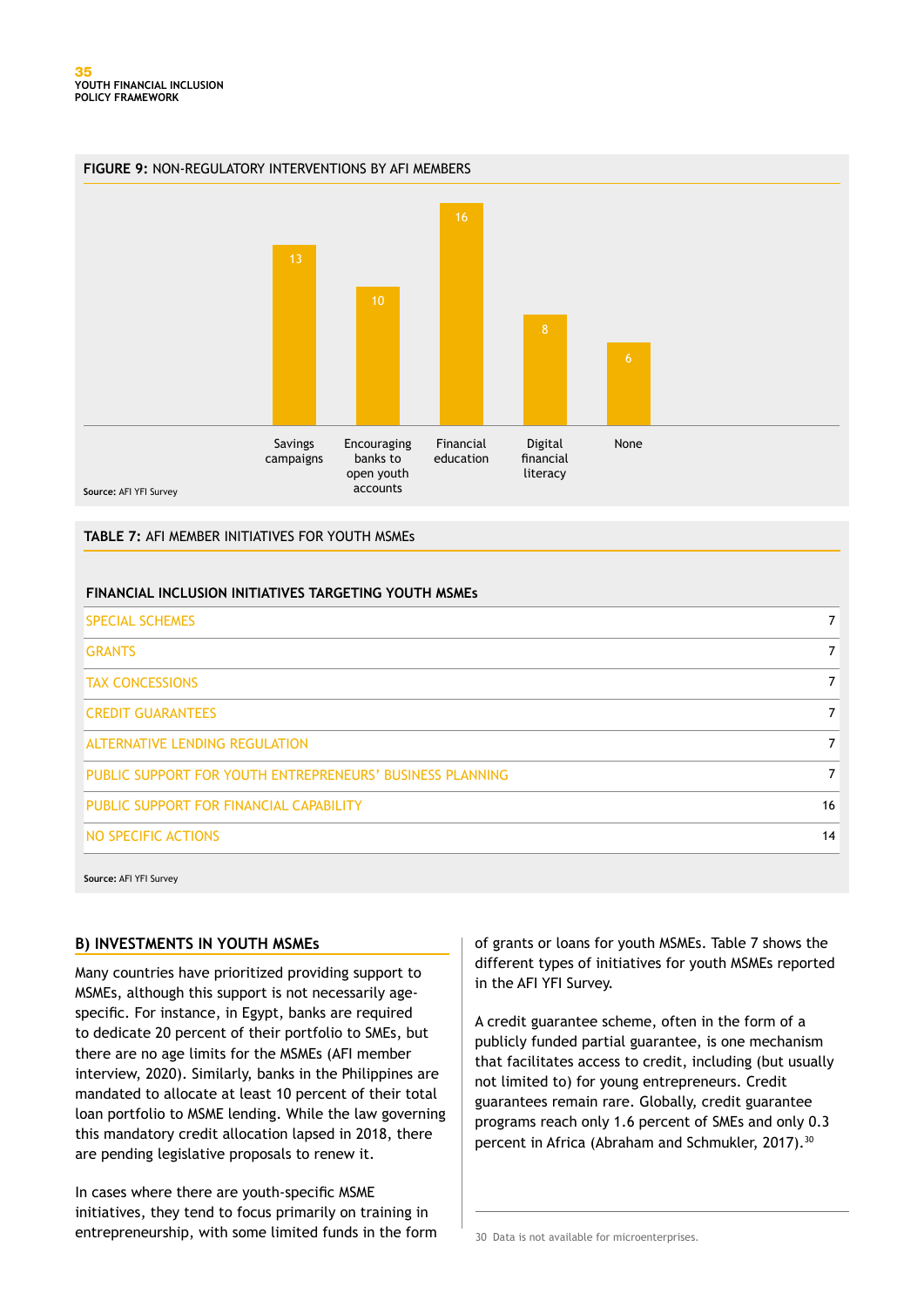



#### **TABLE 7:** AFI MEMBER INITIATIVES FOR YOUTH MSMEs

#### **FINANCIAL INCLUSION INITIATIVES TARGETING YOUTH MSMEs**

| <b>SPECIAL SCHEMES</b>                                    |    |
|-----------------------------------------------------------|----|
| <b>GRANTS</b>                                             |    |
| <b>TAX CONCESSIONS</b>                                    |    |
| <b>CREDIT GUARANTEES</b>                                  |    |
| <b>ALTERNATIVE LENDING REGULATION</b>                     |    |
| PUBLIC SUPPORT FOR YOUTH ENTREPRENEURS' BUSINESS PLANNING |    |
| PUBLIC SUPPORT FOR FINANCIAL CAPABILITY                   | 16 |
| NO SPECIFIC ACTIONS                                       | 14 |

**Source:** AFI YFI Survey

#### **B) INVESTMENTS IN YOUTH MSMEs**

Many countries have prioritized providing support to MSMEs, although this support is not necessarily agespecific. For instance, in Egypt, banks are required to dedicate 20 percent of their portfolio to SMEs, but there are no age limits for the MSMEs (AFI member interview, 2020). Similarly, banks in the Philippines are mandated to allocate at least 10 percent of their total loan portfolio to MSME lending. While the law governing this mandatory credit allocation lapsed in 2018, there are pending legislative proposals to renew it.

In cases where there are youth-specific MSME initiatives, they tend to focus primarily on training in entrepreneurship, with some limited funds in the form of grants or loans for youth MSMEs. Table 7 shows the different types of initiatives for youth MSMEs reported in the AFI YFI Survey.

A credit guarantee scheme, often in the form of a publicly funded partial guarantee, is one mechanism that facilitates access to credit, including (but usually not limited to) for young entrepreneurs. Credit guarantees remain rare. Globally, credit guarantee programs reach only 1.6 percent of SMEs and only 0.3 percent in Africa (Abraham and Schmukler, 2017).<sup>30</sup>

30 Data is not available for microenterprises.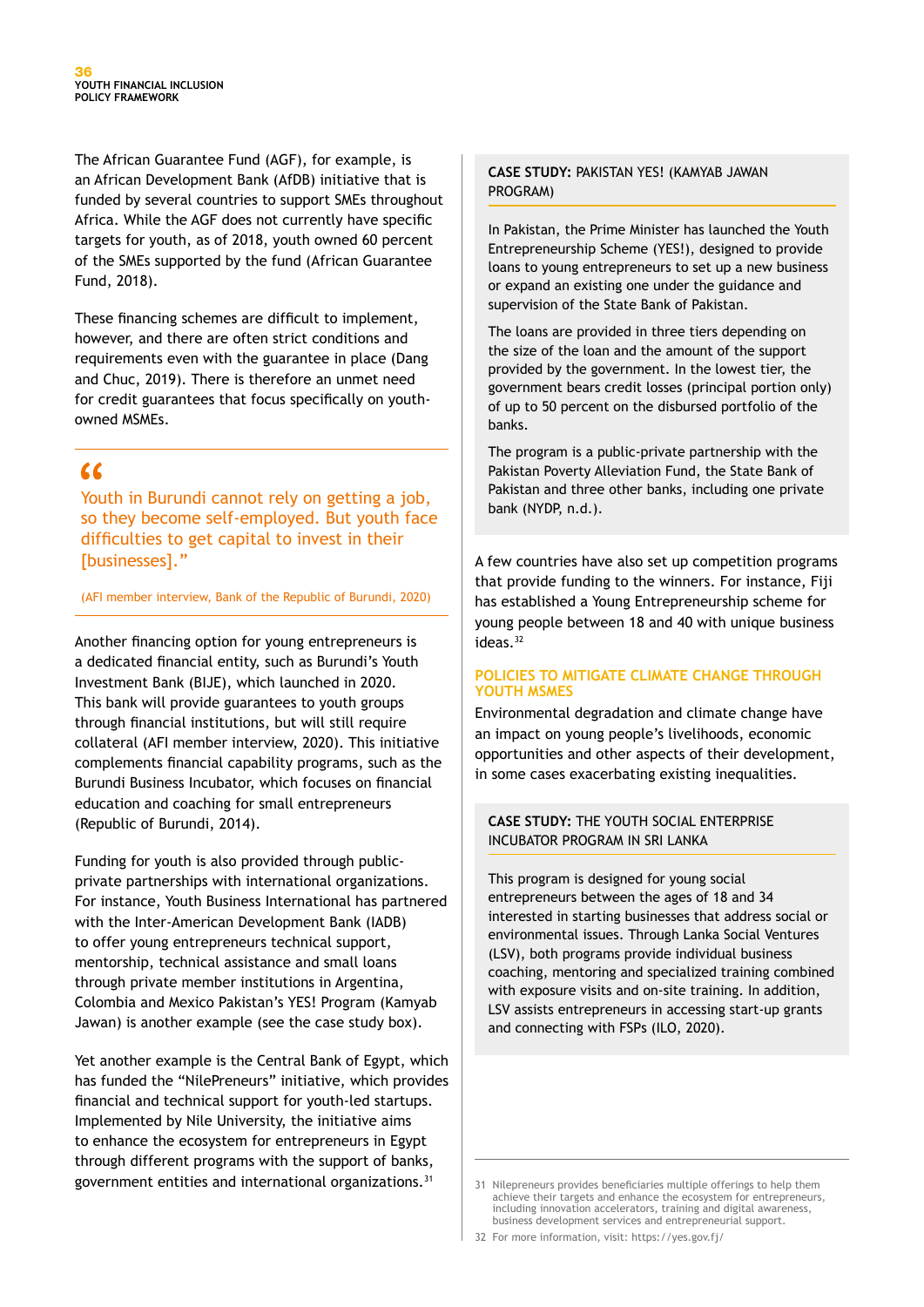The African Guarantee Fund (AGF), for example, is an African Development Bank (AfDB) initiative that is funded by several countries to support SMEs throughout Africa. While the AGF does not currently have specific targets for youth, as of 2018, youth owned 60 percent of the SMEs supported by the fund (African Guarantee Fund, 2018).

These financing schemes are difficult to implement, however, and there are often strict conditions and requirements even with the guarantee in place (Dang and Chuc, 2019). There is therefore an unmet need for credit guarantees that focus specifically on youthowned MSMEs.

## $\alpha$

Youth in Burundi cannot rely on getting a job, so they become self-employed. But youth face difficulties to get capital to invest in their [businesses]."

(AFI member interview, Bank of the Republic of Burundi, 2020)

Another financing option for young entrepreneurs is a dedicated financial entity, such as Burundi's Youth Investment Bank (BIJE), which launched in 2020. This bank will provide guarantees to youth groups through financial institutions, but will still require collateral (AFI member interview, 2020). This initiative complements financial capability programs, such as the Burundi Business Incubator, which focuses on financial education and coaching for small entrepreneurs (Republic of Burundi, 2014).

Funding for youth is also provided through publicprivate partnerships with international organizations. For instance, Youth Business International has partnered with the Inter-American Development Bank (IADB) to offer young entrepreneurs technical support, mentorship, technical assistance and small loans through private member institutions in Argentina, Colombia and Mexico Pakistan's YES! Program (Kamyab Jawan) is another example (see the case study box).

Yet another example is the Central Bank of Egypt, which has funded the "NilePreneurs" initiative, which provides financial and technical support for youth-led startups. Implemented by Nile University, the initiative aims to enhance the ecosystem for entrepreneurs in Egypt through different programs with the support of banks, government entities and international organizations.<sup>31</sup> 31 Nilepreneurs provides beneficiaries multiple offerings to help them

#### **CASE STUDY:** PAKISTAN YES! (KAMYAB JAWAN PROGRAM)

In Pakistan, the Prime Minister has launched the Youth Entrepreneurship Scheme (YES!), designed to provide loans to young entrepreneurs to set up a new business or expand an existing one under the guidance and supervision of the State Bank of Pakistan.

The loans are provided in three tiers depending on the size of the loan and the amount of the support provided by the government. In the lowest tier, the government bears credit losses (principal portion only) of up to 50 percent on the disbursed portfolio of the banks.

The program is a public-private partnership with the Pakistan Poverty Alleviation Fund, the State Bank of Pakistan and three other banks, including one private bank (NYDP, n.d.).

A few countries have also set up competition programs that provide funding to the winners. For instance, Fiji has established a Young Entrepreneurship scheme for young people between 18 and 40 with unique business ideas.32

#### **POLICIES TO MITIGATE CLIMATE CHANGE THROUGH YOUTH MSMES**

Environmental degradation and climate change have an impact on young people's livelihoods, economic opportunities and other aspects of their development, in some cases exacerbating existing inequalities.

#### **CASE STUDY:** THE YOUTH SOCIAL ENTERPRISE INCUBATOR PROGRAM IN SRI LANKA

This program is designed for young social entrepreneurs between the ages of 18 and 34 interested in starting businesses that address social or environmental issues. Through Lanka Social Ventures (LSV), both programs provide individual business coaching, mentoring and specialized training combined with exposure visits and on-site training. In addition, LSV assists entrepreneurs in accessing start-up grants and connecting with FSPs (ILO, 2020).

achieve their targets and enhance the ecosystem for entrepreneurs, including innovation accelerators, training and digital awareness business development services and entrepreneurial support.

<sup>32</sup> For more information, visit: https://yes.gov.fj/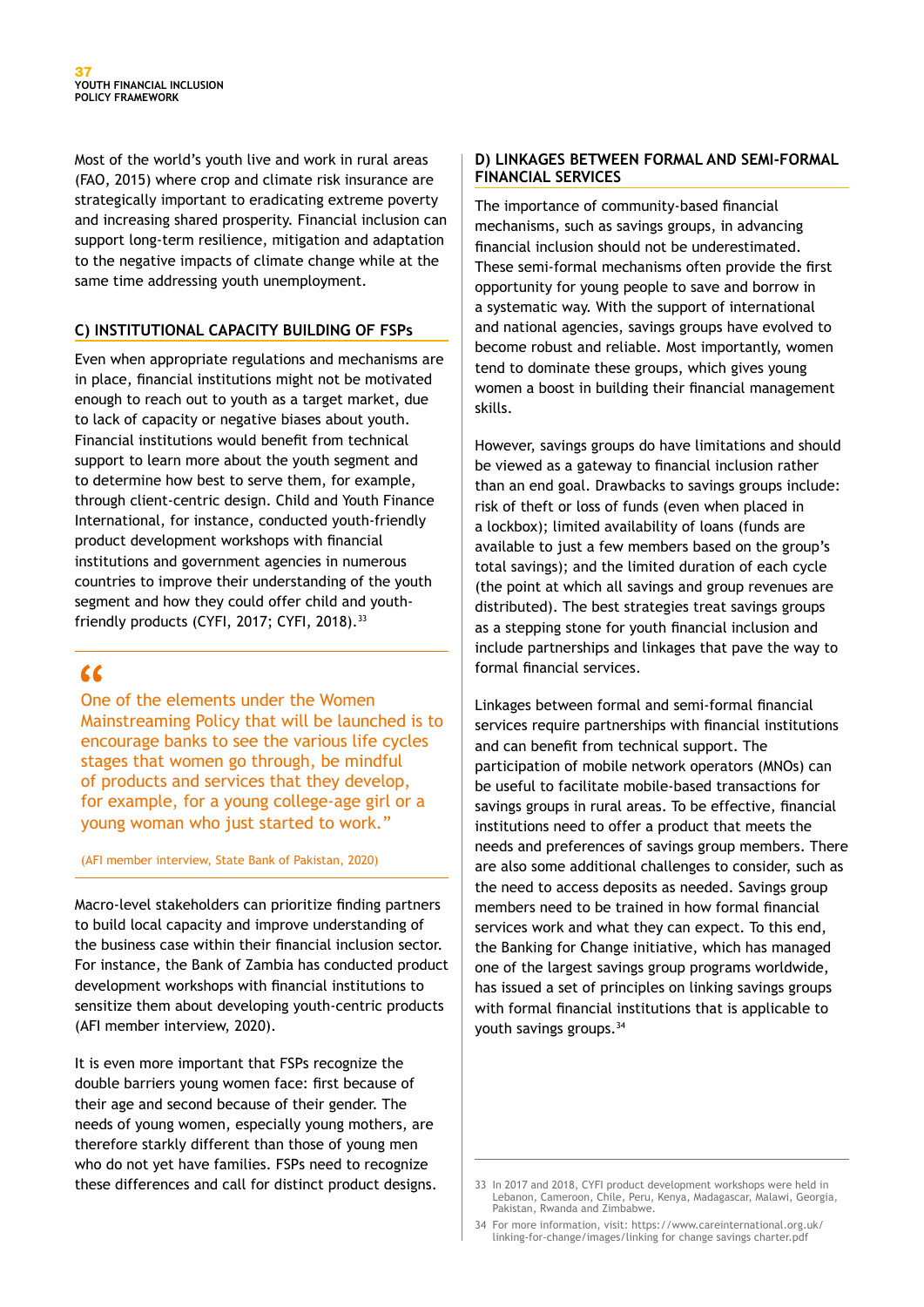Most of the world's youth live and work in rural areas (FAO, 2015) where crop and climate risk insurance are strategically important to eradicating extreme poverty and increasing shared prosperity. Financial inclusion can support long-term resilience, mitigation and adaptation to the negative impacts of climate change while at the same time addressing youth unemployment.

#### **C) INSTITUTIONAL CAPACITY BUILDING OF FSPs**

Even when appropriate regulations and mechanisms are in place, financial institutions might not be motivated enough to reach out to youth as a target market, due to lack of capacity or negative biases about youth. Financial institutions would benefit from technical support to learn more about the youth segment and to determine how best to serve them, for example, through client-centric design. Child and Youth Finance International, for instance, conducted youth-friendly product development workshops with financial institutions and government agencies in numerous countries to improve their understanding of the youth segment and how they could offer child and youthfriendly products (CYFI, 2017; CYFI, 2018).33

## $\epsilon$

One of the elements under the Women Mainstreaming Policy that will be launched is to encourage banks to see the various life cycles stages that women go through, be mindful of products and services that they develop, for example, for a young college-age girl or a young woman who just started to work."

(AFI member interview, State Bank of Pakistan, 2020)

Macro-level stakeholders can prioritize finding partners to build local capacity and improve understanding of the business case within their financial inclusion sector. For instance, the Bank of Zambia has conducted product development workshops with financial institutions to sensitize them about developing youth-centric products (AFI member interview, 2020).

It is even more important that FSPs recognize the double barriers young women face: first because of their age and second because of their gender. The needs of young women, especially young mothers, are therefore starkly different than those of young men who do not yet have families. FSPs need to recognize these differences and call for distinct product designs. 33 In 2017 and 2018, CYFI product development workshops were held in

#### **D) LINKAGES BETWEEN FORMAL AND SEMI-FORMAL FINANCIAL SERVICES**

The importance of community-based financial mechanisms, such as savings groups, in advancing financial inclusion should not be underestimated. These semi-formal mechanisms often provide the first opportunity for young people to save and borrow in a systematic way. With the support of international and national agencies, savings groups have evolved to become robust and reliable. Most importantly, women tend to dominate these groups, which gives young women a boost in building their financial management skills.

However, savings groups do have limitations and should be viewed as a gateway to financial inclusion rather than an end goal. Drawbacks to savings groups include: risk of theft or loss of funds (even when placed in a lockbox); limited availability of loans (funds are available to just a few members based on the group's total savings); and the limited duration of each cycle (the point at which all savings and group revenues are distributed). The best strategies treat savings groups as a stepping stone for youth financial inclusion and include partnerships and linkages that pave the way to formal financial services.

Linkages between formal and semi-formal financial services require partnerships with financial institutions and can benefit from technical support. The participation of mobile network operators (MNOs) can be useful to facilitate mobile-based transactions for savings groups in rural areas. To be effective, financial institutions need to offer a product that meets the needs and preferences of savings group members. There are also some additional challenges to consider, such as the need to access deposits as needed. Savings group members need to be trained in how formal financial services work and what they can expect. To this end, the Banking for Change initiative, which has managed one of the largest savings group programs worldwide, has issued a set of principles on linking savings groups with formal financial institutions that is applicable to youth savings groups.34

Lebanon, Cameroon, Chile, Peru, Kenya, Madagascar, Malawi, Georgia, Pakistan, Rwanda and Zimbabwe.

<sup>34</sup> For more information, visit: https://www.careinternational.org.uk/ linking-for-change/images/linking for change savings charter.pdf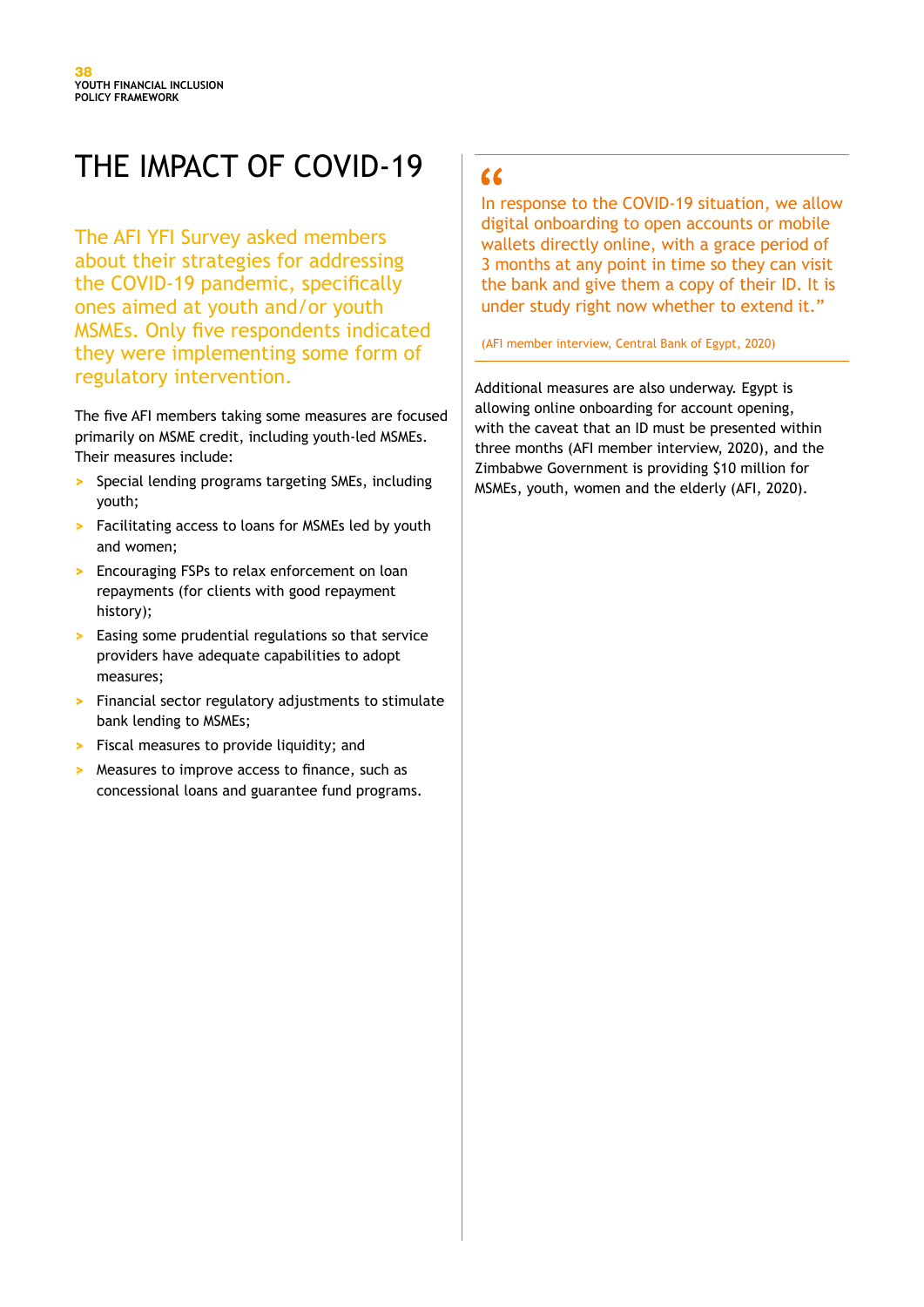# THE IMPACT OF COVID-19

The AFI YFI Survey asked members about their strategies for addressing the COVID-19 pandemic, specifically ones aimed at youth and/or youth MSMEs. Only five respondents indicated they were implementing some form of regulatory intervention.

The five AFI members taking some measures are focused primarily on MSME credit, including youth-led MSMEs. Their measures include:

- **>** Special lending programs targeting SMEs, including youth;
- **>** Facilitating access to loans for MSMEs led by youth and women;
- **>** Encouraging FSPs to relax enforcement on loan repayments (for clients with good repayment history);
- **>** Easing some prudential regulations so that service providers have adequate capabilities to adopt measures;
- **>** Financial sector regulatory adjustments to stimulate bank lending to MSMEs;
- **>** Fiscal measures to provide liquidity; and
- **>** Measures to improve access to finance, such as concessional loans and guarantee fund programs.

# $66$

In response to the COVID-19 situation, we allow digital onboarding to open accounts or mobile wallets directly online, with a grace period of 3 months at any point in time so they can visit the bank and give them a copy of their ID. It is under study right now whether to extend it."

(AFI member interview, Central Bank of Egypt, 2020)

Additional measures are also underway. Egypt is allowing online onboarding for account opening, with the caveat that an ID must be presented within three months (AFI member interview, 2020), and the Zimbabwe Government is providing \$10 million for MSMEs, youth, women and the elderly (AFI, 2020).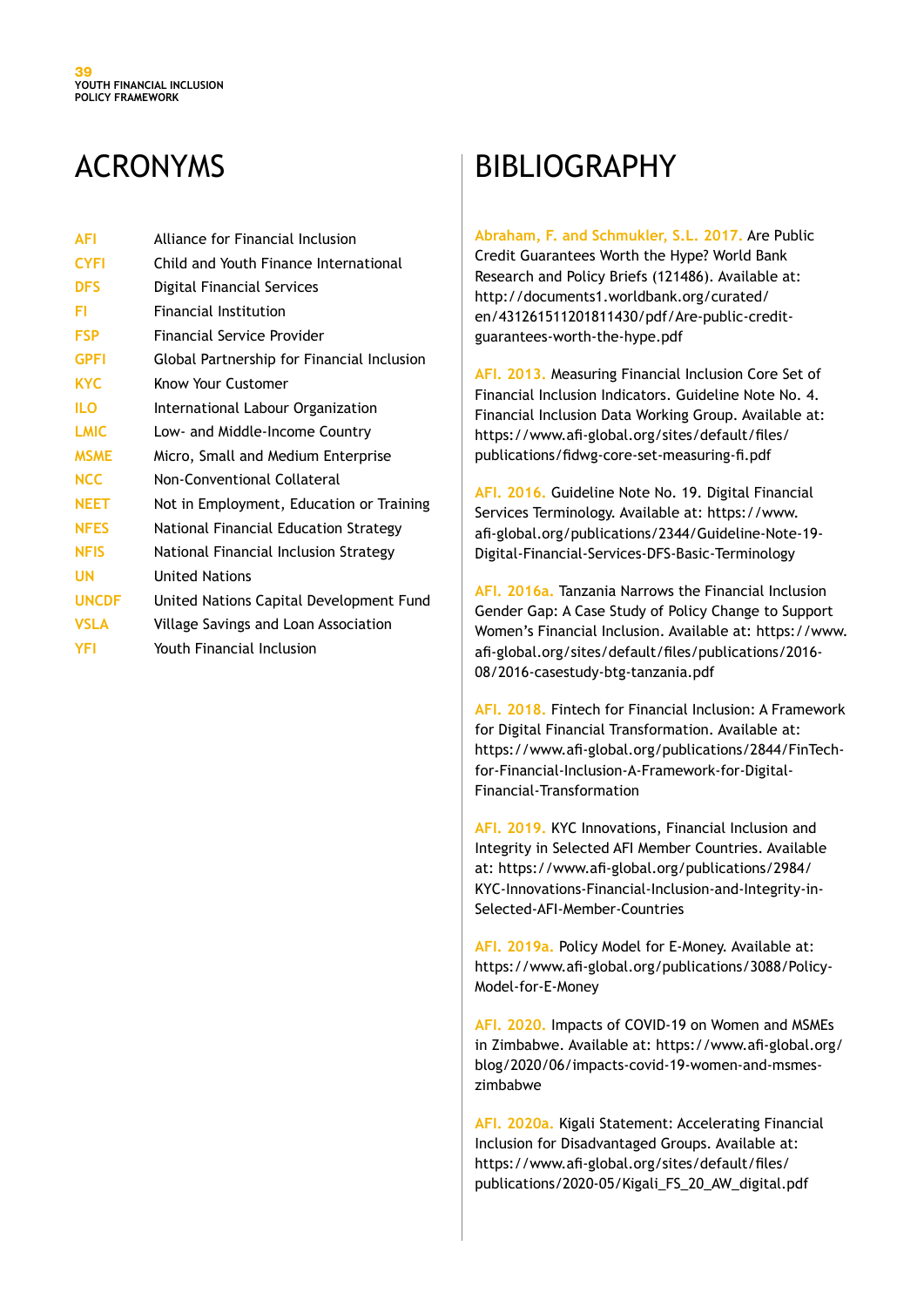# ACRONYMS

| <b>AFI</b>   | Alliance for Financial Inclusion           |
|--------------|--------------------------------------------|
| <b>CYFI</b>  | Child and Youth Finance International      |
| <b>DFS</b>   | Digital Financial Services                 |
| FI           | <b>Financial Institution</b>               |
| <b>FSP</b>   | <b>Financial Service Provider</b>          |
| <b>GPFI</b>  | Global Partnership for Financial Inclusion |
| <b>KYC</b>   | Know Your Customer                         |
| ILO          | International Labour Organization          |
| <b>LMIC</b>  | Low- and Middle-Income Country             |
| <b>MSME</b>  | Micro, Small and Medium Enterprise         |
| <b>NCC</b>   | Non-Conventional Collateral                |
| <b>NEET</b>  | Not in Employment, Education or Training   |
| <b>NFES</b>  | National Financial Education Strategy      |
| <b>NFIS</b>  | National Financial Inclusion Strategy      |
| UN           | <b>United Nations</b>                      |
| <b>UNCDF</b> | United Nations Capital Development Fund    |
| <b>VSLA</b>  | Village Savings and Loan Association       |
| YFI          | Youth Financial Inclusion                  |

# BIBLIOGRAPHY

#### **Abraham, F. and Schmukler, S.L. 2017.** Are Public

Credit Guarantees Worth the Hype? World Bank Research and Policy Briefs (121486). Available at: http://documents1.worldbank.org/curated/ en/431261511201811430/pdf/Are-public-creditguarantees-worth-the-hype.pdf

**AFI. 2013.** Measuring Financial Inclusion Core Set of Financial Inclusion Indicators. Guideline Note No. 4. Financial Inclusion Data Working Group. Available at: https://www.afi-global.org/sites/default/files/ publications/fidwg-core-set-measuring-fi.pdf

**AFI. 2016.** Guideline Note No. 19. Digital Financial Services Terminology. Available at: https://www. afi-global.org/publications/2344/Guideline-Note-19- Digital-Financial-Services-DFS-Basic-Terminology

**AFI. 2016a.** Tanzania Narrows the Financial Inclusion Gender Gap: A Case Study of Policy Change to Support Women's Financial Inclusion. Available at: https://www. afi-global.org/sites/default/files/publications/2016- 08/2016-casestudy-btg-tanzania.pdf

**AFI. 2018.** Fintech for Financial Inclusion: A Framework for Digital Financial Transformation. Available at: https://www.afi-global.org/publications/2844/FinTechfor-Financial-Inclusion-A-Framework-for-Digital-Financial-Transformation

**AFI. 2019.** KYC Innovations, Financial Inclusion and Integrity in Selected AFI Member Countries. Available at: https://www.afi-global.org/publications/2984/ KYC-Innovations-Financial-Inclusion-and-Integrity-in-Selected-AFI-Member-Countries

**AFI. 2019a.** Policy Model for E-Money. Available at: https://www.afi-global.org/publications/3088/Policy-Model-for-E-Money

**AFI. 2020.** Impacts of COVID-19 on Women and MSMEs in Zimbabwe. Available at: https://www.afi-global.org/ blog/2020/06/impacts-covid-19-women-and-msmeszimbabwe

**AFI. 2020a.** Kigali Statement: Accelerating Financial Inclusion for Disadvantaged Groups. Available at: https://www.afi-global.org/sites/default/files/ publications/2020-05/Kigali\_FS\_20\_AW\_digital.pdf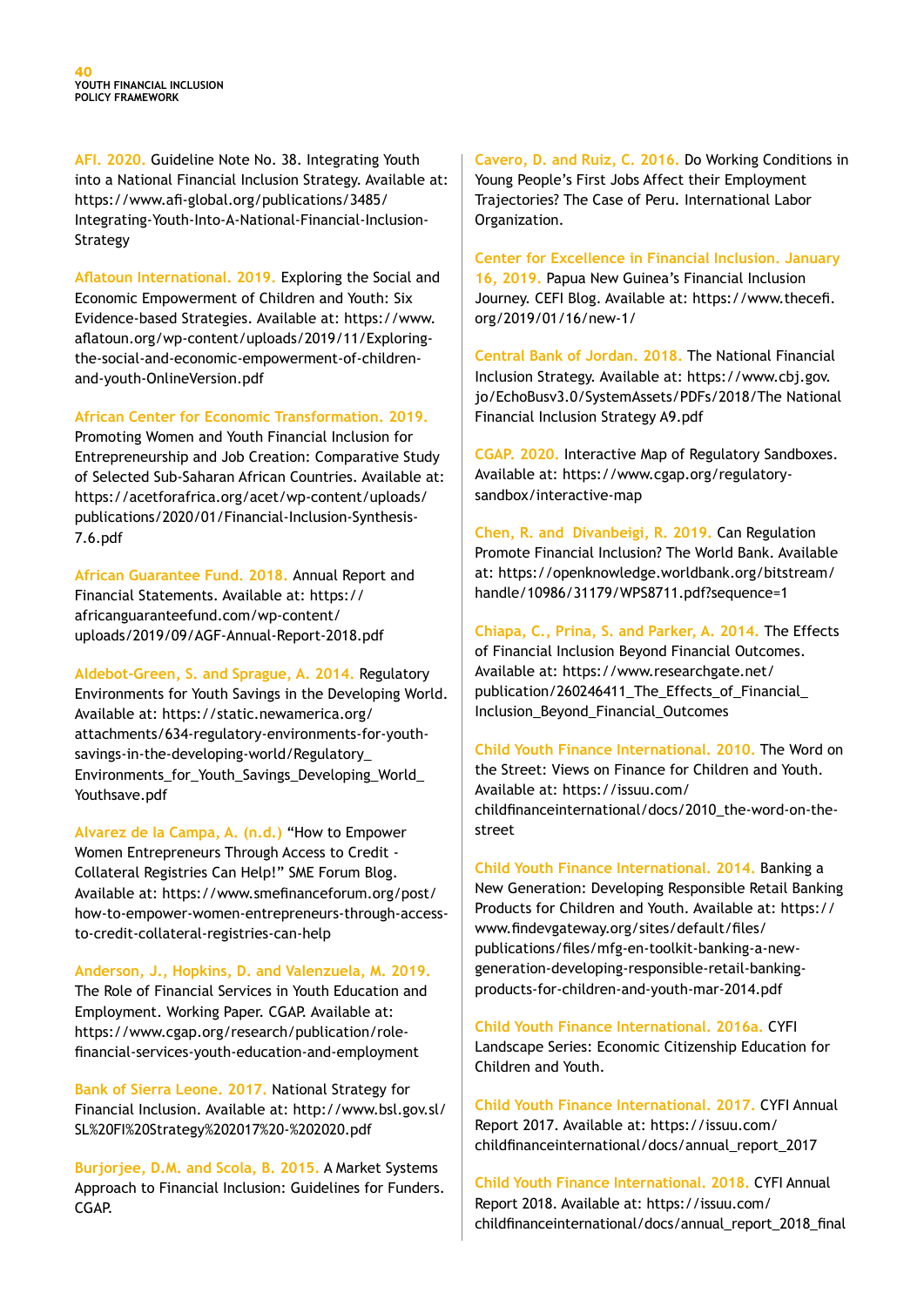**AFI. 2020.** Guideline Note No. 38. Integrating Youth into a National Financial Inclusion Strategy. Available at: https://www.afi-global.org/publications/3485/ Integrating-Youth-Into-A-National-Financial-Inclusion-Strategy

**Aflatoun International. 2019.** Exploring the Social and Economic Empowerment of Children and Youth: Six Evidence-based Strategies. Available at: https://www. aflatoun.org/wp-content/uploads/2019/11/Exploringthe-social-and-economic-empowerment-of-childrenand-youth-OnlineVersion.pdf

#### **African Center for Economic Transformation. 2019.**

Promoting Women and Youth Financial Inclusion for Entrepreneurship and Job Creation: Comparative Study of Selected Sub-Saharan African Countries. Available at: https://acetforafrica.org/acet/wp-content/uploads/ publications/2020/01/Financial-Inclusion-Synthesis-7.6.pdf

**African Guarantee Fund. 2018.** Annual Report and Financial Statements. Available at: https:// africanguaranteefund.com/wp-content/ uploads/2019/09/AGF-Annual-Report-2018.pdf

**Aldebot-Green, S. and Sprague, A. 2014.** Regulatory Environments for Youth Savings in the Developing World. Available at: https://static.newamerica.org/ attachments/634-regulatory-environments-for-youthsavings-in-the-developing-world/Regulatory\_ Environments for Youth Savings Developing World Youthsave.pdf

**Alvarez de la Campa, A. (n.d.)** "How to Empower Women Entrepreneurs Through Access to Credit - Collateral Registries Can Help!" SME Forum Blog. Available at: https://www.smefinanceforum.org/post/ how-to-empower-women-entrepreneurs-through-accessto-credit-collateral-registries-can-help

**Anderson, J., Hopkins, D. and Valenzuela, M. 2019.**  The Role of Financial Services in Youth Education and Employment. Working Paper. CGAP. Available at: https://www.cgap.org/research/publication/rolefinancial-services-youth-education-and-employment

**Bank of Sierra Leone. 2017.** National Strategy for Financial Inclusion. Available at: http://www.bsl.gov.sl/ SL%20FI%20Strategy%202017%20-%202020.pdf

**Burjorjee, D.M. and Scola, B. 2015.** A Market Systems Approach to Financial Inclusion: Guidelines for Funders. CGAP.

**Cavero, D. and Ruiz, C. 2016.** Do Working Conditions in Young People's First Jobs Affect their Employment Trajectories? The Case of Peru. International Labor Organization.

**Center for Excellence in Financial Inclusion. January 16, 2019.** Papua New Guinea's Financial Inclusion Journey. CEFI Blog. Available at: https://www.thecefi. org/2019/01/16/new-1/

**Central Bank of Jordan. 2018.** The National Financial Inclusion Strategy. Available at: https://www.cbj.gov. jo/EchoBusv3.0/SystemAssets/PDFs/2018/The National Financial Inclusion Strategy A9.pdf

**CGAP. 2020.** Interactive Map of Regulatory Sandboxes. Available at: https://www.cgap.org/regulatorysandbox/interactive-map

**Chen, R. and Divanbeigi, R. 2019.** Can Regulation Promote Financial Inclusion? The World Bank. Available at: https://openknowledge.worldbank.org/bitstream/ handle/10986/31179/WPS8711.pdf?sequence=1

**Chiapa, C., Prina, S. and Parker, A. 2014.** The Effects of Financial Inclusion Beyond Financial Outcomes. Available at: https://www.researchgate.net/ publication/260246411\_The\_Effects\_of\_Financial\_ Inclusion\_Beyond\_Financial\_Outcomes

**Child Youth Finance International. 2010.** The Word on the Street: Views on Finance for Children and Youth. Available at: https://issuu.com/ childfinanceinternational/docs/2010\_the-word-on-thestreet

**Child Youth Finance International. 2014.** Banking a New Generation: Developing Responsible Retail Banking Products for Children and Youth. Available at: https:// www.findevgateway.org/sites/default/files/ publications/files/mfg-en-toolkit-banking-a-newgeneration-developing-responsible-retail-bankingproducts-for-children-and-youth-mar-2014.pdf

**Child Youth Finance International. 2016a.** CYFI Landscape Series: Economic Citizenship Education for Children and Youth.

**Child Youth Finance International. 2017.** CYFI Annual Report 2017. Available at: https://issuu.com/ childfinanceinternational/docs/annual\_report\_2017

**Child Youth Finance International. 2018.** CYFI Annual Report 2018. Available at: https://issuu.com/ childfinanceinternational/docs/annual\_report\_2018\_final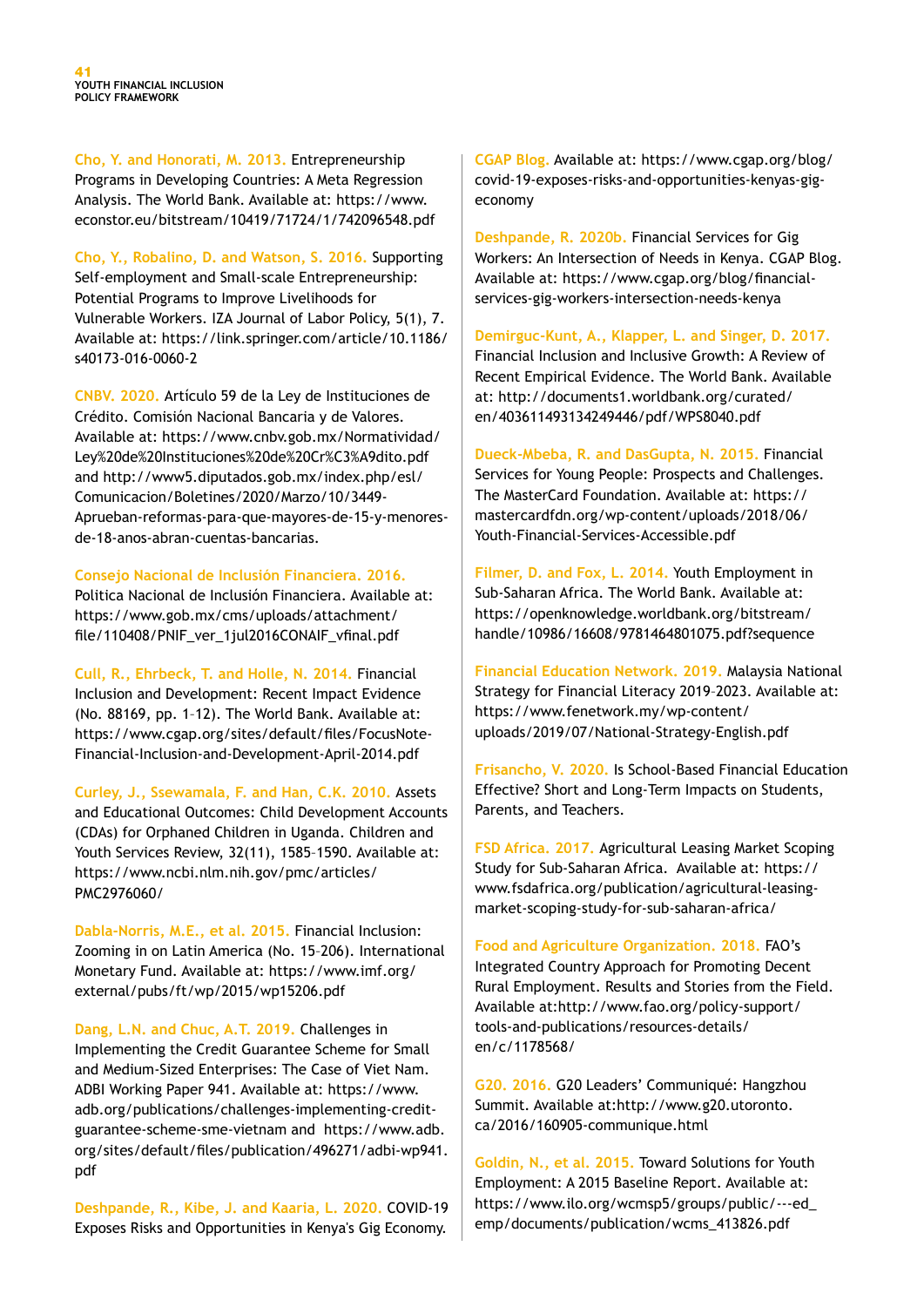**Cho, Y. and Honorati, M. 2013.** Entrepreneurship Programs in Developing Countries: A Meta Regression Analysis. The World Bank. Available at: https://www. econstor.eu/bitstream/10419/71724/1/742096548.pdf

**Cho, Y., Robalino, D. and Watson, S. 2016.** Supporting Self-employment and Small-scale Entrepreneurship: Potential Programs to Improve Livelihoods for Vulnerable Workers. IZA Journal of Labor Policy, 5(1), 7. Available at: https://link.springer.com/article/10.1186/ s40173-016-0060-2

**CNBV. 2020.** Artículo 59 de la Ley de Instituciones de Crédito. Comisión Nacional Bancaria y de Valores. Available at: https://www.cnbv.gob.mx/Normatividad/ Ley%20de%20Instituciones%20de%20Cr%C3%A9dito.pdf and http://www5.diputados.gob.mx/index.php/esl/ Comunicacion/Boletines/2020/Marzo/10/3449- Aprueban-reformas-para-que-mayores-de-15-y-menoresde-18-anos-abran-cuentas-bancarias.

#### **Consejo Nacional de Inclusión Financiera. 2016.**

Politica Nacional de Inclusión Financiera. Available at: https://www.gob.mx/cms/uploads/attachment/ file/110408/PNIF\_ver\_1jul2016CONAIF\_vfinal.pdf

**Cull, R., Ehrbeck, T. and Holle, N. 2014.** Financial Inclusion and Development: Recent Impact Evidence (No. 88169, pp. 1–12). The World Bank. Available at: https://www.cgap.org/sites/default/files/FocusNote-Financial-Inclusion-and-Development-April-2014.pdf

**Curley, J., Ssewamala, F. and Han, C.K. 2010.** Assets and Educational Outcomes: Child Development Accounts (CDAs) for Orphaned Children in Uganda. Children and Youth Services Review, 32(11), 1585–1590. Available at: https://www.ncbi.nlm.nih.gov/pmc/articles/ PMC2976060/

**Dabla-Norris, M.E., et al. 2015.** Financial Inclusion: Zooming in on Latin America (No. 15–206). International Monetary Fund. Available at: https://www.imf.org/ external/pubs/ft/wp/2015/wp15206.pdf

**Dang, L.N. and Chuc, A.T. 2019.** Challenges in Implementing the Credit Guarantee Scheme for Small and Medium-Sized Enterprises: The Case of Viet Nam. ADBI Working Paper 941. Available at: https://www. adb.org/publications/challenges-implementing-creditguarantee-scheme-sme-vietnam and https://www.adb. org/sites/default/files/publication/496271/adbi-wp941. pdf

**Deshpande, R., Kibe, J. and Kaaria, L. 2020.** COVID-19 Exposes Risks and Opportunities in Kenya's Gig Economy.

**CGAP Blog.** Available at: https://www.cgap.org/blog/ covid-19-exposes-risks-and-opportunities-kenyas-gigeconomy

**Deshpande, R. 2020b.** Financial Services for Gig Workers: An Intersection of Needs in Kenya. CGAP Blog. Available at: https://www.cgap.org/blog/financialservices-gig-workers-intersection-needs-kenya

**Demirguc-Kunt, A., Klapper, L. and Singer, D. 2017.**  Financial Inclusion and Inclusive Growth: A Review of Recent Empirical Evidence. The World Bank. Available at: http://documents1.worldbank.org/curated/ en/403611493134249446/pdf/WPS8040.pdf

**Dueck-Mbeba, R. and DasGupta, N. 2015.** Financial Services for Young People: Prospects and Challenges. The MasterCard Foundation. Available at: https:// mastercardfdn.org/wp-content/uploads/2018/06/ Youth-Financial-Services-Accessible.pdf

**Filmer, D. and Fox, L. 2014.** Youth Employment in Sub-Saharan Africa. The World Bank. Available at: https://openknowledge.worldbank.org/bitstream/ handle/10986/16608/9781464801075.pdf?sequence

**Financial Education Network. 2019.** Malaysia National Strategy for Financial Literacy 2019–2023. Available at: https://www.fenetwork.my/wp-content/ uploads/2019/07/National-Strategy-English.pdf

**Frisancho, V. 2020.** Is School-Based Financial Education Effective? Short and Long-Term Impacts on Students, Parents, and Teachers.

**FSD Africa. 2017.** Agricultural Leasing Market Scoping Study for Sub-Saharan Africa. Available at: https:// www.fsdafrica.org/publication/agricultural-leasingmarket-scoping-study-for-sub-saharan-africa/

**Food and Agriculture Organization. 2018.** FAO's Integrated Country Approach for Promoting Decent Rural Employment. Results and Stories from the Field. Available at:http://www.fao.org/policy-support/ tools-and-publications/resources-details/ en/c/1178568/

**G20. 2016.** G20 Leaders' Communiqué: Hangzhou Summit. Available at:http://www.g20.utoronto. ca/2016/160905-communique.html

**Goldin, N., et al. 2015.** Toward Solutions for Youth Employment: A 2015 Baseline Report. Available at: https://www.ilo.org/wcmsp5/groups/public/---ed\_ emp/documents/publication/wcms\_413826.pdf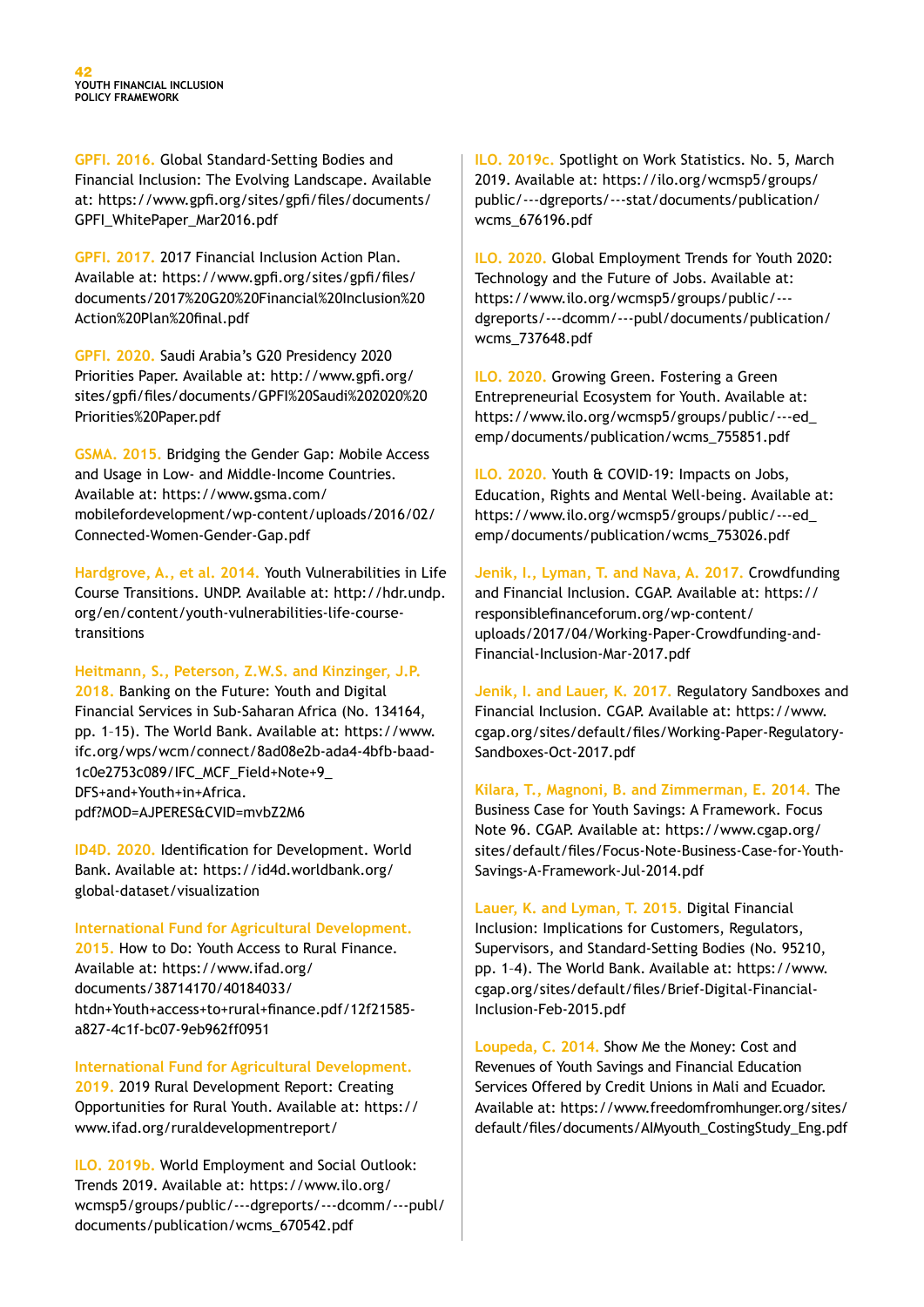**GPFI. 2016.** Global Standard-Setting Bodies and Financial Inclusion: The Evolving Landscape. Available at: https://www.gpfi.org/sites/gpfi/files/documents/ GPFI\_WhitePaper\_Mar2016.pdf

**GPFI. 2017.** 2017 Financial Inclusion Action Plan. Available at: https://www.gpfi.org/sites/gpfi/files/ documents/2017%20G20%20Financial%20Inclusion%20 Action%20Plan%20final.pdf

**GPFI. 2020.** Saudi Arabia's G20 Presidency 2020 Priorities Paper. Available at: http://www.gpfi.org/ sites/gpfi/files/documents/GPFI%20Saudi%202020%20 Priorities%20Paper.pdf

**GSMA. 2015.** Bridging the Gender Gap: Mobile Access and Usage in Low- and Middle-Income Countries. Available at: https://www.gsma.com/ mobilefordevelopment/wp-content/uploads/2016/02/ Connected-Women-Gender-Gap.pdf

**Hardgrove, A., et al. 2014.** Youth Vulnerabilities in Life Course Transitions. UNDP. Available at: http://hdr.undp. org/en/content/youth-vulnerabilities-life-coursetransitions

**Heitmann, S., Peterson, Z.W.S. and Kinzinger, J.P.** 

**2018.** Banking on the Future: Youth and Digital Financial Services in Sub-Saharan Africa (No. 134164, pp. 1–15). The World Bank. Available at: https://www. ifc.org/wps/wcm/connect/8ad08e2b-ada4-4bfb-baad-1c0e2753c089/IFC\_MCF\_Field+Note+9\_ DFS+and+Youth+in+Africa. pdf?MOD=AJPERES&CVID=mvbZ2M6

**ID4D. 2020.** Identification for Development. World Bank. Available at: https://id4d.worldbank.org/ global-dataset/visualization

**International Fund for Agricultural Development.** 

**2015.** How to Do: Youth Access to Rural Finance. Available at: https://www.ifad.org/ documents/38714170/40184033/ htdn+Youth+access+to+rural+finance.pdf/12f21585 a827-4c1f-bc07-9eb962ff0951

**International Fund for Agricultural Development. 2019.** 2019 Rural Development Report: Creating Opportunities for Rural Youth. Available at: https:// www.ifad.org/ruraldevelopmentreport/

**ILO. 2019b.** World Employment and Social Outlook: Trends 2019. Available at: https://www.ilo.org/ wcmsp5/groups/public/---dgreports/---dcomm/---publ/ documents/publication/wcms\_670542.pdf

**ILO. 2019c.** Spotlight on Work Statistics. No. 5, March 2019. Available at: https://ilo.org/wcmsp5/groups/ public/---dgreports/---stat/documents/publication/ wcms\_676196.pdf

**ILO. 2020.** Global Employment Trends for Youth 2020: Technology and the Future of Jobs. Available at: https://www.ilo.org/wcmsp5/groups/public/-- dgreports/---dcomm/---publ/documents/publication/ wcms\_737648.pdf

**ILO. 2020.** Growing Green. Fostering a Green Entrepreneurial Ecosystem for Youth. Available at: https://www.ilo.org/wcmsp5/groups/public/---ed\_ emp/documents/publication/wcms\_755851.pdf

**ILO. 2020.** Youth & COVID-19: Impacts on Jobs, Education, Rights and Mental Well-being. Available at: https://www.ilo.org/wcmsp5/groups/public/---ed\_ emp/documents/publication/wcms\_753026.pdf

**Jenik, I., Lyman, T. and Nava, A. 2017.** Crowdfunding and Financial Inclusion. CGAP. Available at: https:// responsiblefinanceforum.org/wp-content/ uploads/2017/04/Working-Paper-Crowdfunding-and-Financial-Inclusion-Mar-2017.pdf

**Jenik, I. and Lauer, K. 2017.** Regulatory Sandboxes and Financial Inclusion. CGAP. Available at: https://www. cgap.org/sites/default/files/Working-Paper-Regulatory-Sandboxes-Oct-2017.pdf

**Kilara, T., Magnoni, B. and Zimmerman, E. 2014.** The Business Case for Youth Savings: A Framework. Focus Note 96. CGAP. Available at: https://www.cgap.org/ sites/default/files/Focus-Note-Business-Case-for-Youth-Savings-A-Framework-Jul-2014.pdf

**Lauer, K. and Lyman, T. 2015.** Digital Financial Inclusion: Implications for Customers, Regulators, Supervisors, and Standard-Setting Bodies (No. 95210, pp. 1–4). The World Bank. Available at: https://www. cgap.org/sites/default/files/Brief-Digital-Financial-Inclusion-Feb-2015.pdf

**Loupeda, C. 2014.** Show Me the Money: Cost and Revenues of Youth Savings and Financial Education Services Offered by Credit Unions in Mali and Ecuador. Available at: https://www.freedomfromhunger.org/sites/ default/files/documents/AIMyouth\_CostingStudy\_Eng.pdf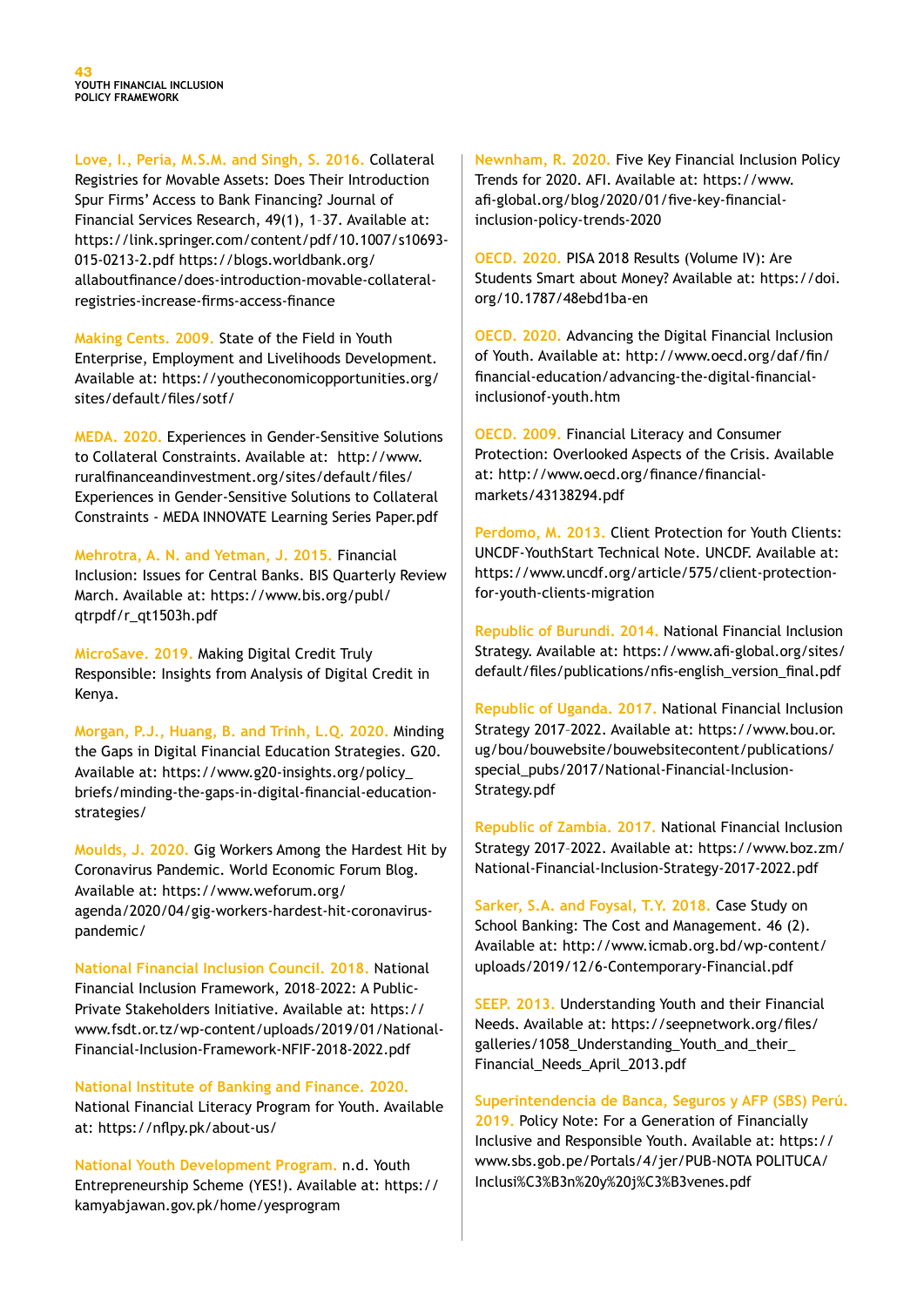**Love, I., Pería, M.S.M. and Singh, S. 2016.** Collateral Registries for Movable Assets: Does Their Introduction Spur Firms' Access to Bank Financing? Journal of Financial Services Research, 49(1), 1–37. Available at: https://link.springer.com/content/pdf/10.1007/s10693- 015-0213-2.pdf https://blogs.worldbank.org/ allaboutfinance/does-introduction-movable-collateralregistries-increase-firms-access-finance

**Making Cents. 2009.** State of the Field in Youth Enterprise, Employment and Livelihoods Development. Available at: https://youtheconomicopportunities.org/ sites/default/files/sotf/

**MEDA. 2020.** Experiences in Gender-Sensitive Solutions to Collateral Constraints. Available at: http://www. ruralfinanceandinvestment.org/sites/default/files/ Experiences in Gender-Sensitive Solutions to Collateral Constraints - MEDA INNOVATE Learning Series Paper.pdf

**Mehrotra, A. N. and Yetman, J. 2015.** Financial Inclusion: Issues for Central Banks. BIS Quarterly Review March. Available at: https://www.bis.org/publ/ qtrpdf/r\_qt1503h.pdf

**MicroSave. 2019.** Making Digital Credit Truly Responsible: Insights from Analysis of Digital Credit in Kenya.

**Morgan, P.J., Huang, B. and Trinh, L.Q. 2020.** Minding the Gaps in Digital Financial Education Strategies. G20. Available at: https://www.g20-insights.org/policy\_ briefs/minding-the-gaps-in-digital-financial-educationstrategies/

**Moulds, J. 2020.** Gig Workers Among the Hardest Hit by Coronavirus Pandemic. World Economic Forum Blog. Available at: https://www.weforum.org/ agenda/2020/04/gig-workers-hardest-hit-coronaviruspandemic/

**National Financial Inclusion Council. 2018.** National Financial Inclusion Framework, 2018–2022: A Public-Private Stakeholders Initiative. Available at: https:// www.fsdt.or.tz/wp-content/uploads/2019/01/National-Financial-Inclusion-Framework-NFIF-2018-2022.pdf

**National Institute of Banking and Finance. 2020.**  National Financial Literacy Program for Youth. Available at: https://nflpy.pk/about-us/

**National Youth Development Program.** n.d. Youth Entrepreneurship Scheme (YES!). Available at: https:// kamyabjawan.gov.pk/home/yesprogram

**Newnham, R. 2020.** Five Key Financial Inclusion Policy Trends for 2020. AFI. Available at: https://www. afi-global.org/blog/2020/01/five-key-financialinclusion-policy-trends-2020

**OECD. 2020.** PISA 2018 Results (Volume IV): Are Students Smart about Money? Available at: https://doi. org/10.1787/48ebd1ba-en

**OECD. 2020.** Advancing the Digital Financial Inclusion of Youth. Available at: http://www.oecd.org/daf/fin/ financial-education/advancing-the-digital-financialinclusionof-youth.htm

**OECD. 2009.** Financial Literacy and Consumer Protection: Overlooked Aspects of the Crisis. Available at: http://www.oecd.org/finance/financialmarkets/43138294.pdf

**Perdomo, M. 2013.** Client Protection for Youth Clients: UNCDF-YouthStart Technical Note. UNCDF. Available at: https://www.uncdf.org/article/575/client-protectionfor-youth-clients-migration

**Republic of Burundi. 2014.** National Financial Inclusion Strategy. Available at: https://www.afi-global.org/sites/ default/files/publications/nfis-english\_version\_final.pdf

**Republic of Uganda. 2017.** National Financial Inclusion Strategy 2017–2022. Available at: https://www.bou.or. ug/bou/bouwebsite/bouwebsitecontent/publications/ special\_pubs/2017/National-Financial-Inclusion-Strategy.pdf

**Republic of Zambia. 2017.** National Financial Inclusion Strategy 2017–2022. Available at: https://www.boz.zm/ National-Financial-Inclusion-Strategy-2017-2022.pdf

Sarker, S.A. and Foysal, T.Y. 2018. Case Study on School Banking: The Cost and Management. 46 (2). Available at: http://www.icmab.org.bd/wp-content/ uploads/2019/12/6-Contemporary-Financial.pdf

**SEEP. 2013.** Understanding Youth and their Financial Needs. Available at: https://seepnetwork.org/files/ galleries/1058\_Understanding\_Youth\_and\_their\_ Financial\_Needs\_April\_2013.pdf

**Superintendencia de Banca, Seguros y AFP (SBS) Perú. 2019.** Policy Note: For a Generation of Financially Inclusive and Responsible Youth. Available at: https:// www.sbs.gob.pe/Portals/4/jer/PUB-NOTA POLITUCA/ Inclusi%C3%B3n%20y%20j%C3%B3venes.pdf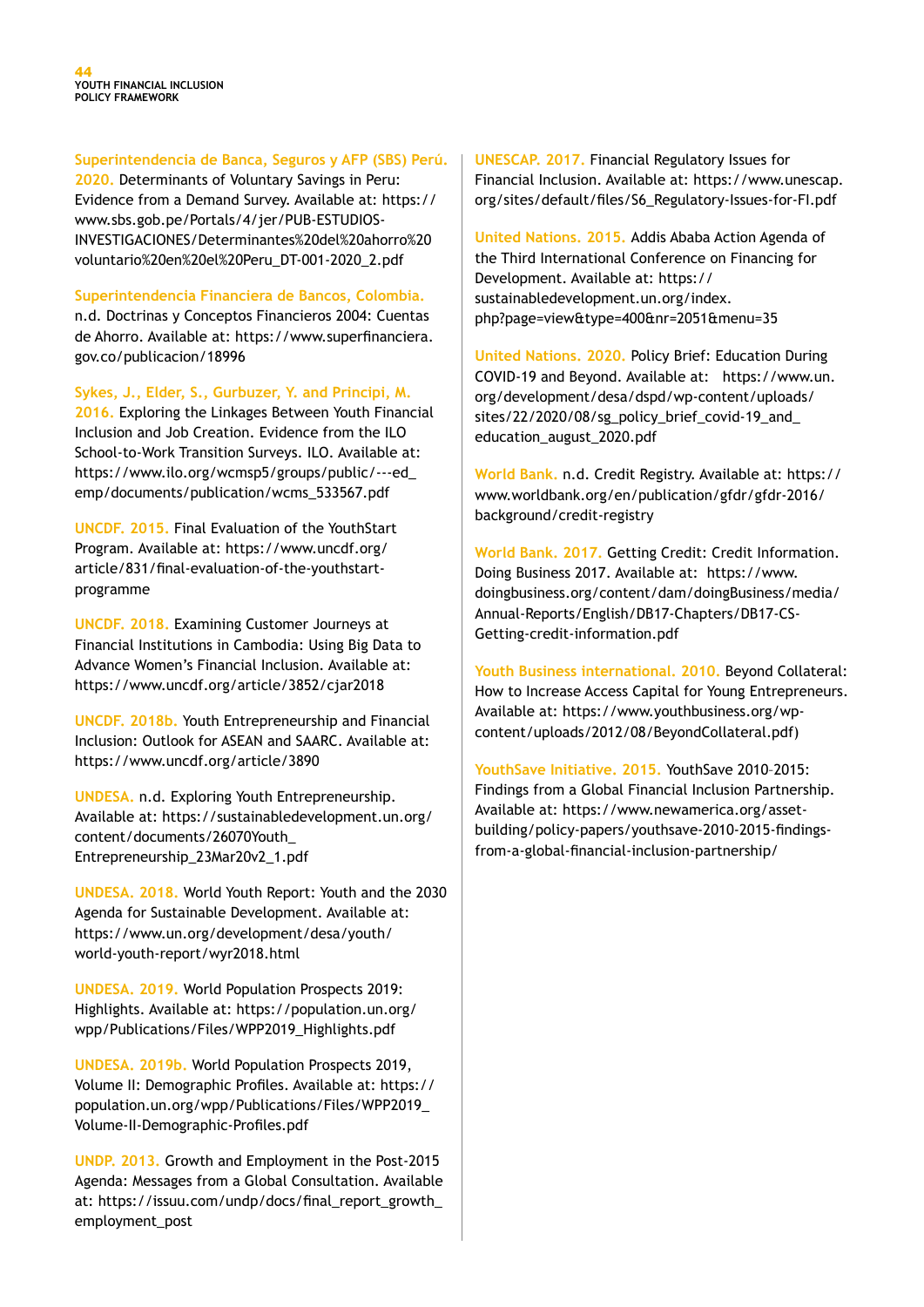**Superintendencia de Banca, Seguros y AFP (SBS) Perú.** 

**2020.** Determinants of Voluntary Savings in Peru: Evidence from a Demand Survey. Available at: https:// www.sbs.gob.pe/Portals/4/jer/PUB-ESTUDIOS-INVESTIGACIONES/Determinantes%20del%20ahorro%20 voluntario%20en%20el%20Peru\_DT-001-2020\_2.pdf

**Superintendencia Financiera de Bancos, Colombia.**

n.d. Doctrinas y Conceptos Financieros 2004: Cuentas de Ahorro. Available at: https://www.superfinanciera. gov.co/publicacion/18996

**Sykes, J., Elder, S., Gurbuzer, Y. and Principi, M. 2016.** Exploring the Linkages Between Youth Financial Inclusion and Job Creation. Evidence from the ILO School-to-Work Transition Surveys. ILO. Available at: https://www.ilo.org/wcmsp5/groups/public/---ed\_ emp/documents/publication/wcms\_533567.pdf

**UNCDF. 2015.** Final Evaluation of the YouthStart Program. Available at: https://www.uncdf.org/ article/831/final-evaluation-of-the-youthstartprogramme

**UNCDF. 2018.** Examining Customer Journeys at Financial Institutions in Cambodia: Using Big Data to Advance Women's Financial Inclusion. Available at: https://www.uncdf.org/article/3852/cjar2018

**UNCDF. 2018b.** Youth Entrepreneurship and Financial Inclusion: Outlook for ASEAN and SAARC. Available at: https://www.uncdf.org/article/3890

**UNDESA.** n.d. Exploring Youth Entrepreneurship. Available at: https://sustainabledevelopment.un.org/ content/documents/26070Youth\_ Entrepreneurship\_23Mar20v2\_1.pdf

**UNDESA. 2018.** World Youth Report: Youth and the 2030 Agenda for Sustainable Development. Available at: https://www.un.org/development/desa/youth/ world-youth-report/wyr2018.html

**UNDESA. 2019.** World Population Prospects 2019: Highlights. Available at: https://population.un.org/ wpp/Publications/Files/WPP2019\_Highlights.pdf

**UNDESA. 2019b.** World Population Prospects 2019, Volume II: Demographic Profiles. Available at: https:// population.un.org/wpp/Publications/Files/WPP2019\_ Volume-II-Demographic-Profiles.pdf

**UNDP. 2013.** Growth and Employment in the Post-2015 Agenda: Messages from a Global Consultation. Available at: https://issuu.com/undp/docs/final\_report\_growth employment\_post

**UNESCAP. 2017.** Financial Regulatory Issues for Financial Inclusion. Available at: https://www.unescap. org/sites/default/files/S6\_Regulatory-Issues-for-FI.pdf

**United Nations. 2015.** Addis Ababa Action Agenda of the Third International Conference on Financing for Development. Available at: https:// sustainabledevelopment.un.org/index. php?page=view&type=400&nr=2051&menu=35

**United Nations. 2020.** Policy Brief: Education During COVID-19 and Beyond. Available at: https://www.un. org/development/desa/dspd/wp-content/uploads/ sites/22/2020/08/sg\_policy\_brief\_covid-19\_and\_ education\_august\_2020.pdf

**World Bank.** n.d. Credit Registry. Available at: https:// www.worldbank.org/en/publication/gfdr/gfdr-2016/ background/credit-registry

**World Bank. 2017.** Getting Credit: Credit Information. Doing Business 2017. Available at: https://www. doingbusiness.org/content/dam/doingBusiness/media/ Annual-Reports/English/DB17-Chapters/DB17-CS-Getting-credit-information.pdf

**Youth Business international. 2010.** Beyond Collateral: How to Increase Access Capital for Young Entrepreneurs. Available at: https://www.youthbusiness.org/wpcontent/uploads/2012/08/BeyondCollateral.pdf)

**YouthSave Initiative. 2015.** YouthSave 2010–2015: Findings from a Global Financial Inclusion Partnership. Available at: https://www.newamerica.org/assetbuilding/policy-papers/youthsave-2010-2015-findingsfrom-a-global-financial-inclusion-partnership/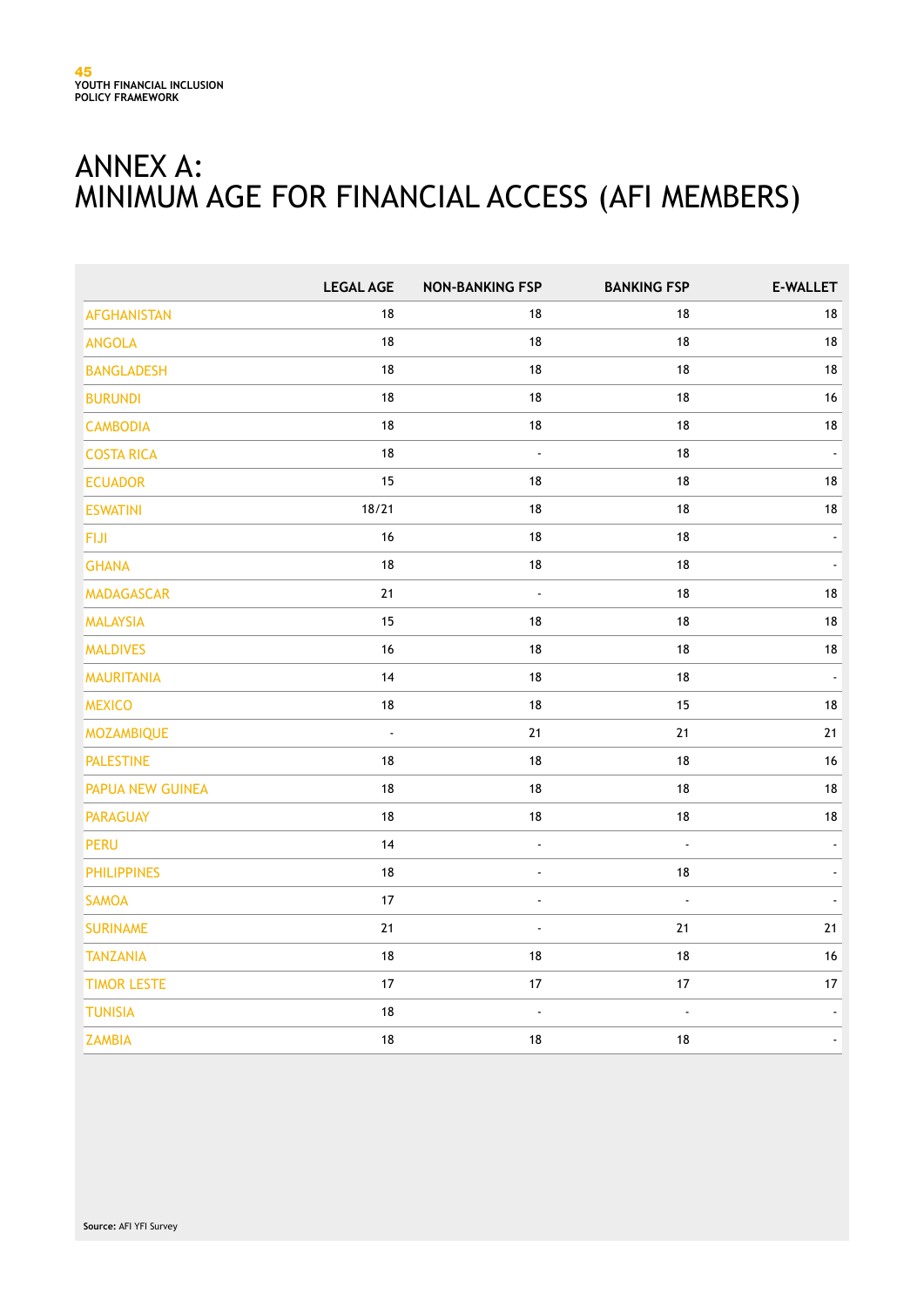# ANNEX A: MINIMUM AGE FOR FINANCIAL ACCESS (AFI MEMBERS)

|                    | <b>LEGAL AGE</b> | <b>NON-BANKING FSP</b> | <b>BANKING FSP</b>   | E-WALLET |
|--------------------|------------------|------------------------|----------------------|----------|
| <b>AFGHANISTAN</b> | 18               | 18                     | 18                   | $18\,$   |
| <b>ANGOLA</b>      | 18               | 18                     | 18                   | $18\,$   |
| <b>BANGLADESH</b>  | 18               | 18                     | 18                   | $18\,$   |
| <b>BURUNDI</b>     | 18               | 18                     | 18                   | 16       |
| <b>CAMBODIA</b>    | $18\,$           | $18\,$                 | $18$                 | $18\,$   |
| <b>COSTA RICA</b>  | $18$             | $\Box$                 | 18                   |          |
| <b>ECUADOR</b>     | 15               | 18                     | 18                   | $18\,$   |
| <b>ESWATINI</b>    | 18/21            | 18                     | 18                   | $18\,$   |
| <b>FIJI</b>        | 16               | $18$                   | 18                   |          |
| <b>GHANA</b>       | 18               | $18$                   | $18\,$               |          |
| <b>MADAGASCAR</b>  | $21$             | $\Box$                 | 18                   | $18\,$   |
| <b>MALAYSIA</b>    | 15               | 18                     | 18                   | 18       |
| <b>MALDIVES</b>    | 16               | 18                     | 18                   | $18\,$   |
| <b>MAURITANIA</b>  | 14               | 18                     | 18                   | $\Box$   |
| <b>MEXICO</b>      | $18\,$           | 18                     | 15                   | $18\,$   |
| <b>MOZAMBIQUE</b>  | ä,               | $21$                   | $21$                 | 21       |
| <b>PALESTINE</b>   | 18               | 18                     | 18                   | $16\,$   |
| PAPUA NEW GUINEA   | 18               | $18$                   | $18\,$               | $18\,$   |
| <b>PARAGUAY</b>    | 18               | 18                     | $18\,$               | 18       |
| <b>PERU</b>        | 14               | $\blacksquare$         | $\ddot{\phantom{1}}$ |          |
| <b>PHILIPPINES</b> | 18               | ä,                     | $18$                 |          |
| <b>SAMOA</b>       | 17               | L                      | L.                   |          |
| <b>SURINAME</b>    | $21$             | ä,                     | 21                   | 21       |
| <b>TANZANIA</b>    | $18\,$           | $18$                   | $18\,$               | 16       |
| <b>TIMOR LESTE</b> | $17$             | $17$                   | 17                   | 17       |
| <b>TUNISIA</b>     | $18\,$           | $\Box$                 | $\Box$               |          |
| <b>ZAMBIA</b>      | $18\,$           | 18                     | 18                   |          |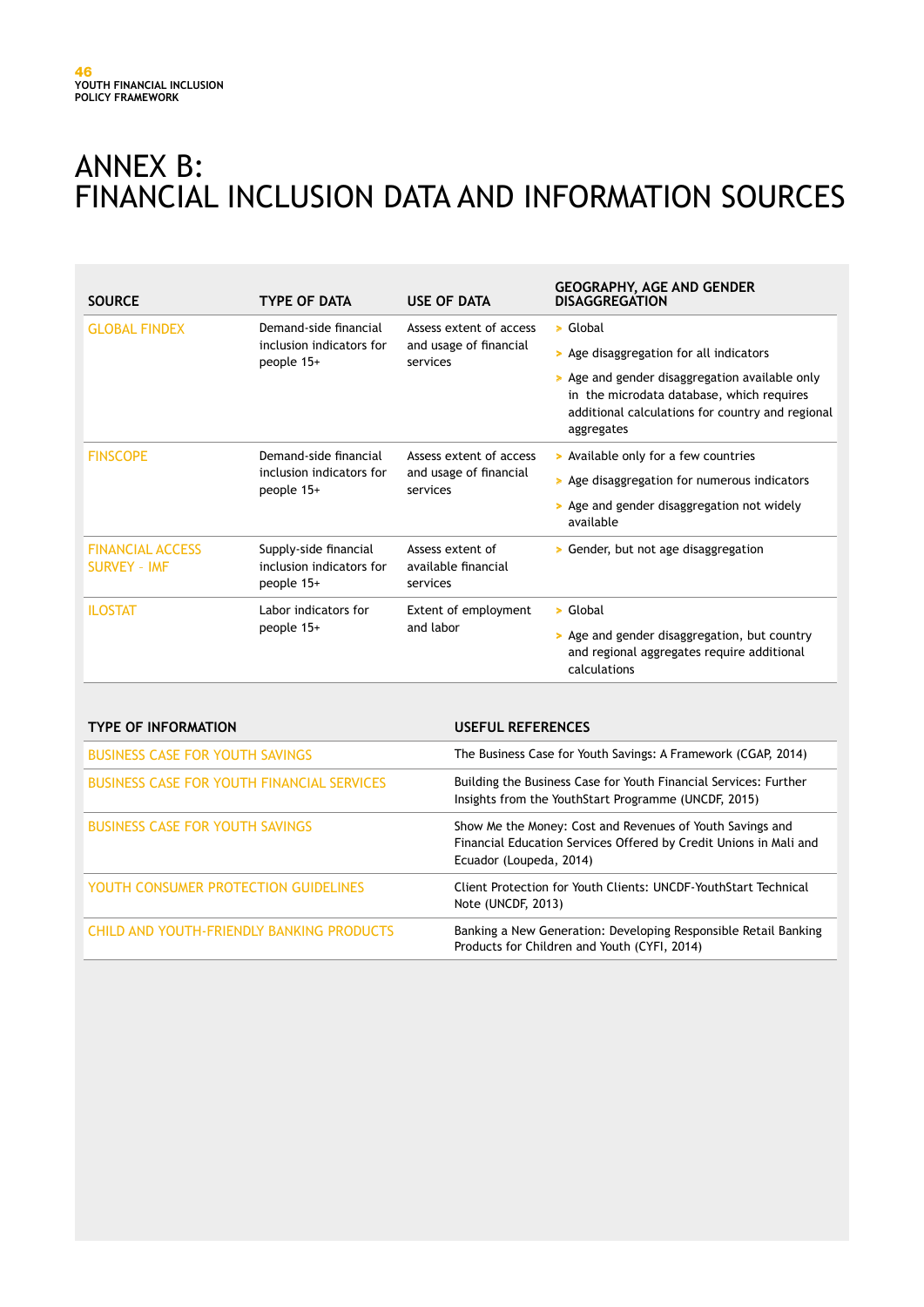# ANNEX B: FINANCIAL INCLUSION DATA AND INFORMATION SOURCES

| <b>SOURCE</b>                                  | <b>TYPE OF DATA</b>                                             | <b>USE OF DATA</b>                                            | <b>GEOGRAPHY, AGE AND GENDER</b><br><b>DISAGGREGATION</b>                                                                                                                                                            |
|------------------------------------------------|-----------------------------------------------------------------|---------------------------------------------------------------|----------------------------------------------------------------------------------------------------------------------------------------------------------------------------------------------------------------------|
| <b>GLOBAL FINDEX</b>                           | Demand-side financial<br>inclusion indicators for<br>people 15+ | Assess extent of access<br>and usage of financial<br>services | > Global<br>> Age disaggregation for all indicators<br>> Age and gender disaggregation available only<br>in the microdata database, which requires<br>additional calculations for country and regional<br>aggregates |
| <b>FINSCOPE</b>                                | Demand-side financial<br>inclusion indicators for<br>people 15+ | Assess extent of access<br>and usage of financial<br>services | > Available only for a few countries<br>> Age disaggregation for numerous indicators<br>> Age and gender disaggregation not widely<br>available                                                                      |
| <b>FINANCIAL ACCESS</b><br><b>SURVEY - IMF</b> | Supply-side financial<br>inclusion indicators for<br>people 15+ | Assess extent of<br>available financial<br>services           | > Gender, but not age disaggregation                                                                                                                                                                                 |
| <b>ILOSTAT</b>                                 | Labor indicators for<br>people 15+                              | <b>Extent of employment</b><br>and labor                      | $\triangleright$ Global<br>> Age and gender disaggregation, but country<br>and regional aggregates require additional<br>calculations                                                                                |

| <b>TYPE OF INFORMATION</b>                        | USEFUL REFERENCES                                                                                                                                         |
|---------------------------------------------------|-----------------------------------------------------------------------------------------------------------------------------------------------------------|
| <b>BUSINESS CASE FOR YOUTH SAVINGS</b>            | The Business Case for Youth Savings: A Framework (CGAP, 2014)                                                                                             |
| <b>BUSINESS CASE FOR YOUTH FINANCIAL SERVICES</b> | Building the Business Case for Youth Financial Services: Further<br>Insights from the YouthStart Programme (UNCDF, 2015)                                  |
| <b>BUSINESS CASE FOR YOUTH SAVINGS</b>            | Show Me the Money: Cost and Revenues of Youth Savings and<br>Financial Education Services Offered by Credit Unions in Mali and<br>Ecuador (Loupeda, 2014) |
| YOUTH CONSUMER PROTECTION GUIDELINES              | Client Protection for Youth Clients: UNCDF-YouthStart Technical<br>Note (UNCDF, 2013)                                                                     |
| <b>CHILD AND YOUTH-FRIENDLY BANKING PRODUCTS</b>  | Banking a New Generation: Developing Responsible Retail Banking<br>Products for Children and Youth (CYFI, 2014)                                           |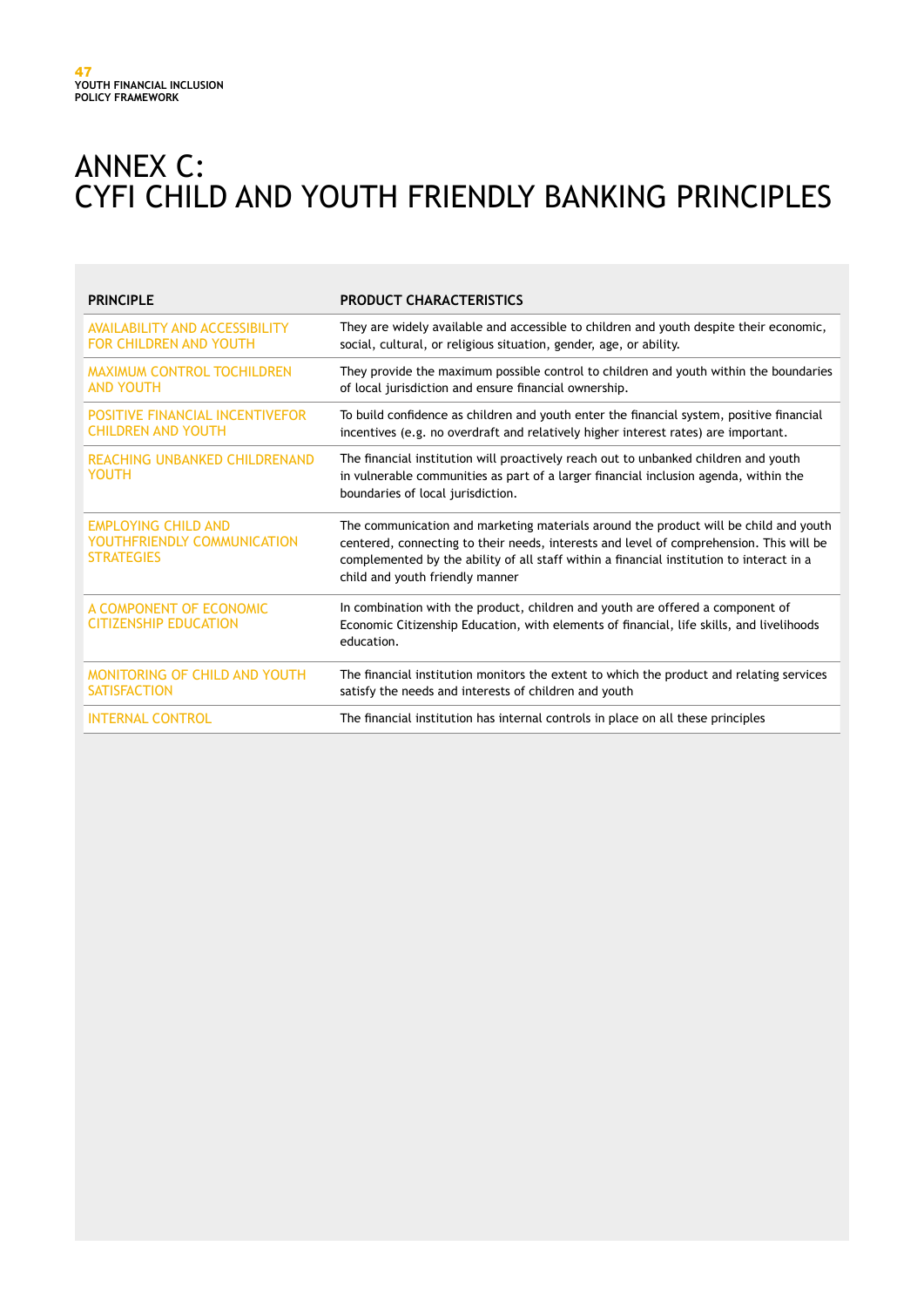# ANNEX C: CYFI CHILD AND YOUTH FRIENDLY BANKING PRINCIPLES

| <b>PRINCIPLE</b>                                                               | <b>PRODUCT CHARACTERISTICS</b>                                                                                                                                                                                                                                                                                 |
|--------------------------------------------------------------------------------|----------------------------------------------------------------------------------------------------------------------------------------------------------------------------------------------------------------------------------------------------------------------------------------------------------------|
| <b>AVAILABILITY AND ACCESSIBILITY</b><br><b>FOR CHILDREN AND YOUTH</b>         | They are widely available and accessible to children and youth despite their economic,<br>social, cultural, or religious situation, gender, age, or ability.                                                                                                                                                   |
| <b>MAXIMUM CONTROL TOCHILDREN</b><br><b>AND YOUTH</b>                          | They provide the maximum possible control to children and youth within the boundaries<br>of local jurisdiction and ensure financial ownership.                                                                                                                                                                 |
| <b>POSITIVE FINANCIAL INCENTIVEFOR</b><br><b>CHILDREN AND YOUTH</b>            | To build confidence as children and youth enter the financial system, positive financial<br>incentives (e.g. no overdraft and relatively higher interest rates) are important.                                                                                                                                 |
| REACHING UNBANKED CHILDRENAND<br>YOUTH                                         | The financial institution will proactively reach out to unbanked children and youth<br>in vulnerable communities as part of a larger financial inclusion agenda, within the<br>boundaries of local jurisdiction.                                                                                               |
| <b>EMPLOYING CHILD AND</b><br>YOUTHFRIENDLY COMMUNICATION<br><b>STRATEGIES</b> | The communication and marketing materials around the product will be child and youth<br>centered, connecting to their needs, interests and level of comprehension. This will be<br>complemented by the ability of all staff within a financial institution to interact in a<br>child and youth friendly manner |
| A COMPONENT OF ECONOMIC<br><b>CITIZENSHIP EDUCATION</b>                        | In combination with the product, children and youth are offered a component of<br>Economic Citizenship Education, with elements of financial, life skills, and livelihoods<br>education.                                                                                                                       |
| MONITORING OF CHILD AND YOUTH<br><b>SATISFACTION</b>                           | The financial institution monitors the extent to which the product and relating services<br>satisfy the needs and interests of children and youth                                                                                                                                                              |
| <b>INTERNAL CONTROL</b>                                                        | The financial institution has internal controls in place on all these principles                                                                                                                                                                                                                               |